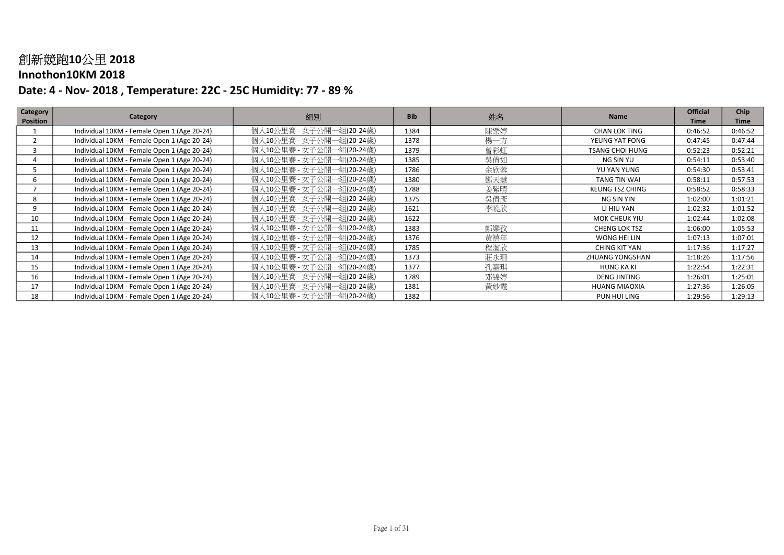#### Innothon10KM 2018

| Category        | Category                                    | 組別                       | <b>Bib</b> | 姓名  | <b>Name</b>            | <b>Official</b> | Chip        |
|-----------------|---------------------------------------------|--------------------------|------------|-----|------------------------|-----------------|-------------|
| <b>Position</b> |                                             |                          |            |     |                        | <b>Time</b>     | <b>Time</b> |
|                 | Individual 10KM - Female Open 1 (Age 20-24) | 個人10公里賽 - 女子公開一組(20-24歳) | 1384       | 陳樂婷 | <b>CHAN LOK TING</b>   | 0:46:52         | 0:46:52     |
|                 | Individual 10KM - Female Open 1 (Age 20-24) | 個人10公里賽 - 女子公開一組(20-24歳) | 1378       | 楊一方 | YEUNG YAT FONG         | 0:47:45         | 0:47:44     |
|                 | Individual 10KM - Female Open 1 (Age 20-24) | 個人10公里賽 - 女子公開一組(20-24歳) | 1379       | 曾彩虹 | <b>TSANG CHOI HUNG</b> | 0:52:23         | 0:52:21     |
|                 | Individual 10KM - Female Open 1 (Age 20-24) | 個人10公里賽 - 女子公開一組(20-24歳) | 1385       | 吳倩如 | NG SIN YU              | 0:54:11         | 0:53:40     |
|                 | Individual 10KM - Female Open 1 (Age 20-24) | 個人10公里賽 - 女子公開一組(20-24歲) | 1786       | 余欣蓉 | YU YAN YUNG            | 0:54:30         | 0:53:41     |
| 6               | Individual 10KM - Female Open 1 (Age 20-24) | 個人10公里賽 - 女子公開一組(20-24歲) | 1380       | 鄧天慧 | TANG TIN WAI           | 0:58:11         | 0:57:53     |
|                 | Individual 10KM - Female Open 1 (Age 20-24) | 個人10公里賽 - 女子公開一組(20-24歲) | 1788       | 姜紫晴 | <b>KEUNG TSZ CHING</b> | 0:58:52         | 0:58:33     |
| 8               | Individual 10KM - Female Open 1 (Age 20-24) | 個人10公里賽 - 女子公開一組(20-24歳) | 1375       | 吳倩彥 | NG SIN YIN             | 1:02:00         | 1:01:21     |
| 9               | Individual 10KM - Female Open 1 (Age 20-24) | 個人10公里賽 - 女子公開一組(20-24歳) | 1621       | 李曉欣 | LI HIU YAN             | 1:02:32         | 1:01:52     |
| 10              | Individual 10KM - Female Open 1 (Age 20-24) | 個人10公里賽 - 女子公開一組(20-24歳) | 1622       |     | MOK CHEUK YIU          | 1:02:44         | 1:02:08     |
| 11              | Individual 10KM - Female Open 1 (Age 20-24) | 個人10公里賽 - 女子公開一組(20-24歳) | 1383       | 鄭樂孜 | <b>CHENG LOK TSZ</b>   | 1:06:00         | 1:05:53     |
| 12              | Individual 10KM - Female Open 1 (Age 20-24) | 個人10公里賽 - 女子公開一組(20-24歳) | 1376       | 黃禧年 | WONG HEI LIN           | 1:07:13         | 1:07:01     |
| 13              | Individual 10KM - Female Open 1 (Age 20-24) | 個人10公里賽 - 女子公開一組(20-24歲) | 1785       | 程潔欣 | <b>CHING KIT YAN</b>   | 1:17:36         | 1:17:27     |
| 14              | Individual 10KM - Female Open 1 (Age 20-24) | 個人10公里賽 - 女子公開一組(20-24歲) | 1373       | 莊永珊 | ZHUANG YONGSHAN        | 1:18:26         | 1:17:56     |
| 15              | Individual 10KM - Female Open 1 (Age 20-24) | 個人10公里賽 - 女子公開一組(20-24歲) | 1377       | 孔嘉琪 | HUNG KA KI             | 1:22:54         | 1:22:31     |
| 16              | Individual 10KM - Female Open 1 (Age 20-24) | 個人10公里賽 - 女子公開一組(20-24歲) | 1789       | 邓锦婷 | <b>DENG JINTING</b>    | 1:26:01         | 1:25:01     |
| 17              | Individual 10KM - Female Open 1 (Age 20-24) | 個人10公里賽 - 女子公開一組(20-24歲) | 1381       | 黃妙霞 | <b>HUANG MIAOXIA</b>   | 1:27:36         | 1:26:05     |
| 18              | Individual 10KM - Female Open 1 (Age 20-24) | 個人10公里賽 - 女子公開一組(20-24歲) | 1382       |     | PUN HUI LING           | 1:29:56         | 1:29:13     |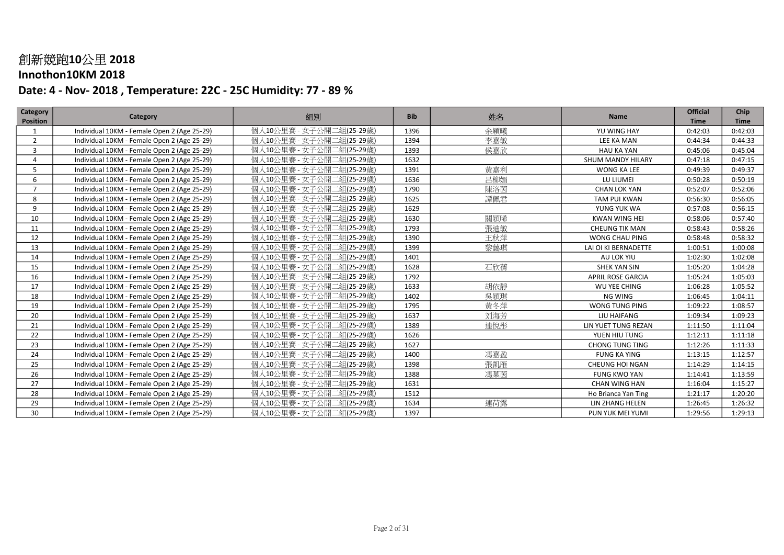### Innothon10KM 2018

| <b>Category</b><br><b>Position</b> | Category                                    | 組別                       | <b>Bib</b> | 姓名  | <b>Name</b>              | <b>Official</b><br><b>Time</b> | Chip<br><b>Time</b> |
|------------------------------------|---------------------------------------------|--------------------------|------------|-----|--------------------------|--------------------------------|---------------------|
| 1                                  | Individual 10KM - Female Open 2 (Age 25-29) | 個人10公里賽 - 女子公開二組(25-29歳) | 1396       | 余穎曦 | YU WING HAY              | 0:42:03                        | 0:42:03             |
| $\overline{2}$                     | Individual 10KM - Female Open 2 (Age 25-29) | 個人10公里賽 - 女子公開二組(25-29歳) | 1394       | 李嘉敏 | LEE KA MAN               | 0:44:34                        | 0:44:33             |
| 3                                  | Individual 10KM - Female Open 2 (Age 25-29) | 個人10公里賽 - 女子公開二組(25-29歳) | 1393       | 侯嘉欣 | <b>HAU KA YAN</b>        | 0:45:06                        | 0:45:04             |
| 4                                  | Individual 10KM - Female Open 2 (Age 25-29) | 個人10公里賽 - 女子公開二組(25-29歲) | 1632       |     | SHUM MANDY HILARY        | 0:47:18                        | 0:47:15             |
| 5                                  | Individual 10KM - Female Open 2 (Age 25-29) | 個人10公里賽 - 女子公開二組(25-29歳) | 1391       | 黃嘉利 | WONG KA LEE              | 0:49:39                        | 0:49:37             |
| 6                                  | Individual 10KM - Female Open 2 (Age 25-29) | 個人10公里賽 - 女子公開二組(25-29歳) | 1636       | 吕柳媚 | LU LIUMEI                | 0:50:28                        | 0:50:19             |
| $\overline{7}$                     | Individual 10KM - Female Open 2 (Age 25-29) | 個人10公里賽 - 女子公開二組(25-29歲) | 1790       | 陳洛茵 | <b>CHAN LOK YAN</b>      | 0:52:07                        | 0:52:06             |
| 8                                  | Individual 10KM - Female Open 2 (Age 25-29) | 個人10公里賽 - 女子公開二組(25-29歲) | 1625       | 譚佩君 | TAM PUI KWAN             | 0:56:30                        | 0:56:05             |
| 9                                  | Individual 10KM - Female Open 2 (Age 25-29) | 個人10公里賽 - 女子公開二組(25-29歲) | 1629       |     | YUNG YUK WA              | 0:57:08                        | 0:56:15             |
| 10                                 | Individual 10KM - Female Open 2 (Age 25-29) | 個人10公里賽 - 女子公開二組(25-29歳) | 1630       | 關穎晞 | <b>KWAN WING HEI</b>     | 0:58:06                        | 0:57:40             |
| 11                                 | Individual 10KM - Female Open 2 (Age 25-29) | 個人10公里賽 - 女子公開二組(25-29歲) | 1793       | 張迪敏 | <b>CHEUNG TIK MAN</b>    | 0:58:43                        | 0:58:26             |
| 12                                 | Individual 10KM - Female Open 2 (Age 25-29) | 個人10公里賽 - 女子公開二組(25-29歳) | 1390       | 王秋萍 | WONG CHAU PING           | 0:58:48                        | 0:58:32             |
| 13                                 | Individual 10KM - Female Open 2 (Age 25-29) | 個人10公里賽 - 女子公開二組(25-29歲) | 1399       | 黎藹琪 | LAI OI KI BERNADETTE     | 1:00:51                        | 1:00:08             |
| 14                                 | Individual 10KM - Female Open 2 (Age 25-29) | 個人10公里賽 - 女子公開二組(25-29歳) | 1401       |     | AU LOK YIU               | 1:02:30                        | 1:02:08             |
| 15                                 | Individual 10KM - Female Open 2 (Age 25-29) | 個人10公里賽 - 女子公開二組(25-29歲) | 1628       | 石欣蒨 | <b>SHEK YAN SIN</b>      | 1:05:20                        | 1:04:28             |
| 16                                 | Individual 10KM - Female Open 2 (Age 25-29) | 個人10公里賽 - 女子公開二組(25-29歳) | 1792       |     | <b>APRIL ROSE GARCIA</b> | 1:05:24                        | 1:05:03             |
| 17                                 | Individual 10KM - Female Open 2 (Age 25-29) | 個人10公里賽 - 女子公開二組(25-29歲) | 1633       | 胡依靜 | WU YEE CHING             | 1:06:28                        | 1:05:52             |
| 18                                 | Individual 10KM - Female Open 2 (Age 25-29) | 個人10公里賽 - 女子公開二組(25-29歳) | 1402       | 吳穎琪 | <b>NG WING</b>           | 1:06:45                        | 1:04:11             |
| 19                                 | Individual 10KM - Female Open 2 (Age 25-29) | 個人10公里賽 - 女子公開二組(25-29歲) | 1795       | 黃冬萍 | WONG TUNG PING           | 1:09:22                        | 1:08:57             |
| 20                                 | Individual 10KM - Female Open 2 (Age 25-29) | 個人10公里賽 - 女子公開二組(25-29歲) | 1637       | 刘海芳 | LIU HAIFANG              | 1:09:34                        | 1:09:23             |
| 21                                 | Individual 10KM - Female Open 2 (Age 25-29) | 個人10公里賽 - 女子公開二組(25-29歲) | 1389       | 連悅彤 | LIN YUET TUNG REZAN      | 1:11:50                        | 1:11:04             |
| 22                                 | Individual 10KM - Female Open 2 (Age 25-29) | 個人10公里賽 - 女子公開二組(25-29歳) | 1626       |     | YUEN HIU TUNG            | 1:12:11                        | 1:11:18             |
| 23                                 | Individual 10KM - Female Open 2 (Age 25-29) | 個人10公里賽 - 女子公開二組(25-29歲) | 1627       |     | <b>CHONG TUNG TING</b>   | 1:12:26                        | 1:11:33             |
| 24                                 | Individual 10KM - Female Open 2 (Age 25-29) | 個人10公里賽 - 女子公開二組(25-29歳) | 1400       | 馮嘉盈 | <b>FUNG KA YING</b>      | 1:13:15                        | 1:12:57             |
| 25                                 | Individual 10KM - Female Open 2 (Age 25-29) | 個人10公里賽 - 女子公開二組(25-29歲) | 1398       | 張凱雁 | <b>CHEUNG HOI NGAN</b>   | 1:14:29                        | 1:14:15             |
| 26                                 | Individual 10KM - Female Open 2 (Age 25-29) | 個人10公里賽 - 女子公開二組(25-29歲) | 1388       | 馮菓茵 | <b>FUNG KWO YAN</b>      | 1:14:41                        | 1:13:59             |
| 27                                 | Individual 10KM - Female Open 2 (Age 25-29) | 個人10公里賽 - 女子公開二組(25-29歳) | 1631       |     | CHAN WING HAN            | 1:16:04                        | 1:15:27             |
| 28                                 | Individual 10KM - Female Open 2 (Age 25-29) | 個人10公里賽 - 女子公開二組(25-29歳) | 1512       |     | Ho Brianca Yan Ting      | 1:21:17                        | 1:20:20             |
| 29                                 | Individual 10KM - Female Open 2 (Age 25-29) | 個人10公里賽 - 女子公開二組(25-29歳) | 1634       | 連荷露 | LIN ZHANG HELEN          | 1:26:45                        | 1:26:32             |
| 30                                 | Individual 10KM - Female Open 2 (Age 25-29) | 個人10公里賽 - 女子公開二組(25-29歲) | 1397       |     | PUN YUK MEI YUMI         | 1:29:56                        | 1:29:13             |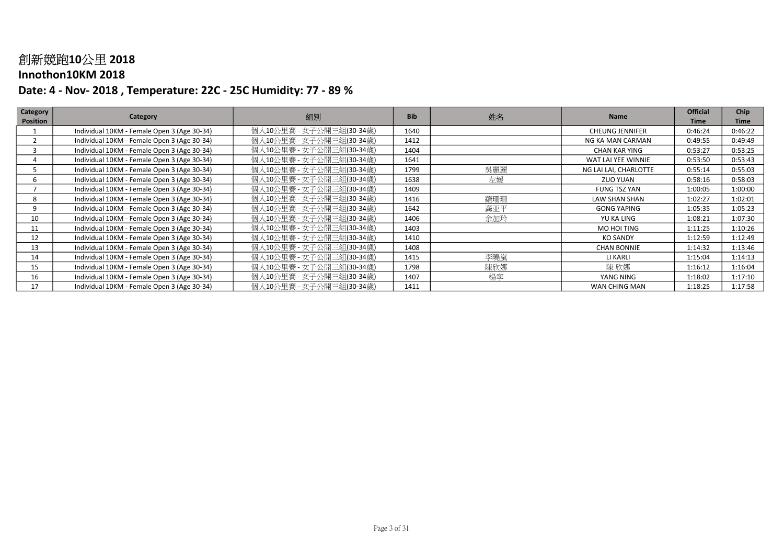#### Innothon10KM 2018

| Category        | Category                                    | 組別                       | <b>Bib</b> | 姓名  | <b>Name</b>            | <b>Official</b> | <b>Chip</b> |
|-----------------|---------------------------------------------|--------------------------|------------|-----|------------------------|-----------------|-------------|
| <b>Position</b> |                                             |                          |            |     |                        | <b>Time</b>     | <b>Time</b> |
|                 | Individual 10KM - Female Open 3 (Age 30-34) | 個人10公里賽 - 女子公開三組(30-34歳) | 1640       |     | <b>CHEUNG JENNIFER</b> | 0:46:24         | 0:46:22     |
|                 | Individual 10KM - Female Open 3 (Age 30-34) | 個人10公里賽 - 女子公開三組(30-34歳) | 1412       |     | NG KA MAN CARMAN       | 0:49:55         | 0:49:49     |
|                 | Individual 10KM - Female Open 3 (Age 30-34) | 個人10公里賽 - 女子公開三組(30-34歲) | 1404       |     | CHAN KAR YING          | 0:53:27         | 0:53:25     |
|                 | Individual 10KM - Female Open 3 (Age 30-34) | 個人10公里賽 - 女子公開三組(30-34歲) | 1641       |     | WAT LAI YEE WINNIE     | 0:53:50         | 0:53:43     |
|                 | Individual 10KM - Female Open 3 (Age 30-34) | 個人10公里賽 - 女子公開三組(30-34歳) | 1799       | 吳麗麗 | NG LAI LAI, CHARLOTTE  | 0:55:14         | 0:55:03     |
| 6.              | Individual 10KM - Female Open 3 (Age 30-34) | 個人10公里賽 - 女子公開三組(30-34歳) | 1638       | 左媛  | <b>ZUO YUAN</b>        | 0:58:16         | 0:58:03     |
|                 | Individual 10KM - Female Open 3 (Age 30-34) | 個人10公里賽 - 女子公開三組(30-34歲) | 1409       |     | <b>FUNG TSZ YAN</b>    | 1:00:05         | 1:00:00     |
| 8               | Individual 10KM - Female Open 3 (Age 30-34) | 個人10公里賽 - 女子公開三組(30-34歳) | 1416       | 羅珊珊 | <b>LAW SHAN SHAN</b>   | 1:02:27         | 1:02:01     |
| 9               | Individual 10KM - Female Open 3 (Age 30-34) | 個人10公里賽 - 女子公開三組(30-34歳) | 1642       | 龚亚平 | <b>GONG YAPING</b>     | 1:05:35         | 1:05:23     |
| 10              | Individual 10KM - Female Open 3 (Age 30-34) | 個人10公里賽 - 女子公開三組(30-34歲) | 1406       | 余加玲 | YU KA LING             | 1:08:21         | 1:07:30     |
| 11              | Individual 10KM - Female Open 3 (Age 30-34) | 個人10公里賽 - 女子公開三組(30-34歳) | 1403       |     | MO HOI TING            | 1:11:25         | 1:10:26     |
| 12              | Individual 10KM - Female Open 3 (Age 30-34) | 個人10公里賽 - 女子公開三組(30-34歳) | 1410       |     | <b>KO SANDY</b>        | 1:12:59         | 1:12:49     |
| 13              | Individual 10KM - Female Open 3 (Age 30-34) | 個人10公里賽 - 女子公開三組(30-34歲) | 1408       |     | <b>CHAN BONNIE</b>     | 1:14:32         | 1:13:46     |
| 14              | Individual 10KM - Female Open 3 (Age 30-34) | 個人10公里賽 - 女子公開三組(30-34歳) | 1415       | 李曉嵐 | LI KARLI               | 1:15:04         | 1:14:13     |
| 15              | Individual 10KM - Female Open 3 (Age 30-34) | 個人10公里賽 - 女子公開三組(30-34歲) | 1798       | 陳欣娜 | 陳 欣娜                   | 1:16:12         | 1:16:04     |
| 16              | Individual 10KM - Female Open 3 (Age 30-34) | 個人10公里賽 - 女子公開三組(30-34歲) | 1407       | 楊寧  | YANG NING              | 1:18:02         | 1:17:10     |
| 17              | Individual 10KM - Female Open 3 (Age 30-34) | 個人10公里賽 - 女子公開三組(30-34歲) | 1411       |     | WAN CHING MAN          | 1:18:25         | 1:17:58     |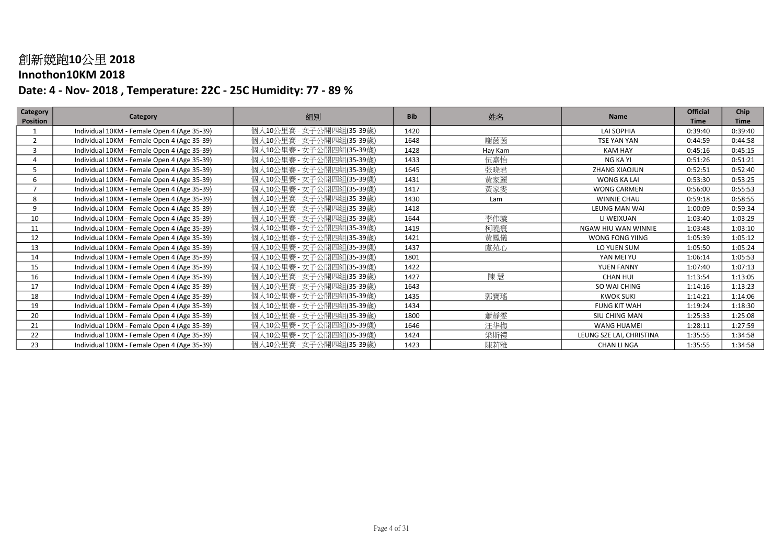#### Innothon10KM 2018

| Category        | Category                                    | 組別                       | <b>Bib</b> | 姓名      | <b>Name</b>              | <b>Official</b> | Chip        |
|-----------------|---------------------------------------------|--------------------------|------------|---------|--------------------------|-----------------|-------------|
| <b>Position</b> |                                             |                          |            |         |                          | <b>Time</b>     | <b>Time</b> |
|                 | Individual 10KM - Female Open 4 (Age 35-39) | 個人10公里賽 - 女子公開四組(35-39歲) | 1420       |         | LAI SOPHIA               | 0:39:40         | 0:39:40     |
| $\overline{2}$  | Individual 10KM - Female Open 4 (Age 35-39) | 個人10公里賽 - 女子公開四組(35-39歲) | 1648       | 謝茵茵     | <b>TSE YAN YAN</b>       | 0:44:59         | 0:44:58     |
| 3               | Individual 10KM - Female Open 4 (Age 35-39) | 個人10公里賽 - 女子公開四組(35-39歳) | 1428       | Hay Kam | <b>KAM HAY</b>           | 0:45:16         | 0:45:15     |
|                 | Individual 10KM - Female Open 4 (Age 35-39) | 個人10公里賽 - 女子公開四組(35-39歲) | 1433       | 伍嘉怡     | NG KA YI                 | 0:51:26         | 0:51:21     |
|                 | Individual 10KM - Female Open 4 (Age 35-39) | 個人10公里賽 - 女子公開四組(35-39歲) | 1645       | 张晓君     | ZHANG XIAOJUN            | 0:52:51         | 0:52:40     |
| 6               | Individual 10KM - Female Open 4 (Age 35-39) | 個人10公里賽 - 女子公開四組(35-39歲) | 1431       | 黃家麗     | WONG KA LAI              | 0:53:30         | 0:53:25     |
|                 | Individual 10KM - Female Open 4 (Age 35-39) | 個人10公里賽 - 女子公開四組(35-39歲) | 1417       | 黃家雯     | <b>WONG CARMEN</b>       | 0:56:00         | 0:55:53     |
| 8               | Individual 10KM - Female Open 4 (Age 35-39) | 個人10公里賽 - 女子公開四組(35-39歲) | 1430       | Lam     | <b>WINNIE CHAU</b>       | 0:59:18         | 0:58:55     |
| 9               | Individual 10KM - Female Open 4 (Age 35-39) | 個人10公里賽 - 女子公開四組(35-39歲) | 1418       |         | <b>LEUNG MAN WAI</b>     | 1:00:09         | 0:59:34     |
| 10              | Individual 10KM - Female Open 4 (Age 35-39) | 個人10公里賽 - 女子公開四組(35-39歲) | 1644       | 李伟璇     | LI WEIXUAN               | 1:03:40         | 1:03:29     |
| 11              | Individual 10KM - Female Open 4 (Age 35-39) | 個人10公里賽 - 女子公開四組(35-39歲) | 1419       | 柯曉寰     | NGAW HIU WAN WINNIE      | 1:03:48         | 1:03:10     |
| 12              | Individual 10KM - Female Open 4 (Age 35-39) | 個人10公里賽 - 女子公開四組(35-39歳) | 1421       | 黃鳳儀     | WONG FONG YIING          | 1:05:39         | 1:05:12     |
| 13              | Individual 10KM - Female Open 4 (Age 35-39) | 個人10公里賽 - 女子公開四組(35-39歲) | 1437       | 盧苑心     | LO YUEN SUM              | 1:05:50         | 1:05:24     |
| 14              | Individual 10KM - Female Open 4 (Age 35-39) | 個人10公里賽 - 女子公開四組(35-39歲) | 1801       |         | YAN MEI YU               | 1:06:14         | 1:05:53     |
| 15              | Individual 10KM - Female Open 4 (Age 35-39) | 個人10公里賽 - 女子公開四組(35-39歳) | 1422       |         | YUEN FANNY               | 1:07:40         | 1:07:13     |
| 16              | Individual 10KM - Female Open 4 (Age 35-39) | 個人10公里賽 - 女子公開四組(35-39歲) | 1427       | 陳慧      | <b>CHAN HUI</b>          | 1:13:54         | 1:13:05     |
| 17              | Individual 10KM - Female Open 4 (Age 35-39) | 個人10公里賽 - 女子公開四組(35-39歳) | 1643       |         | SO WAI CHING             | 1:14:16         | 1:13:23     |
| 18              | Individual 10KM - Female Open 4 (Age 35-39) | 個人10公里賽 - 女子公開四組(35-39歳) | 1435       | 郭寶瑤     | <b>KWOK SUKI</b>         | 1:14:21         | 1:14:06     |
| 19              | Individual 10KM - Female Open 4 (Age 35-39) | 個人10公里賽 - 女子公開四組(35-39歳) | 1434       |         | <b>FUNG KIT WAH</b>      | 1:19:24         | 1:18:30     |
| 20              | Individual 10KM - Female Open 4 (Age 35-39) | 個人10公里賽 - 女子公開四組(35-39歳) | 1800       | 蕭靜雯     | SIU CHING MAN            | 1:25:33         | 1:25:08     |
| 21              | Individual 10KM - Female Open 4 (Age 35-39) | 個人10公里賽 - 女子公開四組(35-39歲) | 1646       | 汪华梅     | <b>WANG HUAMEI</b>       | 1:28:11         | 1:27:59     |
| 22              | Individual 10KM - Female Open 4 (Age 35-39) | 個人10公里賽 - 女子公開四組(35-39歲) | 1424       | 梁斯禮     | LEUNG SZE LAI, CHRISTINA | 1:35:55         | 1:34:58     |
| 23              | Individual 10KM - Female Open 4 (Age 35-39) | 個人10公里賽 - 女子公開四組(35-39歲) | 1423       | 陳莉雅     | <b>CHAN LINGA</b>        | 1:35:55         | 1:34:58     |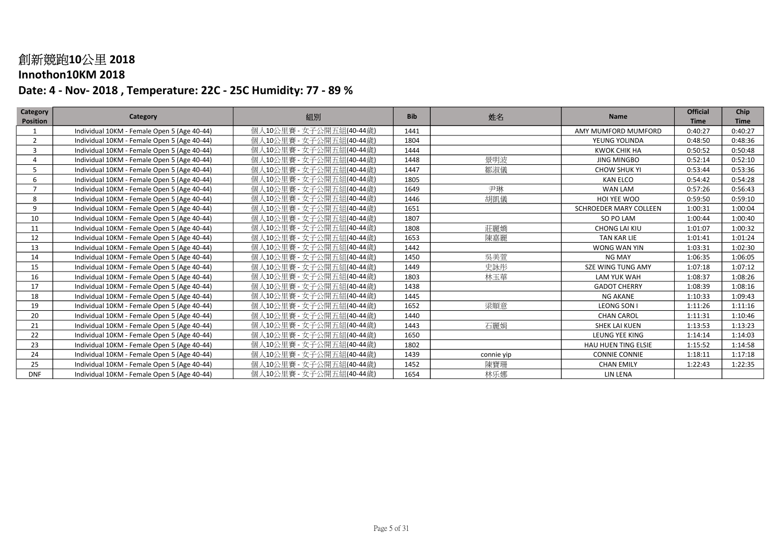#### Innothon10KM 2018

| Category        | Category                                    | 組別                       | <b>Bib</b> | 姓名         | <b>Name</b>            | <b>Official</b> | Chip        |
|-----------------|---------------------------------------------|--------------------------|------------|------------|------------------------|-----------------|-------------|
| <b>Position</b> |                                             |                          |            |            |                        | <b>Time</b>     | <b>Time</b> |
| -1              | Individual 10KM - Female Open 5 (Age 40-44) | 個人10公里賽 - 女子公開五組(40-44歲) | 1441       |            | AMY MUMFORD MUMFORD    | 0:40:27         | 0:40:27     |
| $\overline{2}$  | Individual 10KM - Female Open 5 (Age 40-44) | 個人10公里賽 - 女子公開五組(40-44歲) | 1804       |            | YEUNG YOLINDA          | 0:48:50         | 0:48:36     |
| $\overline{3}$  | Individual 10KM - Female Open 5 (Age 40-44) | 個人10公里賽 - 女子公開五組(40-44歲) | 1444       |            | <b>KWOK CHIK HA</b>    | 0:50:52         | 0:50:48     |
| 4               | Individual 10KM - Female Open 5 (Age 40-44) | 個人10公里賽 - 女子公開五組(40-44歲) | 1448       | 景明波        | <b>JING MINGBO</b>     | 0:52:14         | 0:52:10     |
| 5               | Individual 10KM - Female Open 5 (Age 40-44) | 個人10公里賽 - 女子公開五組(40-44歲) | 1447       | 鄒淑儀        | <b>CHOW SHUK YI</b>    | 0:53:44         | 0:53:36     |
| 6               | Individual 10KM - Female Open 5 (Age 40-44) | 個人10公里賽 - 女子公開五組(40-44歲) | 1805       |            | <b>KAN ELCO</b>        | 0:54:42         | 0:54:28     |
| $\overline{7}$  | Individual 10KM - Female Open 5 (Age 40-44) | 個人10公里賽 - 女子公開五組(40-44歲) | 1649       | 尹琳         | WAN LAM                | 0:57:26         | 0:56:43     |
| 8               | Individual 10KM - Female Open 5 (Age 40-44) | 個人10公里賽 - 女子公開五組(40-44歲) | 1446       | 胡凱儀        | HOI YEE WOO            | 0:59:50         | 0:59:10     |
| 9               | Individual 10KM - Female Open 5 (Age 40-44) | 個人10公里賽 - 女子公開五組(40-44歲) | 1651       |            | SCHROEDER MARY COLLEEN | 1:00:31         | 1:00:04     |
| 10              | Individual 10KM - Female Open 5 (Age 40-44) | 個人10公里賽 - 女子公開五組(40-44歲) | 1807       |            | SO PO LAM              | 1:00:44         | 1:00:40     |
| 11              | Individual 10KM - Female Open 5 (Age 40-44) | 個人10公里賽 - 女子公開五組(40-44歲) | 1808       | 莊麗嬌        | CHONG LAI KIU          | 1:01:07         | 1:00:32     |
| 12              | Individual 10KM - Female Open 5 (Age 40-44) | 個人10公里賽 - 女子公開五組(40-44歲) | 1653       | 陳嘉麗        | <b>TAN KAR LIE</b>     | 1:01:41         | 1:01:24     |
| 13              | Individual 10KM - Female Open 5 (Age 40-44) | 個人10公里賽 - 女子公開五組(40-44歲) | 1442       |            | WONG WAN YIN           | 1:03:31         | 1:02:30     |
| 14              | Individual 10KM - Female Open 5 (Age 40-44) | 個人10公里賽 - 女子公開五組(40-44歲) | 1450       | 吳美萱        | <b>NG MAY</b>          | 1:06:35         | 1:06:05     |
| 15              | Individual 10KM - Female Open 5 (Age 40-44) | 個人10公里賽 - 女子公開五組(40-44歲) | 1449       | 史詠彤        | SZE WING TUNG AMY      | 1:07:18         | 1:07:12     |
| 16              | Individual 10KM - Female Open 5 (Age 40-44) | 個人10公里賽 - 女子公開五組(40-44歲) | 1803       | 林玉華        | <b>LAM YUK WAH</b>     | 1:08:37         | 1:08:26     |
| 17              | Individual 10KM - Female Open 5 (Age 40-44) | 個人10公里賽 - 女子公開五組(40-44歲) | 1438       |            | <b>GADOT CHERRY</b>    | 1:08:39         | 1:08:16     |
| 18              | Individual 10KM - Female Open 5 (Age 40-44) | 個人10公里賽 - 女子公開五組(40-44歲) | 1445       |            | <b>NG AKANE</b>        | 1:10:33         | 1:09:43     |
| 19              | Individual 10KM - Female Open 5 (Age 40-44) | 個人10公里賽 - 女子公開五組(40-44歲) | 1652       | 梁順意        | LEONG SON I            | 1:11:26         | 1:11:16     |
| 20              | Individual 10KM - Female Open 5 (Age 40-44) | 個人10公里賽 - 女子公開五組(40-44歲) | 1440       |            | <b>CHAN CAROL</b>      | 1:11:31         | 1:10:46     |
| 21              | Individual 10KM - Female Open 5 (Age 40-44) | 個人10公里賽 - 女子公開五組(40-44歲) | 1443       | 石麗娟        | SHEK LAI KUEN          | 1:13:53         | 1:13:23     |
| 22              | Individual 10KM - Female Open 5 (Age 40-44) | 個人10公里賽 - 女子公開五組(40-44歲) | 1650       |            | LEUNG YEE KING         | 1:14:14         | 1:14:03     |
| 23              | Individual 10KM - Female Open 5 (Age 40-44) | 個人10公里賽 - 女子公開五組(40-44歲) | 1802       |            | HAU HUEN TING ELSIE    | 1:15:52         | 1:14:58     |
| 24              | Individual 10KM - Female Open 5 (Age 40-44) | 個人10公里賽 - 女子公開五組(40-44歲) | 1439       | connie yip | <b>CONNIE CONNIE</b>   | 1:18:11         | 1:17:18     |
| 25              | Individual 10KM - Female Open 5 (Age 40-44) | 個人10公里賽 - 女子公開五組(40-44歲) | 1452       | 陳寶珊        | <b>CHAN EMILY</b>      | 1:22:43         | 1:22:35     |
| <b>DNF</b>      | Individual 10KM - Female Open 5 (Age 40-44) | 個人10公里賽 - 女子公開五組(40-44歲) | 1654       | 林乐娜        | LIN LENA               |                 |             |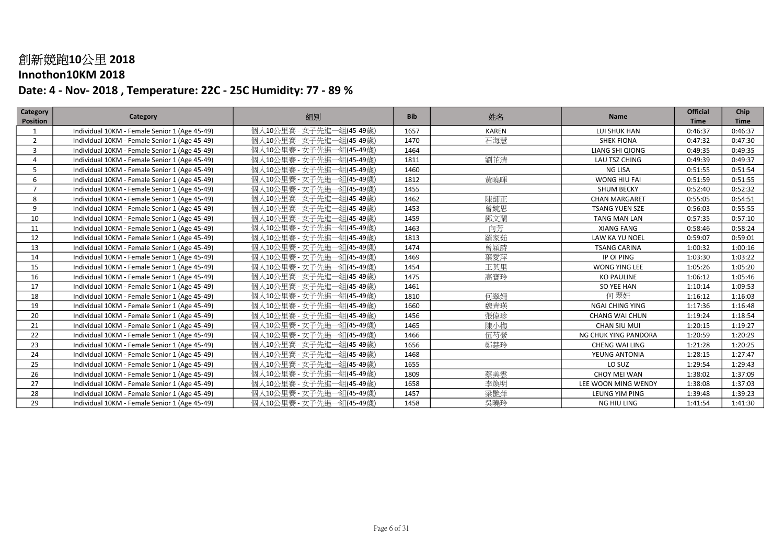#### Innothon10KM 2018

| Category<br><b>Position</b> | Category                                      | 組別                            | <b>Bib</b> | 姓名           | Name                   | <b>Official</b><br><b>Time</b> | Chip<br><b>Time</b> |
|-----------------------------|-----------------------------------------------|-------------------------------|------------|--------------|------------------------|--------------------------------|---------------------|
|                             | Individual 10KM - Female Senior 1 (Age 45-49) | -組(45-49歲)<br>個人10公里賽 - 女子先進  | 1657       | <b>KAREN</b> | LUI SHUK HAN           | 0:46:37                        | 0:46:37             |
| $\overline{2}$              | Individual 10KM - Female Senior 1 (Age 45-49) | 個人10公里賽 - 女子先進一組(45-49歳)      | 1470       | 石海慧          | <b>SHEK FIONA</b>      | 0:47:32                        | 0:47:30             |
| 3                           | Individual 10KM - Female Senior 1 (Age 45-49) | 個人10公里賽 - 女子先進一組(45-49歳)      | 1464       |              | LIANG SHI QIONG        | 0:49:35                        | 0:49:35             |
| 4                           | Individual 10KM - Female Senior 1 (Age 45-49) | 個人10公里賽 - 女子先進一組(45-49歳)      | 1811       | 劉芷清          | LAU TSZ CHING          | 0:49:39                        | 0:49:37             |
| 5                           | Individual 10KM - Female Senior 1 (Age 45-49) | 個人10公里賽 - 女子先進一組(45-49歳)      | 1460       |              | NG LISA                | 0:51:55                        | 0:51:54             |
| 6                           | Individual 10KM - Female Senior 1 (Age 45-49) | 個人10公里賽 - 女子先進一組(45-49歲)      | 1812       | 黃曉暉          | WONG HIU FAI           | 0:51:59                        | 0:51:55             |
| $\overline{7}$              | Individual 10KM - Female Senior 1 (Age 45-49) | 個人10公里賽 - 女子先進一組(45-49歳)      | 1455       |              | <b>SHUM BECKY</b>      | 0:52:40                        | 0:52:32             |
| 8                           | Individual 10KM - Female Senior 1 (Age 45-49) | 個人10公里賽 - 女子先進一組(45-49歳)      | 1462       | 陳師正          | <b>CHAN MARGARET</b>   | 0:55:05                        | 0:54:51             |
| 9                           | Individual 10KM - Female Senior 1 (Age 45-49) | 個人10公里賽 - 女子先進一組(45-49歳)      | 1453       | 曾婉思          | <b>TSANG YUEN SZE</b>  | 0:56:03                        | 0:55:55             |
| 10                          | Individual 10KM - Female Senior 1 (Age 45-49) | 個人10公里賽 - 女子先進一組(45-49歳)      | 1459       | 鄧文蘭          | <b>TANG MAN LAN</b>    | 0:57:35                        | 0:57:10             |
| 11                          | Individual 10KM - Female Senior 1 (Age 45-49) | 個人10公里賽 - 女子先進一組(45-49歳)      | 1463       | 向芳           | <b>XIANG FANG</b>      | 0:58:46                        | 0:58:24             |
| 12                          | Individual 10KM - Female Senior 1 (Age 45-49) | 個人10公里賽 - 女子先進一組(45-49歳)      | 1813       | 羅家茹          | LAW KA YU NOEL         | 0:59:07                        | 0:59:01             |
| 13                          | Individual 10KM - Female Senior 1 (Age 45-49) | 個人10公里賽 - 女子先進一組(45-49歲)      | 1474       | 曾穎詩          | <b>TSANG CARINA</b>    | 1:00:32                        | 1:00:16             |
| 14                          | Individual 10KM - Female Senior 1 (Age 45-49) | 個人10公里賽 - 女子先進一組(45-49歳)      | 1469       | 葉愛萍          | IP OI PING             | 1:03:30                        | 1:03:22             |
| 15                          | Individual 10KM - Female Senior 1 (Age 45-49) | 個人10公里賽 - 女子先進一組(45-49歳)      | 1454       | 王英里          | <b>WONG YING LEE</b>   | 1:05:26                        | 1:05:20             |
| 16                          | Individual 10KM - Female Senior 1 (Age 45-49) | 個人10公里賽 - 女子先進一組(45-49歳)      | 1475       | 高寶玲          | <b>KO PAULINE</b>      | 1:06:12                        | 1:05:46             |
| 17                          | Individual 10KM - Female Senior 1 (Age 45-49) | 個人10公里賽 - 女子先進一組(45-49歳)      | 1461       |              | SO YEE HAN             | 1:10:14                        | 1:09:53             |
| 18                          | Individual 10KM - Female Senior 1 (Age 45-49) | 個人10公里賽 - 女子先進一組(45-49歳)      | 1810       | 何翠姍          | 何翠姗                    | 1:16:12                        | 1:16:03             |
| 19                          | Individual 10KM - Female Senior 1 (Age 45-49) | 個人10公里賽 - 女子先進一組(45-49歳)      | 1660       | 魏青瑛          | <b>NGAI CHING YING</b> | 1:17:36                        | 1:16:48             |
| 20                          | Individual 10KM - Female Senior 1 (Age 45-49) | 個人10公里賽 - 女子先進一組(45-49歲)      | 1456       | 張偉珍          | <b>CHANG WAI CHUN</b>  | 1:19:24                        | 1:18:54             |
| 21                          | Individual 10KM - Female Senior 1 (Age 45-49) | 個人10公里賽 - 女子先進一組(45-49歳)      | 1465       | 陳小梅          | CHAN SIU MUI           | 1:20:15                        | 1:19:27             |
| 22                          | Individual 10KM - Female Senior 1 (Age 45-49) | 個人10公里賽 - 女子先進一組(45-49歳)      | 1466       | 伍芍縈          | NG CHUK YING PANDORA   | 1:20:59                        | 1:20:29             |
| 23                          | Individual 10KM - Female Senior 1 (Age 45-49) | 個人10公里賽 - 女子先進一組(45-49歳)      | 1656       | 鄭慧玲          | <b>CHENG WAI LING</b>  | 1:21:28                        | 1:20:25             |
| 24                          | Individual 10KM - Female Senior 1 (Age 45-49) | 個人10公里賽 - 女子先進一組(45-49歳)      | 1468       |              | YEUNG ANTONIA          | 1:28:15                        | 1:27:47             |
| 25                          | Individual 10KM - Female Senior 1 (Age 45-49) | 個人10公里賽 - 女子先進一組(45-49歳)      | 1655       |              | LO SUZ                 | 1:29:54                        | 1:29:43             |
| 26                          | Individual 10KM - Female Senior 1 (Age 45-49) | 個人10公里賽 - 女子先進一組(45-49歳)      | 1809       | 蔡美雲          | CHOY MEI WAN           | 1:38:02                        | 1:37:09             |
| 27                          | Individual 10KM - Female Senior 1 (Age 45-49) | 個人10公里賽 - 女子先進-<br>一組(45-49歲) | 1658       | 李煥明          | LEE WOON MING WENDY    | 1:38:08                        | 1:37:03             |
| 28                          | Individual 10KM - Female Senior 1 (Age 45-49) | 個人10公里賽 - 女子先進一組(45-49歲)      | 1457       | 梁艷萍          | LEUNG YIM PING         | 1:39:48                        | 1:39:23             |
| 29                          | Individual 10KM - Female Senior 1 (Age 45-49) | 個人10公里賽 - 女子先進一組(45-49歲)      | 1458       | 吳曉玲          | NG HIU LING            | 1:41:54                        | 1:41:30             |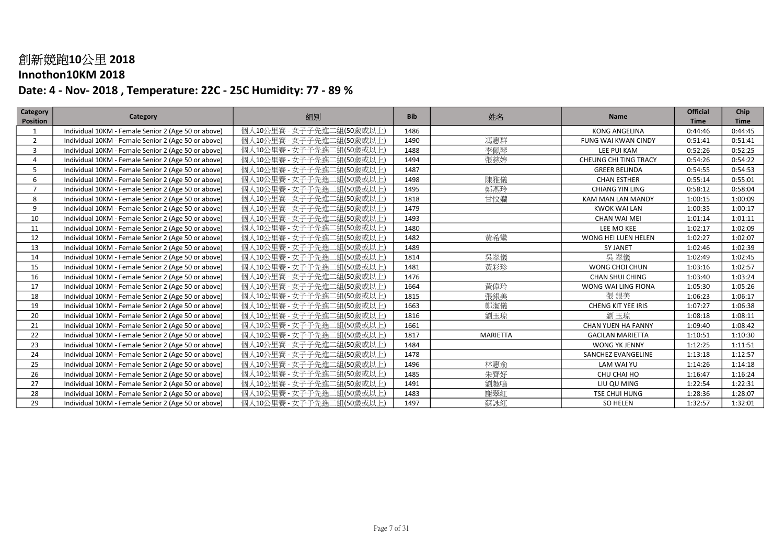### Innothon10KM 2018

| <b>Category</b> | Category                                            | 組別                            | <b>Bib</b> | 姓名              | Name                    | <b>Official</b> | Chip        |
|-----------------|-----------------------------------------------------|-------------------------------|------------|-----------------|-------------------------|-----------------|-------------|
| <b>Position</b> |                                                     |                               |            |                 |                         | <b>Time</b>     | <b>Time</b> |
|                 | Individual 10KM - Female Senior 2 (Age 50 or above) | 1組(50歲或以上<br>個人10公里賽 - 女子子先進  | 1486       |                 | <b>KONG ANGELINA</b>    | 0:44:46         | 0:44:45     |
| $\overline{2}$  | Individual 10KM - Female Senior 2 (Age 50 or above) | 個人10公里賽 - 女子子先進二組(50歳或以上)     | 1490       | 馮惠群             | FUNG WAI KWAN CINDY     | 0:51:41         | 0:51:41     |
| 3               | Individual 10KM - Female Senior 2 (Age 50 or above) | 個人10公里賽 - 女子子先進<br>二組(50歳或以上) | 1488       | 李佩琴             | LEE PUI KAM             | 0:52:26         | 0:52:25     |
| 4               | Individual 10KM - Female Senior 2 (Age 50 or above) | 個人10公里賽 - 女子子先進二組(50歳或以上      | 1494       | 張慈婷             | CHEUNG CHI TING TRACY   | 0:54:26         | 0:54:22     |
| 5               | Individual 10KM - Female Senior 2 (Age 50 or above) | 個人10公里賽 - 女子子先進二組(50歳或以上)     | 1487       |                 | <b>GREER BELINDA</b>    | 0:54:55         | 0:54:53     |
| 6               | Individual 10KM - Female Senior 2 (Age 50 or above) | 個人10公里賽 - 女子子先進二組(50歲或以上      | 1498       | 陳雅儀             | <b>CHAN ESTHER</b>      | 0:55:14         | 0:55:01     |
|                 | Individual 10KM - Female Senior 2 (Age 50 or above) | 個人10公里賽 - 女子子先進二組(50歲或以上      | 1495       | 鄭燕玲             | <b>CHIANG YIN LING</b>  | 0:58:12         | 0:58:04     |
| 8               | Individual 10KM - Female Senior 2 (Age 50 or above) | 個人10公里賽 - 女子子先進<br>二組(50歳或以上  | 1818       | 甘忟孏             | KAM MAN LAN MANDY       | 1:00:15         | 1:00:09     |
| 9               | Individual 10KM - Female Senior 2 (Age 50 or above) | 個人10公里賽 - 女子子先進二組(50歲或以上)     | 1479       |                 | <b>KWOK WAI LAN</b>     | 1:00:35         | 1:00:17     |
| 10              | Individual 10KM - Female Senior 2 (Age 50 or above) | 個人10公里賽 - 女子子先進<br>ニ組(50歳或以上) | 1493       |                 | <b>CHAN WAI MEI</b>     | 1:01:14         | 1:01:11     |
| 11              | Individual 10KM - Female Senior 2 (Age 50 or above) | 個人10公里賽 - 女子子先進二組(50歲或以上      | 1480       |                 | LEE MO KEE              | 1:02:17         | 1:02:09     |
| 12              | Individual 10KM - Female Senior 2 (Age 50 or above) | 個人10公里賽 - 女子子先進二組(50歲或以上)     | 1482       | 黃希鸞             | WONG HEI LUEN HELEN     | 1:02:27         | 1:02:07     |
| 13              | Individual 10KM - Female Senior 2 (Age 50 or above) | 個人10公里賽 - 女子子先進二組(50歲或以上      | 1489       |                 | <b>SY JANET</b>         | 1:02:46         | 1:02:39     |
| 14              | Individual 10KM - Female Senior 2 (Age 50 or above) | 個人10公里賽 - 女子子先進二組(50歲或以上)     | 1814       | 吳翠儀             | 吳翠儀                     | 1:02:49         | 1:02:45     |
| 15              | Individual 10KM - Female Senior 2 (Age 50 or above) | 個人10公里賽 - 女子子先進二組(50歲或以上)     | 1481       | 黃彩珍             | WONG CHOI CHUN          | 1:03:16         | 1:02:57     |
| 16              | Individual 10KM - Female Senior 2 (Age 50 or above) | 個人10公里賽 - 女子子先進二組(50歳或以上)     | 1476       |                 | <b>CHAN SHUI CHING</b>  | 1:03:40         | 1:03:24     |
| 17              | Individual 10KM - Female Senior 2 (Age 50 or above) | 個人10公里賽 - 女子子先進二組(50歲或以上)     | 1664       | 黃偉玲             | WONG WAI LING FIONA     | 1:05:30         | 1:05:26     |
| 18              | Individual 10KM - Female Senior 2 (Age 50 or above) | 個人10公里賽 - 女子子先進二組(50歲或以上)     | 1815       | 張銀美             | 張銀美                     | 1:06:23         | 1:06:17     |
| 19              | Individual 10KM - Female Senior 2 (Age 50 or above) | 個人10公里賽 - 女子子先進二組(50歳或以上)     | 1663       | 鄭潔儀             | CHENG KIT YEE IRIS      | 1:07:27         | 1:06:38     |
| 20              | Individual 10KM - Female Senior 2 (Age 50 or above) | 個人10公里賽 - 女子子先進二組(50歳或以上)     | 1816       | 劉玉琼             | 劉玉琼                     | 1:08:18         | 1:08:11     |
| 21              | Individual 10KM - Female Senior 2 (Age 50 or above) | 個人10公里賽 - 女子子先進二組(50歳或以上)     | 1661       |                 | CHAN YUEN HA FANNY      | 1:09:40         | 1:08:42     |
| 22              | Individual 10KM - Female Senior 2 (Age 50 or above) | 個人10公里賽 - 女子子先進<br>二組(50歳或以上  | 1817       | <b>MARIETTA</b> | <b>GACILAN MARIETTA</b> | 1:10:51         | 1:10:30     |
| 23              | Individual 10KM - Female Senior 2 (Age 50 or above) | 個人10公里賽 - 女子子先進二組(50歲或以上      | 1484       |                 | WONG YK JENNY           | 1:12:25         | 1:11:51     |
| 24              | Individual 10KM - Female Senior 2 (Age 50 or above) | 個人10公里賽 - 女子子先進二組(50歲或以上      | 1478       |                 | SANCHEZ EVANGELINE      | 1:13:18         | 1:12:57     |
| 25              | Individual 10KM - Female Senior 2 (Age 50 or above) | 個人10公里賽 - 女子子先進<br>二組(50歲或以上  | 1496       | 林惠俞             | LAM WAI YU              | 1:14:26         | 1:14:18     |
| 26              | Individual 10KM - Female Senior 2 (Age 50 or above) | 個人10公里賽 - 女子子先進<br>二組(50歳或以上  | 1485       | 朱齊好             | CHU CHAI HO             | 1:16:47         | 1:16:24     |
| 27              | Individual 10KM - Female Senior 2 (Age 50 or above) | 個人10公里賽 - 女子子先進<br>[組(50歳或以上) | 1491       | 劉趣鳴             | LIU QU MING             | 1:22:54         | 1:22:31     |
| 28              | Individual 10KM - Female Senior 2 (Age 50 or above) | 個人10公里賽 - 女子子先進二組(50歳或以上)     | 1483       | 謝翠紅             | TSE CHUI HUNG           | 1:28:36         | 1:28:07     |
| 29              | Individual 10KM - Female Senior 2 (Age 50 or above) | 個人10公里賽 - 女子子先進二組(50歲或以上      | 1497       | 蘇詠紅             | <b>SO HELEN</b>         | 1:32:57         | 1:32:01     |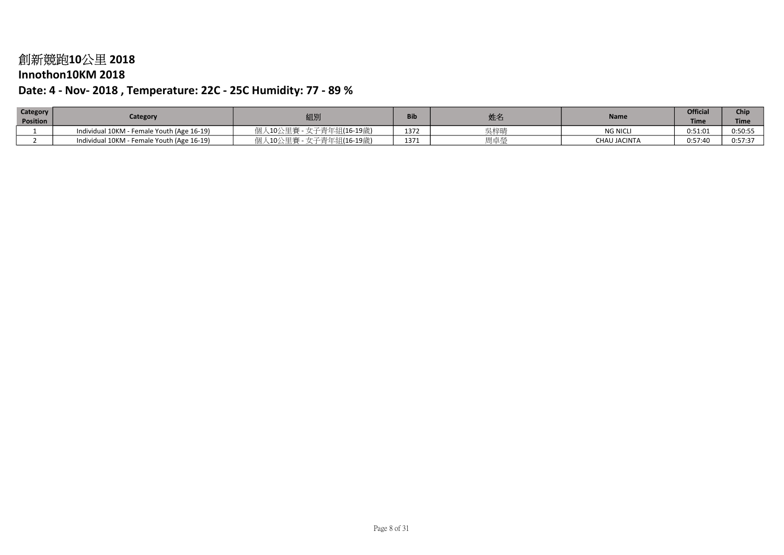### Innothon10KM 2018

| Category        | Category                                   | 組別                              | Bib  |         | <b>Name</b>         | <b>Official</b> | Chip        |
|-----------------|--------------------------------------------|---------------------------------|------|---------|---------------------|-----------------|-------------|
| <b>Position</b> |                                            |                                 |      | 灶仁      |                     | Time            | <b>Time</b> |
|                 | Individual 10KM - Female Youth (Age 16-19) | <b>_女子青年組(16-19歳)</b><br>10/八田塞 | 1372 | 号柱대     | <b>NG NICL</b>      | 0:51:01         | 0:50:55     |
|                 | Individual 10KM - Female Youth (Age 16-19) | 青年組(16-19歳)                     | 1371 | HH 上 XV | <b>CHAU JACINTA</b> | 0:57:40         | 0:57:37     |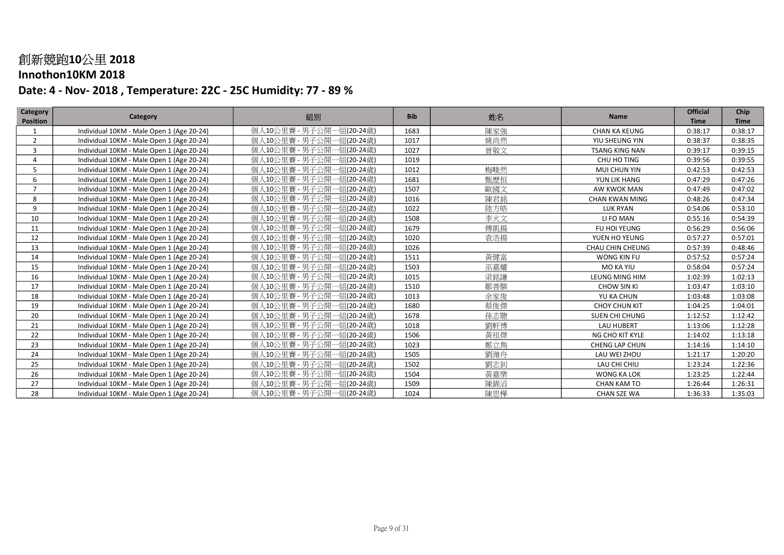### Innothon10KM 2018

| <b>Category</b> | Category                                  | 組別                            | <b>Bib</b> | 姓名  | <b>Name</b>           | <b>Official</b> | Chip        |
|-----------------|-------------------------------------------|-------------------------------|------------|-----|-----------------------|-----------------|-------------|
| <b>Position</b> |                                           |                               |            |     |                       | <b>Time</b>     | <b>Time</b> |
|                 | Individual 10KM - Male Open 1 (Age 20-24) | 個人10公里賽 - 男子公開-<br>-組(20-24歲) | 1683       | 陳家強 | <b>CHAN KA KEUNG</b>  | 0:38:17         | 0:38:17     |
| $\overline{2}$  | Individual 10KM - Male Open 1 (Age 20-24) | 個人10公里賽 - 男子公開-<br>一組(20-24歲) | 1017       | 姚尚然 | YIU SHEUNG YIN        | 0:38:37         | 0:38:35     |
| 3               | Individual 10KM - Male Open 1 (Age 20-24) | 個人10公里賽 - 男子公開-<br>一組(20-24歲) | 1027       | 曾敬文 | <b>TSANG KING NAN</b> | 0:39:17         | 0:39:15     |
| 4               | Individual 10KM - Male Open 1 (Age 20-24) | 個人10公里賽 - 男子公開-<br>一組(20-24歲) | 1019       |     | CHU HO TING           | 0:39:56         | 0:39:55     |
| 5               | Individual 10KM - Male Open 1 (Age 20-24) | 個人10公里賽 - 男子公開一組(20-24歲)      | 1012       | 梅畯然 | MUI CHUN YIN          | 0:42:53         | 0:42:53     |
| 6               | Individual 10KM - Male Open 1 (Age 20-24) | 個人10公里賽 - 男子公開一組(20-24歲)      | 1681       | 甄歷恒 | YUN LIK HANG          | 0:47:29         | 0:47:26     |
| $\overline{7}$  | Individual 10KM - Male Open 1 (Age 20-24) | 個人10公里賽 - 男子公開一組(20-24歳)      | 1507       | 歐國文 | AW KWOK MAN           | 0:47:49         | 0:47:02     |
| 8               | Individual 10KM - Male Open 1 (Age 20-24) | 個人10公里賽 - 男子公開一組(20-24歳)      | 1016       | 陳君銘 | <b>CHAN KWAN MING</b> | 0:48:26         | 0:47:34     |
| 9               | Individual 10KM - Male Open 1 (Age 20-24) | 個人10公里賽 - 男子公開一組(20-24歲)      | 1022       | 陸方皓 | <b>LUK RYAN</b>       | 0:54:06         | 0:53:10     |
| 10              | Individual 10KM - Male Open 1 (Age 20-24) | 個人10公里賽 - 男子公開一組(20-24歲)      | 1508       | 李火文 | LI FO MAN             | 0:55:16         | 0:54:39     |
| 11              | Individual 10KM - Male Open 1 (Age 20-24) | 個人10公里賽 - 男子公開一組(20-24歳)      | 1679       | 傅凱揚 | FU HOI YEUNG          | 0:56:29         | 0:56:06     |
| 12              | Individual 10KM - Male Open 1 (Age 20-24) | 個人10公里賽 - 男子公開一組(20-24歳)      | 1020       | 袁浩揚 | YUEN HO YEUNG         | 0:57:27         | 0:57:01     |
| 13              | Individual 10KM - Male Open 1 (Age 20-24) | 個人10公里賽 - 男子公開一組(20-24歳)      | 1026       |     | CHAU CHIN CHEUNG      | 0:57:39         | 0:48:46     |
| 14              | Individual 10KM - Male Open 1 (Age 20-24) | 個人10公里賽 - 男子公開一組(20-24歲)      | 1511       | 黃健富 | WONG KIN FU           | 0:57:52         | 0:57:24     |
| 15              | Individual 10KM - Male Open 1 (Age 20-24) | 個人10公里賽 - 男子公開一組(20-24歳)      | 1503       | 巫嘉耀 | MO KA YIU             | 0:58:04         | 0:57:24     |
| 16              | Individual 10KM - Male Open 1 (Age 20-24) | 個人10公里賽 - 男子公開一組(20-24歳)      | 1015       | 梁銘謙 | LEUNG MING HIM        | 1:02:39         | 1:02:13     |
| 17              | Individual 10KM - Male Open 1 (Age 20-24) | 個人10公里賽 - 男子公開一組(20-24歲)      | 1510       | 鄒善騏 | <b>CHOW SIN KI</b>    | 1:03:47         | 1:03:10     |
| 18              | Individual 10KM - Male Open 1 (Age 20-24) | 個人10公里賽 - 男子公開一組(20-24歳)      | 1013       | 余家俊 | YU KA CHUN            | 1:03:48         | 1:03:08     |
| 19              | Individual 10KM - Male Open 1 (Age 20-24) | 個人10公里賽 - 男子公開一組(20-24歲)      | 1680       | 蔡俊傑 | <b>CHOY CHUN KIT</b>  | 1:04:25         | 1:04:01     |
| 20              | Individual 10KM - Male Open 1 (Age 20-24) | 個人10公里賽 - 男子公開一組(20-24歲)      | 1678       | 孫志聰 | SUEN CHI CHUNG        | 1:12:52         | 1:12:42     |
| 21              | Individual 10KM - Male Open 1 (Age 20-24) | 個人10公里賽 - 男子公開一組(20-24歲)      | 1018       | 劉軒博 | <b>LAU HUBERT</b>     | 1:13:06         | 1:12:28     |
| 22              | Individual 10KM - Male Open 1 (Age 20-24) | 個人10公里賽 - 男子公開一組(20-24歲)      | 1506       | 黃祖傑 | NG CHO KIT KYLE       | 1:14:02         | 1:13:18     |
| 23              | Individual 10KM - Male Open 1 (Age 20-24) | 個人10公里賽 - 男子公開一組(20-24歳)      | 1023       | 鄭立雋 | <b>CHENG LAP CHUN</b> | 1:14:16         | 1:14:10     |
| 24              | Individual 10KM - Male Open 1 (Age 20-24) | 個人10公里賽 - 男子公開一組(20-24歲)      | 1505       | 劉濰舟 | LAU WEI ZHOU          | 1:21:17         | 1:20:20     |
| 25              | Individual 10KM - Male Open 1 (Age 20-24) | 個人10公里賽 - 男子公開一組(20-24歳)      | 1502       | 劉志釗 | LAU CHI CHIU          | 1:23:24         | 1:22:36     |
| 26              | Individual 10KM - Male Open 1 (Age 20-24) | 個人10公里賽 - 男子公開·<br>·組(20-24歲) | 1504       | 黃嘉樂 | WONG KA LOK           | 1:23:25         | 1:22:44     |
| 27              | Individual 10KM - Male Open 1 (Age 20-24) | 個人10公里賽 - 男子公開一組(20-24歳)      | 1509       | 陳錦滔 | <b>CHAN KAM TO</b>    | 1:26:44         | 1:26:31     |
| 28              | Individual 10KM - Male Open 1 (Age 20-24) | 個人10公里賽 - 男子公開一組(20-24歲)      | 1024       | 陳思樺 | CHAN SZE WA           | 1:36:33         | 1:35:03     |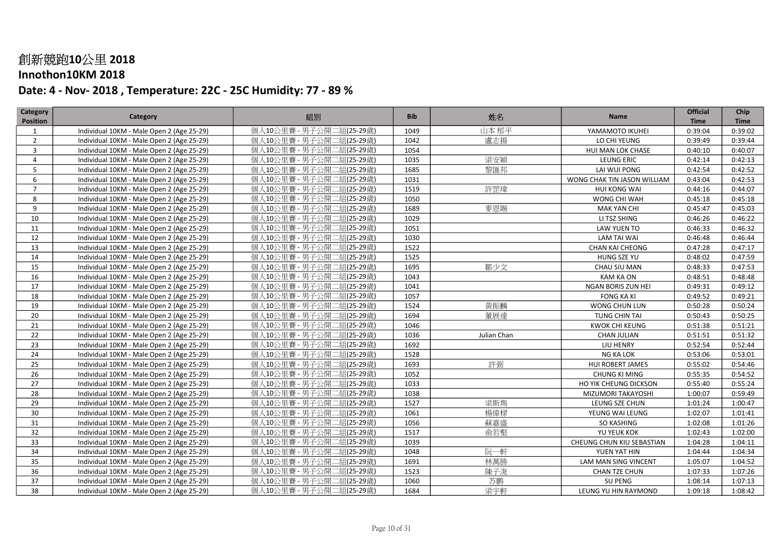### Innothon10KM 2018

| Category        | Category                                  | 組別                       | <b>Bib</b> | 姓名          | Name                        | <b>Official</b> | Chip        |
|-----------------|-------------------------------------------|--------------------------|------------|-------------|-----------------------------|-----------------|-------------|
| <b>Position</b> |                                           |                          |            |             |                             | <b>Time</b>     | <b>Time</b> |
| $\mathbf{1}$    | Individual 10KM - Male Open 2 (Age 25-29) | 個人10公里賽 - 男子公開二組(25-29歲) | 1049       | 山本郁平        | YAMAMOTO IKUHEI             | 0:39:04         | 0:39:02     |
| $\overline{2}$  | Individual 10KM - Male Open 2 (Age 25-29) | 個人10公里賽 - 男子公開二組(25-29歲) | 1042       | 盧志揚         | LO CHI YEUNG                | 0:39:49         | 0:39:44     |
| $\overline{3}$  | Individual 10KM - Male Open 2 (Age 25-29) | 個人10公里賽 - 男子公開二組(25-29歲) | 1054       |             | HUI MAN LOK CHASE           | 0:40:10         | 0:40:07     |
| $\overline{4}$  | Individual 10KM - Male Open 2 (Age 25-29) | 個人10公里賽 - 男子公開二組(25-29歲) | 1035       | 梁安穎         | LEUNG ERIC                  | 0:42:14         | 0:42:13     |
| 5               | Individual 10KM - Male Open 2 (Age 25-29) | 個人10公里賽 - 男子公開二組(25-29歲) | 1685       | 黎匯邦         | LAI WUI PONG                | 0:42:54         | 0:42:52     |
| 6               | Individual 10KM - Male Open 2 (Age 25-29) | 個人10公里賽 - 男子公開二組(25-29歳) | 1031       |             | WONG CHAK TIN JASON WILLIAM | 0:43:04         | 0:42:53     |
| $\overline{7}$  | Individual 10KM - Male Open 2 (Age 25-29) | 個人10公里賽 - 男子公開二組(25-29歳) | 1519       | 許罡瑋         | <b>HUI KONG WAI</b>         | 0:44:16         | 0:44:07     |
| 8               | Individual 10KM - Male Open 2 (Age 25-29) | 個人10公里賽 - 男子公開二組(25-29歲) | 1050       |             | WONG CHI WAH                | 0:45:18         | 0:45:18     |
| 9               | Individual 10KM - Male Open 2 (Age 25-29) | 個人10公里賽 - 男子公開二組(25-29歲) | 1689       | 麥恩賜         | <b>MAK YAN CHI</b>          | 0:45:47         | 0:45:03     |
| 10              | Individual 10KM - Male Open 2 (Age 25-29) | 個人10公里賽 - 男子公開二組(25-29歲) | 1029       |             | LI TSZ SHING                | 0:46:26         | 0:46:22     |
| 11              | Individual 10KM - Male Open 2 (Age 25-29) | 個人10公里賽 - 男子公開二組(25-29歲) | 1051       |             | LAW YUEN TO                 | 0:46:33         | 0:46:32     |
| 12              | Individual 10KM - Male Open 2 (Age 25-29) | 個人10公里賽 - 男子公開二組(25-29歲) | 1030       |             | <b>LAM TAI WAI</b>          | 0:46:48         | 0:46:44     |
| 13              | Individual 10KM - Male Open 2 (Age 25-29) | 個人10公里賽 - 男子公開二組(25-29歲) | 1522       |             | <b>CHAN KAI CHEONG</b>      | 0:47:28         | 0:47:17     |
| 14              | Individual 10KM - Male Open 2 (Age 25-29) | 個人10公里賽 - 男子公開二組(25-29歳) | 1525       |             | HUNG SZE YU                 | 0:48:02         | 0:47:59     |
| 15              | Individual 10KM - Male Open 2 (Age 25-29) | 個人10公里賽 - 男子公開二組(25-29歳) | 1695       | 鄒少文         | CHAU SIU MAN                | 0:48:33         | 0:47:53     |
| 16              | Individual 10KM - Male Open 2 (Age 25-29) | 個人10公里賽 - 男子公開二組(25-29歲) | 1043       |             | <b>KAM KA ON</b>            | 0:48:51         | 0:48:48     |
| 17              | Individual 10KM - Male Open 2 (Age 25-29) | 個人10公里賽 - 男子公開二組(25-29歲) | 1041       |             | NGAN BORIS ZUN HEI          | 0:49:31         | 0:49:12     |
| 18              | Individual 10KM - Male Open 2 (Age 25-29) | 個人10公里賽 - 男子公開二組(25-29歲) | 1057       |             | <b>FONG KA KI</b>           | 0:49:52         | 0:49:21     |
| 19              | Individual 10KM - Male Open 2 (Age 25-29) | 個人10公里賽 - 男子公開二組(25-29歲) | 1524       | 黃振麟         | WONG CHUN LUN               | 0:50:28         | 0:50:24     |
| 20              | Individual 10KM - Male Open 2 (Age 25-29) | 個人10公里賽 - 男子公開二組(25-29歲) | 1694       | 董展達         | TUNG CHIN TAI               | 0:50:43         | 0:50:25     |
| 21              | Individual 10KM - Male Open 2 (Age 25-29) | 個人10公里賽 - 男子公開二組(25-29歲) | 1046       |             | <b>KWOK CHI KEUNG</b>       | 0:51:38         | 0:51:21     |
| 22              | Individual 10KM - Male Open 2 (Age 25-29) | 個人10公里賽 - 男子公開二組(25-29歳) | 1036       | Julian Chan | <b>CHAN JULIAN</b>          | 0:51:51         | 0:51:32     |
| 23              | Individual 10KM - Male Open 2 (Age 25-29) | 個人10公里賽 - 男子公開二組(25-29歳) | 1692       |             | LIU HENRY                   | 0:52:54         | 0:52:44     |
| 24              | Individual 10KM - Male Open 2 (Age 25-29) | 個人10公里賽 - 男子公開二組(25-29歳) | 1528       |             | NG KA LOK                   | 0:53:06         | 0:53:01     |
| 25              | Individual 10KM - Male Open 2 (Age 25-29) | 個人10公里賽 - 男子公開二組(25-29歲) | 1693       | 許弼          | HUI ROBERT JAMES            | 0:55:02         | 0:54:46     |
| 26              | Individual 10KM - Male Open 2 (Age 25-29) | 個人10公里賽 - 男子公開二組(25-29歲) | 1052       |             | <b>CHUNG KI MING</b>        | 0:55:35         | 0:54:52     |
| 27              | Individual 10KM - Male Open 2 (Age 25-29) | 個人10公里賽 - 男子公開二組(25-29歲) | 1033       |             | HO YIK CHEUNG DICKSON       | 0:55:40         | 0:55:24     |
| 28              | Individual 10KM - Male Open 2 (Age 25-29) | 個人10公里賽 - 男子公開二組(25-29歲) | 1038       |             | MIZUMORI TAKAYOSHI          | 1:00:07         | 0:59:49     |
| 29              | Individual 10KM - Male Open 2 (Age 25-29) | 個人10公里賽 - 男子公開二組(25-29歲) | 1527       | 梁斯雋         | LEUNG SZE CHUN              | 1:01:24         | 1:00:47     |
| 30              | Individual 10KM - Male Open 2 (Age 25-29) | 個人10公里賽 - 男子公開二組(25-29歳) | 1061       | 楊偉樑         | YEUNG WAI LEUNG             | 1:02:07         | 1:01:41     |
| 31              | Individual 10KM - Male Open 2 (Age 25-29) | 個人10公里賽 - 男子公開二組(25-29歳) | 1056       | 蘇嘉盛         | <b>SO KASHING</b>           | 1:02:08         | 1:01:26     |
| 32              | Individual 10KM - Male Open 2 (Age 25-29) | 個人10公里賽 - 男子公開二組(25-29歲) | 1517       | 俞若壑         | YU YEUK KOK                 | 1:02:43         | 1:02:00     |
| 33              | Individual 10KM - Male Open 2 (Age 25-29) | 個人10公里賽 - 男子公開二組(25-29歲) | 1039       |             | CHEUNG CHUN KIU SEBASTIAN   | 1:04:28         | 1:04:11     |
| 34              | Individual 10KM - Male Open 2 (Age 25-29) | 個人10公里賽 - 男子公開二組(25-29歲) | 1048       | 阮一軒         | YUEN YAT HIN                | 1:04:44         | 1:04:34     |
| 35              | Individual 10KM - Male Open 2 (Age 25-29) | 個人10公里賽 - 男子公開二組(25-29歲) | 1691       | 林萬勝         | LAM MAN SING VINCENT        | 1:05:07         | 1:04:52     |
| 36              | Individual 10KM - Male Open 2 (Age 25-29) | 個人10公里賽 - 男子公開二組(25-29歲) | 1523       | 陳子浚         | CHAN TZE CHUN               | 1:07:33         | 1:07:26     |
| 37              | Individual 10KM - Male Open 2 (Age 25-29) | 個人10公里賽 - 男子公開二組(25-29歳) | 1060       | 苏鹏          | SU PENG                     | 1:08:14         | 1:07:13     |
| 38              | Individual 10KM - Male Open 2 (Age 25-29) | 個人10公里賽 - 男子公開二組(25-29歲) | 1684       | 梁宇軒         | LEUNG YU HIN RAYMOND        | 1:09:18         | 1:08:42     |
|                 |                                           |                          |            |             |                             |                 |             |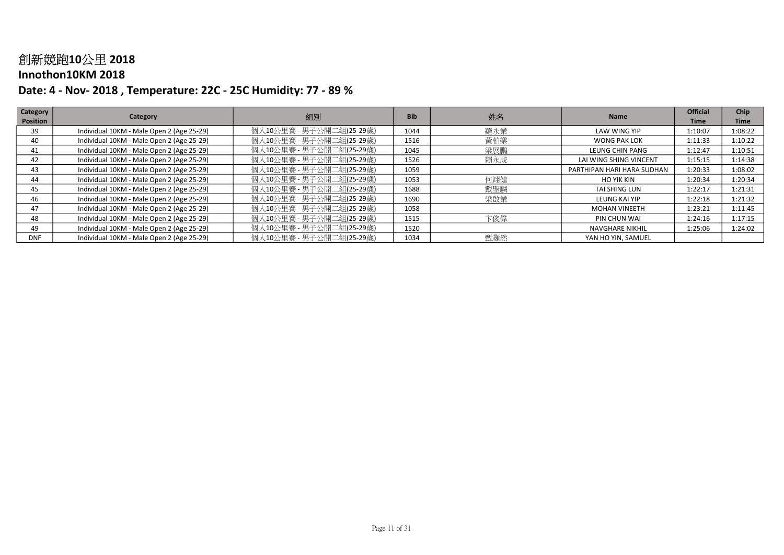### Innothon10KM 2018

| Category        | Category                                  | 組別                       | <b>Bib</b> |     | <b>Name</b>                | <b>Official</b> | Chip        |
|-----------------|-------------------------------------------|--------------------------|------------|-----|----------------------------|-----------------|-------------|
| <b>Position</b> |                                           |                          |            | 姓名  |                            | <b>Time</b>     | <b>Time</b> |
| 39              | Individual 10KM - Male Open 2 (Age 25-29) | 個人10公里賽 - 男子公開二組(25-29歲) | 1044       | 羅永業 | LAW WING YIP               | 1:10:07         | 1:08:22     |
| 40              | Individual 10KM - Male Open 2 (Age 25-29) | 個人10公里賽 - 男子公開二組(25-29歳) | 1516       | 黃柏樂 | WONG PAK LOK               | 1:11:33         | 1:10:22     |
| 41              | Individual 10KM - Male Open 2 (Age 25-29) | 個人10公里賽 - 男子公開二組(25-29歲) | 1045       | 梁展鵬 | LEUNG CHIN PANG            | 1:12:47         | 1:10:51     |
| 42              | Individual 10KM - Male Open 2 (Age 25-29) | 個人10公里賽 - 男子公開二組(25-29歳) | 1526       | 賴永成 | LAI WING SHING VINCENT     | 1:15:15         | 1:14:38     |
| 43              | Individual 10KM - Male Open 2 (Age 25-29) | 個人10公里賽 - 男子公開二組(25-29歳) | 1059       |     | PARTHIPAN HARI HARA SUDHAN | 1:20:33         | 1:08:02     |
| 44              | Individual 10KM - Male Open 2 (Age 25-29) | 個人10公里賽 - 男子公開二組(25-29歲) | 1053       | 何翊健 | <b>HO YIK KIN</b>          | 1:20:34         | 1:20:34     |
| 45              | Individual 10KM - Male Open 2 (Age 25-29) | 個人10公里賽 - 男子公開二組(25-29歳) | 1688       | 戴聖麟 | TAI SHING LUN              | 1:22:17         | 1:21:31     |
| 46              | Individual 10KM - Male Open 2 (Age 25-29) | 個人10公里賽 - 男子公開二組(25-29歲) | 1690       | 梁啟業 | LEUNG KAI YIP              | 1:22:18         | 1:21:32     |
| 47              | Individual 10KM - Male Open 2 (Age 25-29) | 個人10公里賽 - 男子公開二組(25-29歲) | 1058       |     | <b>MOHAN VINEETH</b>       | 1:23:21         | 1:11:45     |
| 48              | Individual 10KM - Male Open 2 (Age 25-29) | 個人10公里賽 - 男子公開二組(25-29歳) | 1515       | 卞俊偉 | PIN CHUN WAI               | 1:24:16         | 1:17:15     |
| 49              | Individual 10KM - Male Open 2 (Age 25-29) | 個人10公里賽 - 男子公開二組(25-29歲) | 1520       |     | NAVGHARE NIKHIL            | 1:25:06         | 1:24:02     |
| <b>DNF</b>      | Individual 10KM - Male Open 2 (Age 25-29) | 個人10公里賽 - 男子公開二組(25-29歲) | 1034       | 甄灝然 | YAN HO YIN, SAMUEL         |                 |             |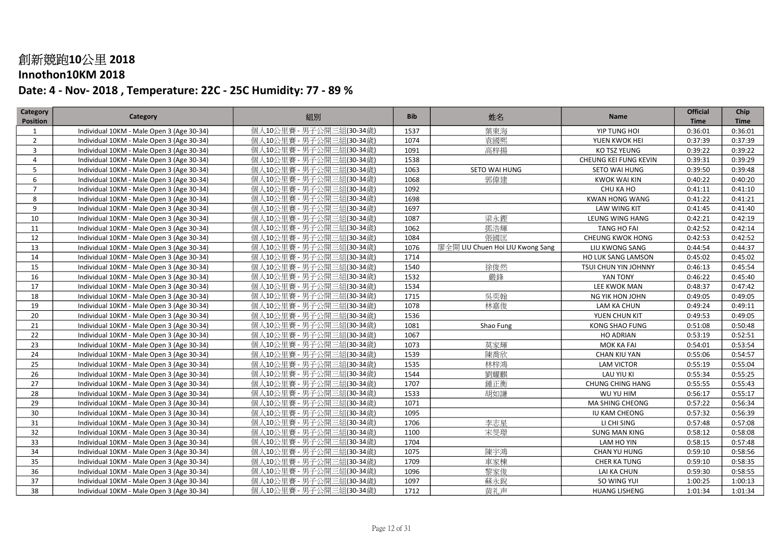### Innothon10KM 2018

| Category        | Category                                  | 組別                       | <b>Bib</b> | 姓名                               | Name                    | <b>Official</b> | Chip        |
|-----------------|-------------------------------------------|--------------------------|------------|----------------------------------|-------------------------|-----------------|-------------|
| <b>Position</b> |                                           |                          |            |                                  |                         | <b>Time</b>     | <b>Time</b> |
| $\mathbf{1}$    | Individual 10KM - Male Open 3 (Age 30-34) | 個人10公里賽 - 男子公開三組(30-34歲) | 1537       | 葉東海                              | YIP TUNG HOI            | 0:36:01         | 0:36:01     |
| $\overline{2}$  | Individual 10KM - Male Open 3 (Age 30-34) | 個人10公里賽 - 男子公開三組(30-34歲) | 1074       | 袁國熙                              | YUEN KWOK HEI           | 0:37:39         | 0:37:39     |
| $\overline{3}$  | Individual 10KM - Male Open 3 (Age 30-34) | 個人10公里賽 - 男子公開三組(30-34歲) | 1091       | 高梓揚                              | KO TSZ YEUNG            | 0:39:22         | 0:39:22     |
| $\overline{4}$  | Individual 10KM - Male Open 3 (Age 30-34) | 個人10公里賽 - 男子公開三組(30-34歲) | 1538       |                                  | CHEUNG KEI FUNG KEVIN   | 0:39:31         | 0:39:29     |
| 5               | Individual 10KM - Male Open 3 (Age 30-34) | 個人10公里賽 - 男子公開三組(30-34歲) | 1063       | SETO WAI HUNG                    | SETO WAI HUNG           | 0:39:50         | 0:39:48     |
| 6               | Individual 10KM - Male Open 3 (Age 30-34) | 個人10公里賽 - 男子公開三組(30-34歳) | 1068       | 郭偉建                              | <b>KWOK WAI KIN</b>     | 0:40:22         | 0:40:20     |
| $\overline{7}$  | Individual 10KM - Male Open 3 (Age 30-34) | 個人10公里賽 - 男子公開三組(30-34歳) | 1092       |                                  | CHU KA HO               | 0:41:11         | 0:41:10     |
| 8               | Individual 10KM - Male Open 3 (Age 30-34) | 個人10公里賽 - 男子公開三組(30-34歲) | 1698       |                                  | <b>KWAN HONG WANG</b>   | 0:41:22         | 0:41:21     |
| 9               | Individual 10KM - Male Open 3 (Age 30-34) | 個人10公里賽 - 男子公開三組(30-34歲) | 1697       |                                  | LAW WING KIT            | 0:41:45         | 0:41:40     |
| 10              | Individual 10KM - Male Open 3 (Age 30-34) | 個人10公里賽 - 男子公開三組(30-34歲) | 1087       | 梁永鏗                              | LEUNG WING HANG         | 0:42:21         | 0:42:19     |
| 11              | Individual 10KM - Male Open 3 (Age 30-34) | 個人10公里賽 - 男子公開三組(30-34歲) | 1062       | 鄧浩輝                              | <b>TANG HO FAI</b>      | 0:42:52         | 0:42:14     |
| 12              | Individual 10KM - Male Open 3 (Age 30-34) | 個人10公里賽 - 男子公開三組(30-34歲) | 1084       | 張國匡                              | <b>CHEUNG KWOK HONG</b> | 0:42:53         | 0:42:52     |
| 13              | Individual 10KM - Male Open 3 (Age 30-34) | 個人10公里賽 - 男子公開三組(30-34歲) | 1076       | 廖全開 LIU Chuen Hoi LIU Kwong Sang | LIU KWONG SANG          | 0:44:54         | 0:44:37     |
| 14              | Individual 10KM - Male Open 3 (Age 30-34) | 個人10公里賽 - 男子公開三組(30-34歳) | 1714       |                                  | HO LUK SANG LAMSON      | 0:45:02         | 0:45:02     |
| 15              | Individual 10KM - Male Open 3 (Age 30-34) | 個人10公里賽 - 男子公開三組(30-34歳) | 1540       | 徐俊然                              | TSUI CHUN YIN JOHNNY    | 0:46:13         | 0:45:54     |
| 16              | Individual 10KM - Male Open 3 (Age 30-34) | 個人10公里賽 - 男子公開三組(30-34歳) | 1532       | 嚴鋒                               | YAN TONY                | 0:46:22         | 0:45:40     |
| 17              | Individual 10KM - Male Open 3 (Age 30-34) | 個人10公里賽 - 男子公開三組(30-34歲) | 1534       |                                  | LEE KWOK MAN            | 0:48:37         | 0:47:42     |
| 18              | Individual 10KM - Male Open 3 (Age 30-34) | 個人10公里賽 - 男子公開三組(30-34歲) | 1715       | 吳奕翰                              | NG YIK HON JOHN         | 0:49:05         | 0:49:05     |
| 19              | Individual 10KM - Male Open 3 (Age 30-34) | 個人10公里賽 - 男子公開三組(30-34歲) | 1078       | 林嘉俊                              | LAM KA CHUN             | 0:49:24         | 0:49:11     |
| 20              | Individual 10KM - Male Open 3 (Age 30-34) | 個人10公里賽 - 男子公開三組(30-34歲) | 1536       |                                  | YUEN CHUN KIT           | 0:49:53         | 0:49:05     |
| 21              | Individual 10KM - Male Open 3 (Age 30-34) | 個人10公里賽 - 男子公開三組(30-34歲) | 1081       | Shao Fung                        | <b>KONG SHAO FUNG</b>   | 0:51:08         | 0:50:48     |
| 22              | Individual 10KM - Male Open 3 (Age 30-34) | 個人10公里賽 - 男子公開三組(30-34歳) | 1067       |                                  | <b>HO ADRIAN</b>        | 0:53:19         | 0:52:51     |
| 23              | Individual 10KM - Male Open 3 (Age 30-34) | 個人10公里賽 - 男子公開三組(30-34歳) | 1073       | 草家輝                              | MOK KA FAI              | 0:54:01         | 0:53:54     |
| 24              | Individual 10KM - Male Open 3 (Age 30-34) | 個人10公里賽 - 男子公開三組(30-34歳) | 1539       | 陳喬欣                              | CHAN KIU YAN            | 0:55:06         | 0:54:57     |
| 25              | Individual 10KM - Male Open 3 (Age 30-34) | 個人10公里賽 - 男子公開三組(30-34歲) | 1535       | 林梓鴻                              | <b>LAM VICTOR</b>       | 0:55:19         | 0:55:04     |
| 26              | Individual 10KM - Male Open 3 (Age 30-34) | 個人10公里賽 - 男子公開三組(30-34歲) | 1544       | 劉耀麒                              | LAU YIU KI              | 0:55:34         | 0:55:25     |
| 27              | Individual 10KM - Male Open 3 (Age 30-34) | 個人10公里賽 - 男子公開三組(30-34歲) | 1707       | 鍾正衡                              | <b>CHUNG CHING HANG</b> | 0:55:55         | 0:55:43     |
| 28              | Individual 10KM - Male Open 3 (Age 30-34) | 個人10公里賽 - 男子公開三組(30-34歲) | 1533       | 胡如謙                              | WU YU HIM               | 0:56:17         | 0:55:17     |
| 29              | Individual 10KM - Male Open 3 (Age 30-34) | 個人10公里賽 - 男子公開三組(30-34歲) | 1071       |                                  | MA SHING CHEONG         | 0:57:22         | 0:56:34     |
| 30              | Individual 10KM - Male Open 3 (Age 30-34) | 個人10公里賽 - 男子公開三組(30-34歳) | 1095       |                                  | IU KAM CHEONG           | 0:57:32         | 0:56:39     |
| 31              | Individual 10KM - Male Open 3 (Age 30-34) | 個人10公里賽 - 男子公開三組(30-34歳) | 1706       | 李志星                              | LI CHI SING             | 0:57:48         | 0:57:08     |
| 32              | Individual 10KM - Male Open 3 (Age 30-34) | 個人10公里賽 - 男子公開三組(30-34歲) | 1100       | 宋旻璟                              | <b>SUNG MAN KING</b>    | 0:58:12         | 0:58:08     |
| 33              | Individual 10KM - Male Open 3 (Age 30-34) | 個人10公里賽 - 男子公開三組(30-34歲) | 1704       |                                  | LAM HO YIN              | 0:58:15         | 0:57:48     |
| 34              | Individual 10KM - Male Open 3 (Age 30-34) | 個人10公里賽 - 男子公開三組(30-34歲) | 1075       | 陳宇鴻                              | CHAN YU HUNG            | 0:59:10         | 0:58:56     |
| 35              | Individual 10KM - Male Open 3 (Age 30-34) | 個人10公里賽 - 男子公開三組(30-34歲) | 1709       | 車家棟                              | CHER KA TUNG            | 0:59:10         | 0:58:35     |
| 36              | Individual 10KM - Male Open 3 (Age 30-34) | 個人10公里賽 - 男子公開三組(30-34歲) | 1096       | 黎家俊                              | LAI KA CHUN             | 0:59:30         | 0:58:55     |
| 37              | Individual 10KM - Male Open 3 (Age 30-34) | 個人10公里賽 - 男子公開三組(30-34歳) | 1097       | 蘇永銳                              | SO WING YUI             | 1:00:25         | 1:00:13     |
| 38              | Individual 10KM - Male Open 3 (Age 30-34) | 個人10公里賽 - 男子公開三組(30-34歲) | 1712       | 黄礼声                              | <b>HUANG LISHENG</b>    | 1:01:34         | 1:01:34     |
|                 |                                           |                          |            |                                  |                         |                 |             |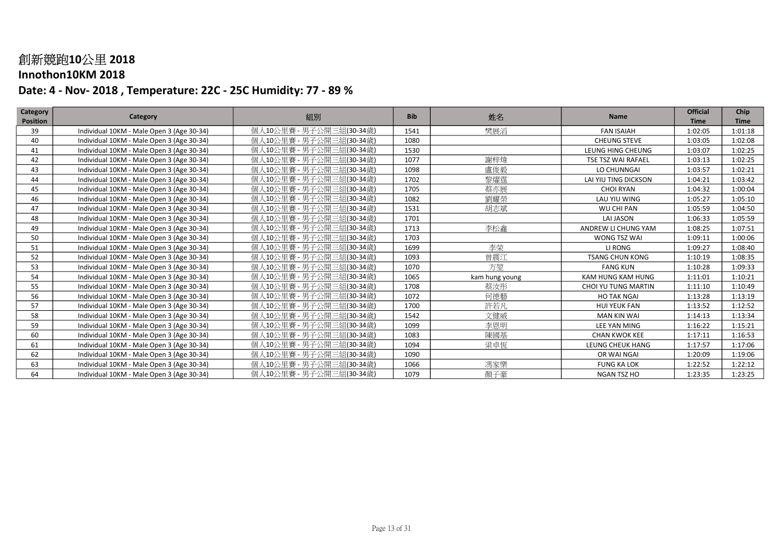### Innothon10KM 2018

| <b>Category</b> | Category                                  | 組別                       | <b>Bib</b> | 姓名             | <b>Name</b>            | <b>Official</b> | Chip        |
|-----------------|-------------------------------------------|--------------------------|------------|----------------|------------------------|-----------------|-------------|
| <b>Position</b> |                                           |                          |            |                |                        | <b>Time</b>     | <b>Time</b> |
| 39              | Individual 10KM - Male Open 3 (Age 30-34) | 個人10公里賽 - 男子公開三組(30-34歳) | 1541       | 樊展滔            | <b>FAN ISAIAH</b>      | 1:02:05         | 1:01:18     |
| 40              | Individual 10KM - Male Open 3 (Age 30-34) | 個人10公里賽 - 男子公開三組(30-34歲) | 1080       |                | <b>CHEUNG STEVE</b>    | 1:03:05         | 1:02:08     |
| 41              | Individual 10KM - Male Open 3 (Age 30-34) | 個人10公里賽 - 男子公開三組(30-34歲) | 1530       |                | LEUNG HING CHEUNG      | 1:03:07         | 1:02:25     |
| 42              | Individual 10KM - Male Open 3 (Age 30-34) | 個人10公里賽 - 男子公開三組(30-34歲) | 1077       | 謝梓煒            | TSE TSZ WAI RAFAEL     | 1:03:13         | 1:02:25     |
| 43              | Individual 10KM - Male Open 3 (Age 30-34) | 個人10公里賽 - 男子公開三組(30-34歲) | 1098       | 盧俊毅            | LO CHUNNGAI            | 1:03:57         | 1:02:21     |
| 44              | Individual 10KM - Male Open 3 (Age 30-34) | 個人10公里賽 - 男子公開三組(30-34歲) | 1702       | 黎燿霆            | LAI YIU TING DICKSON   | 1:04:21         | 1:03:42     |
| 45              | Individual 10KM - Male Open 3 (Age 30-34) | 個人10公里賽 - 男子公開三組(30-34歳) | 1705       | 蔡亦展            | <b>CHOI RYAN</b>       | 1:04:32         | 1:00:04     |
| 46              | Individual 10KM - Male Open 3 (Age 30-34) | 個人10公里賽 - 男子公開三組(30-34歲) | 1082       | 劉耀榮            | LAU YIU WING           | 1:05:27         | 1:05:10     |
| 47              | Individual 10KM - Male Open 3 (Age 30-34) | 個人10公里賽 - 男子公開三組(30-34歲) | 1531       | 胡志斌            | WU CHI PAN             | 1:05:59         | 1:04:50     |
| 48              | Individual 10KM - Male Open 3 (Age 30-34) | 個人10公里賽 - 男子公開三組(30-34歲) | 1701       |                | <b>LAI JASON</b>       | 1:06:33         | 1:05:59     |
| 49              | Individual 10KM - Male Open 3 (Age 30-34) | 個人10公里賽 - 男子公開三組(30-34歲) | 1713       | 李松鑫            | ANDREW LI CHUNG YAM    | 1:08:25         | 1:07:51     |
| 50              | Individual 10KM - Male Open 3 (Age 30-34) | 個人10公里賽 - 男子公開三組(30-34歲) | 1703       |                | WONG TSZ WAI           | 1:09:11         | 1:00:06     |
| 51              | Individual 10KM - Male Open 3 (Age 30-34) | 個人10公里賽 - 男子公開三組(30-34歲) | 1699       | 李荣             | LI RONG                | 1:09:27         | 1:08:40     |
| 52              | Individual 10KM - Male Open 3 (Age 30-34) | 個人10公里賽 - 男子公開三組(30-34歲) | 1093       | 曾震江            | <b>TSANG CHUN KONG</b> | 1:10:19         | 1:08:35     |
| 53              | Individual 10KM - Male Open 3 (Age 30-34) | 個人10公里賽 - 男子公開三組(30-34歲) | 1070       | 方堃             | <b>FANG KUN</b>        | 1:10:28         | 1:09:33     |
| 54              | Individual 10KM - Male Open 3 (Age 30-34) | 個人10公里賽 - 男子公開三組(30-34歲) | 1065       | kam hung young | KAM HUNG KAM HUNG      | 1:11:01         | 1:10:21     |
| 55              | Individual 10KM - Male Open 3 (Age 30-34) | 個人10公里賽 - 男子公開三組(30-34歲) | 1708       | 蔡汝彤            | CHOI YU TUNG MARTIN    | 1:11:10         | 1:10:49     |
| 56              | Individual 10KM - Male Open 3 (Age 30-34) | 個人10公里賽 - 男子公開三組(30-34歲) | 1072       | 何德藝            | <b>HO TAK NGAI</b>     | 1:13:28         | 1:13:19     |
| 57              | Individual 10KM - Male Open 3 (Age 30-34) | 個人10公里賽 - 男子公開三組(30-34歲) | 1700       | 許若凡            | <b>HUI YEUK FAN</b>    | 1:13:52         | 1:12:52     |
| 58              | Individual 10KM - Male Open 3 (Age 30-34) | 個人10公里賽 - 男子公開三組(30-34歲) | 1542       | 文健威            | <b>MAN KIN WAI</b>     | 1:14:13         | 1:13:34     |
| 59              | Individual 10KM - Male Open 3 (Age 30-34) | 個人10公里賽 - 男子公開三組(30-34歲) | 1099       | 李恩明            | LEE YAN MING           | 1:16:22         | 1:15:21     |
| 60              | Individual 10KM - Male Open 3 (Age 30-34) | 個人10公里賽 - 男子公開三組(30-34歲) | 1083       | 陳國基            | <b>CHAN KWOK KEE</b>   | 1:17:11         | 1:16:53     |
| 61              | Individual 10KM - Male Open 3 (Age 30-34) | 個人10公里賽 - 男子公開三組(30-34歲) | 1094       | 梁卓恆            | LEUNG CHEUK HANG       | 1:17:57         | 1:17:06     |
| 62              | Individual 10KM - Male Open 3 (Age 30-34) | 個人10公里賽 - 男子公開三組(30-34歲) | 1090       |                | OR WAI NGAI            | 1:20:09         | 1:19:06     |
| 63              | Individual 10KM - Male Open 3 (Age 30-34) | 個人10公里賽 - 男子公開三組(30-34歲) | 1066       | 馮家樂            | <b>FUNG KA LOK</b>     | 1:22:52         | 1:22:12     |
| 64              | Individual 10KM - Male Open 3 (Age 30-34) | 個人10公里賽 - 男子公開三組(30-34歲) | 1079       | 顏子豪            | NGAN TSZ HO            | 1:23:35         | 1:23:25     |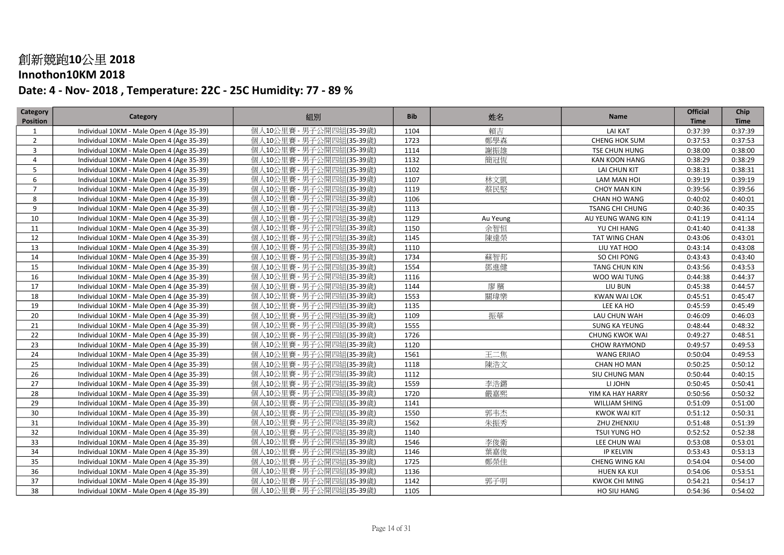### Innothon10KM 2018

| 組別<br>Category<br>姓名<br>Name<br><b>Position</b><br><b>Time</b><br>個人10公里賽 - 男子公開四組(35-39歲)<br>賴吉<br>Individual 10KM - Male Open 4 (Age 35-39)<br>1104<br><b>LAI KAT</b><br>0:37:39<br>1<br>鄭學森<br>個人10公里賽 - 男子公開四組(35-39歲)<br>1723<br>$\overline{2}$<br>Individual 10KM - Male Open 4 (Age 35-39)<br>CHENG HOK SUM<br>0:37:53<br>謝振雄<br>個人10公里賽 - 男子公開四組(35-39歲)<br>3<br>Individual 10KM - Male Open 4 (Age 35-39)<br>1114<br>TSE CHUN HUNG<br>0:38:00 | <b>Time</b><br>0:37:39<br>0:37:53<br>0:38:00<br>0:38:29<br>0:38:31<br>0:39:19 |
|--------------------------------------------------------------------------------------------------------------------------------------------------------------------------------------------------------------------------------------------------------------------------------------------------------------------------------------------------------------------------------------------------------------------------------------------------------|-------------------------------------------------------------------------------|
|                                                                                                                                                                                                                                                                                                                                                                                                                                                        |                                                                               |
|                                                                                                                                                                                                                                                                                                                                                                                                                                                        |                                                                               |
|                                                                                                                                                                                                                                                                                                                                                                                                                                                        |                                                                               |
|                                                                                                                                                                                                                                                                                                                                                                                                                                                        |                                                                               |
| 個人10公里賽 - 男子公開四組(35-39歲)<br>1132<br>簡冠恆<br>$\overline{4}$<br><b>KAN KOON HANG</b><br>0:38:29<br>Individual 10KM - Male Open 4 (Age 35-39)                                                                                                                                                                                                                                                                                                              |                                                                               |
| 個人10公里賽 - 男子公開四組(35-39歳)<br>1102<br>5<br>Individual 10KM - Male Open 4 (Age 35-39)<br>LAI CHUN KIT<br>0:38:31                                                                                                                                                                                                                                                                                                                                          |                                                                               |
| 林文凱<br>個人10公里賽 - 男子公開四組(35-39歲)<br>1107<br>6<br>Individual 10KM - Male Open 4 (Age 35-39)<br>LAM MAN HOI<br>0:39:19                                                                                                                                                                                                                                                                                                                                    |                                                                               |
| 個人10公里賽 - 男子公開四組(35-39歲)<br>1119<br>蔡民堅<br>$\overline{7}$<br>Individual 10KM - Male Open 4 (Age 35-39)<br><b>CHOY MAN KIN</b><br>0:39:56                                                                                                                                                                                                                                                                                                               | 0:39:56                                                                       |
| 1106<br>個人10公里賽 - 男子公開四組(35-39歲)<br>8<br>Individual 10KM - Male Open 4 (Age 35-39)<br>CHAN HO WANG<br>0:40:02                                                                                                                                                                                                                                                                                                                                          | 0:40:01                                                                       |
| 個人10公里賽 - 男子公開四組(35-39歲)<br>9<br>1113<br>Individual 10KM - Male Open 4 (Age 35-39)<br><b>TSANG CHI CHUNG</b><br>0:40:36                                                                                                                                                                                                                                                                                                                                | 0:40:35                                                                       |
| 10<br>個人10公里賽 - 男子公開四組(35-39歲)<br>1129<br>Individual 10KM - Male Open 4 (Age 35-39)<br>Au Yeung<br>AU YEUNG WANG KIN<br>0:41:19                                                                                                                                                                                                                                                                                                                        | 0:41:14                                                                       |
| 余智恒<br>個人10公里賽 - 男子公開四組(35-39歳)<br>1150<br>11<br>Individual 10KM - Male Open 4 (Age 35-39)<br>YU CHI HANG<br>0:41:40                                                                                                                                                                                                                                                                                                                                   | 0:41:38                                                                       |
| 個人10公里賽 - 男子公開四組(35-39歲)<br>1145<br>陳達榮<br>12<br>0:43:06<br>Individual 10KM - Male Open 4 (Age 35-39)<br>TAT WING CHAN                                                                                                                                                                                                                                                                                                                                 | 0:43:01                                                                       |
| 個人10公里賽 - 男子公開四組(35-39歲)<br>13<br>Individual 10KM - Male Open 4 (Age 35-39)<br>1110<br>LIU YAT HOO<br>0:43:14                                                                                                                                                                                                                                                                                                                                          | 0:43:08                                                                       |
| 14<br>個人10公里賽 - 男子公開四組(35-39歳)<br>1734<br>蘇智邦<br>Individual 10KM - Male Open 4 (Age 35-39)<br>SO CHI PONG<br>0:43:43                                                                                                                                                                                                                                                                                                                                   | 0:43:40                                                                       |
| 個人10公里賽 - 男子公開四組(35-39歲)<br>15<br>Individual 10KM - Male Open 4 (Age 35-39)<br>1554<br>鄧進健<br><b>TANG CHUN KIN</b><br>0:43:56                                                                                                                                                                                                                                                                                                                          | 0:43:53                                                                       |
| 16<br>個人10公里賽 - 男子公開四組(35-39歳)<br>1116<br>WOO WAI TUNG<br>0:44:38<br>Individual 10KM - Male Open 4 (Age 35-39)                                                                                                                                                                                                                                                                                                                                         | 0:44:37                                                                       |
| 17<br>個人10公里賽 - 男子公開四組(35-39歲)<br>廖臏<br>1144<br>0:45:38<br>Individual 10KM - Male Open 4 (Age 35-39)<br>LIU BUN                                                                                                                                                                                                                                                                                                                                        | 0:44:57                                                                       |
| 1553<br>關瑋樂<br>18<br>Individual 10KM - Male Open 4 (Age 35-39)<br>個人10公里賽 - 男子公開四組(35-39歲)<br><b>KWAN WAI LOK</b><br>0:45:51                                                                                                                                                                                                                                                                                                                           | 0:45:47                                                                       |
| 19<br>1135<br>LEE KA HO<br>Individual 10KM - Male Open 4 (Age 35-39)<br>個人10公里賽 - 男子公開四組(35-39歲)<br>0:45:59                                                                                                                                                                                                                                                                                                                                            | 0:45:49                                                                       |
| 振華<br>20<br>個人10公里賽 - 男子公開四組(35-39歳)<br>1109<br>Individual 10KM - Male Open 4 (Age 35-39)<br>LAU CHUN WAH<br>0:46:09                                                                                                                                                                                                                                                                                                                                   | 0:46:03                                                                       |
| 個人10公里賽 - 男子公開四組(35-39歳)<br>1555<br>21<br>Individual 10KM - Male Open 4 (Age 35-39)<br><b>SUNG KA YEUNG</b><br>0:48:44                                                                                                                                                                                                                                                                                                                                 | 0:48:32                                                                       |
| 個人10公里賽 - 男子公開四組(35-39歳)<br>22<br>Individual 10KM - Male Open 4 (Age 35-39)<br>1726<br>0:49:27<br><b>CHUNG KWOK WAI</b>                                                                                                                                                                                                                                                                                                                                | 0:48:51                                                                       |
| 23<br>Individual 10KM - Male Open 4 (Age 35-39)<br>個人10公里賽 - 男子公開四組(35-39歲)<br>1120<br><b>CHOW RAYMOND</b><br>0:49:57                                                                                                                                                                                                                                                                                                                                  | 0:49:53                                                                       |
| 王二焦<br>24<br>個人10公里賽 - 男子公開四組(35-39歲)<br>1561<br>Individual 10KM - Male Open 4 (Age 35-39)<br><b>WANG ERJIAO</b><br>0:50:04                                                                                                                                                                                                                                                                                                                            | 0:49:53                                                                       |
| 陳浩文<br>25<br>個人10公里賽 - 男子公開四組(35-39歲)<br>1118<br>0:50:25<br>Individual 10KM - Male Open 4 (Age 35-39)<br><b>CHAN HO MAN</b>                                                                                                                                                                                                                                                                                                                            | 0:50:12                                                                       |
| 26<br>個人10公里賽 - 男子公開四組(35-39歲)<br>1112<br>SIU CHUNG MAN<br>0:50:44<br>Individual 10KM - Male Open 4 (Age 35-39)                                                                                                                                                                                                                                                                                                                                        | 0:40:15                                                                       |
| 李浩鏘<br>個人10公里賽 - 男子公開四組(35-39歳)<br>1559<br>27<br>LI JOHN<br>0:50:45<br>Individual 10KM - Male Open 4 (Age 35-39)                                                                                                                                                                                                                                                                                                                                       | 0:50:41                                                                       |
| 個人10公里賽 - 男子公開四組(35-39歲)<br>28<br>1720<br>嚴嘉熙<br>Individual 10KM - Male Open 4 (Age 35-39)<br>YIM KA HAY HARRY<br>0:50:56                                                                                                                                                                                                                                                                                                                              | 0:50:32                                                                       |
| 個人10公里賽 - 男子公開四組(35-39歲)<br>29<br>1141<br>Individual 10KM - Male Open 4 (Age 35-39)<br><b>WILLIAM SHING</b><br>0:51:09                                                                                                                                                                                                                                                                                                                                 | 0:51:00                                                                       |
| 30<br>個人10公里賽 - 男子公開四組(35-39歲)<br>1550<br>郭韦杰<br>Individual 10KM - Male Open 4 (Age 35-39)<br><b>KWOK WAI KIT</b><br>0:51:12                                                                                                                                                                                                                                                                                                                           | 0:50:31                                                                       |
| 1562<br>31<br>朱振秀<br>ZHU ZHENXIU<br>Individual 10KM - Male Open 4 (Age 35-39)<br>個人10公里賽 - 男子公開四組(35-39歳)<br>0:51:48                                                                                                                                                                                                                                                                                                                                   | 0:51:39                                                                       |
| 32<br>Individual 10KM - Male Open 4 (Age 35-39)<br>個人10公里賽 - 男子公開四組(35-39歳)<br>1140<br>TSUI YUNG HO<br>0:52:52                                                                                                                                                                                                                                                                                                                                         | 0:52:38                                                                       |
| 李俊衛<br>33<br>個人10公里賽 - 男子公開四組(35-39歲)<br>1546<br>Individual 10KM - Male Open 4 (Age 35-39)<br>LEE CHUN WAI<br>0:53:08                                                                                                                                                                                                                                                                                                                                  | 0:53:01                                                                       |
| 34<br>葉嘉俊<br>個人10公里賽 - 男子公開四組(35-39歲)<br>1146<br><b>IP KELVIN</b><br>Individual 10KM - Male Open 4 (Age 35-39)<br>0:53:43                                                                                                                                                                                                                                                                                                                              | 0:53:13                                                                       |
| 鄭榮佳<br>35<br>個人10公里賽 - 男子公開四組(35-39歲)<br>1725<br>Individual 10KM - Male Open 4 (Age 35-39)<br><b>CHENG WING KAI</b><br>0:54:04                                                                                                                                                                                                                                                                                                                         | 0:54:00                                                                       |
| 個人10公里賽 - 男子公開四組(35-39歲)<br>36<br>1136<br>HUEN KA KUI<br>Individual 10KM - Male Open 4 (Age 35-39)<br>0:54:06                                                                                                                                                                                                                                                                                                                                          | 0:53:51                                                                       |
| 郭子明<br>37<br>個人10公里賽 - 男子公開四組(35-39歲)<br>1142<br><b>KWOK CHI MING</b><br>0:54:21<br>Individual 10KM - Male Open 4 (Age 35-39)                                                                                                                                                                                                                                                                                                                          | 0:54:17                                                                       |
| 38<br>個人10公里賽 - 男子公開四組(35-39歲)<br>1105<br>0:54:36<br>Individual 10KM - Male Open 4 (Age 35-39)<br>HO SIU HANG                                                                                                                                                                                                                                                                                                                                          | 0:54:02                                                                       |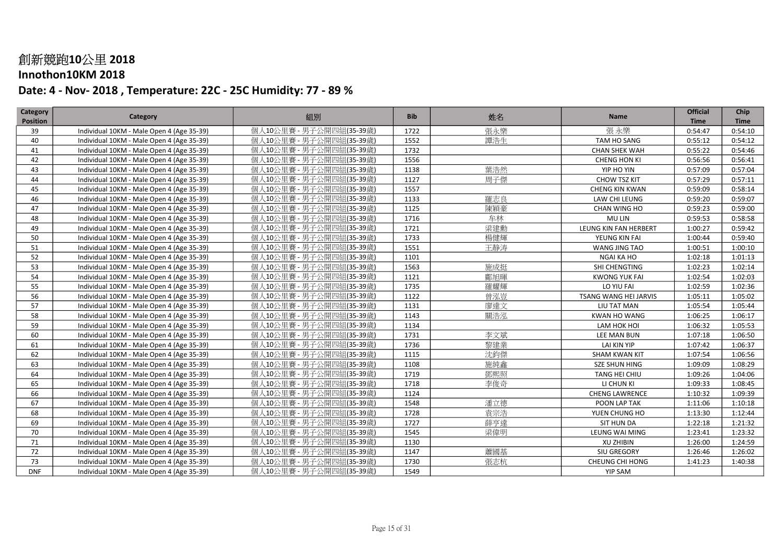### Innothon10KM 2018

| 張永樂<br>個人10公里賽 - 男子公開四組(35-39歲)<br>張永樂<br>Individual 10KM - Male Open 4 (Age 35-39)<br>1722<br>39<br>0:54:47<br>0:54:10<br>個人10公里賽 - 男子公開四組(35-39歳)<br>譚浩生<br>40<br>Individual 10KM - Male Open 4 (Age 35-39)<br>1552<br>TAM HO SANG<br>0:55:12<br>0:54:12<br>個人10公里賽 - 男子公開四組(35-39歳)<br>1732<br>Individual 10KM - Male Open 4 (Age 35-39)<br>0:55:22<br>0:54:46<br>41<br><b>CHAN SHEK WAH</b><br>1556<br>42<br>Individual 10KM - Male Open 4 (Age 35-39)<br>個人10公里賽 - 男子公開四組(35-39歲)<br>CHENG HON KI<br>0:56:56<br>0:56:41<br>葉浩然<br>43<br>1138<br>Individual 10KM - Male Open 4 (Age 35-39)<br>個人10公里賽 - 男子公開四組(35-39歳)<br>YIP HO YIN<br>0:57:09<br>0:57:04<br>個人10公里賽 - 男子公開四組(35-39歳)<br>周子傑<br>44<br>1127<br>0:57:11<br>Individual 10KM - Male Open 4 (Age 35-39)<br>CHOW TSZ KIT<br>0:57:29<br>個人10公里賽 - 男子公開四組(35-39歲)<br>1557<br>45<br>Individual 10KM - Male Open 4 (Age 35-39)<br><b>CHENG KIN KWAN</b><br>0:59:09<br>0:58:14<br>個人10公里賽 - 男子公開四組(35-39歲)<br>羅志良<br>46<br>1133<br>0:59:07<br>Individual 10KM - Male Open 4 (Age 35-39)<br>LAW CHI LEUNG<br>0:59:20<br>個人10公里賽 - 男子公開四組(35-39歳)<br>陳穎豪<br>1125<br>47<br>Individual 10KM - Male Open 4 (Age 35-39)<br>CHAN WING HO<br>0:59:23<br>0:59:00<br>牟林<br>個人10公里賽 - 男子公開四組(35-39歳)<br>48<br>1716<br><b>MU LIN</b><br>0:59:53<br>0:58:58<br>Individual 10KM - Male Open 4 (Age 35-39)<br>梁建勳<br>49<br>個人10公里賽 - 男子公開四組(35-39歲)<br>1721<br>LEUNG KIN FAN HERBERT<br>1:00:27<br>Individual 10KM - Male Open 4 (Age 35-39)<br>0:59:42<br>楊健輝<br>50<br>1733<br>個人10公里賽 - 男子公開四組(35-39歲)<br>0:59:40<br>Individual 10KM - Male Open 4 (Age 35-39)<br>YEUNG KIN FAI<br>1:00:44<br>個人10公里賽 - 男子公開四組(35-39歲)<br>王静涛<br>51<br>1551<br>Individual 10KM - Male Open 4 (Age 35-39)<br>WANG JING TAO<br>1:00:51<br>1:00:10<br>52<br>個人10公里賽 - 男子公開四組(35-39歲)<br>1101<br>Individual 10KM - Male Open 4 (Age 35-39)<br>NGAI KA HO<br>1:02:18<br>1:01:13<br>施成挺<br>53<br>1563<br>個人10公里賽 - 男子公開四組(35-39歲)<br>1:02:23<br>Individual 10KM - Male Open 4 (Age 35-39)<br>SHI CHENGTING<br>1:02:14<br>個人10公里賽 - 男子公開四組(35-39歲)<br>54<br>1121<br>鄘旭暉<br>Individual 10KM - Male Open 4 (Age 35-39)<br><b>KWONG YUK FAI</b><br>1:02:54<br>1:02:03<br>55<br>1735<br>羅耀輝<br>個人10公里賽 - 男子公開四組(35-39歲)<br>LO YIU FAI<br>1:02:59<br>1:02:36<br>Individual 10KM - Male Open 4 (Age 35-39)<br>56<br>1122<br>曾泓豈<br>Individual 10KM - Male Open 4 (Age 35-39)<br>個人10公里賽 - 男子公開四組(35-39歲)<br><b>TSANG WANG HEI JARVIS</b><br>1:05:11<br>1:05:02<br>57<br>廖達文<br>個人10公里賽 - 男子公開四組(35-39歳)<br>1131<br>LIU TAT MAN<br>1:05:54<br>Individual 10KM - Male Open 4 (Age 35-39)<br>1:05:44<br>1143<br>關浩況<br>58<br>個人10公里賽 - 男子公開四組(35-39歲)<br><b>KWAN HO WANG</b><br>1:06:25<br>1:06:17<br>Individual 10KM - Male Open 4 (Age 35-39)<br>個人10公里賽 - 男子公開四組(35-39歲)<br>59<br>1134<br>1:06:32<br>Individual 10KM - Male Open 4 (Age 35-39)<br>LAM HOK HOI<br>1:05:53<br>李文斌<br>個人10公里賽 - 男子公開四組(35-39歳)<br>1731<br>60<br>Individual 10KM - Male Open 4 (Age 35-39)<br>LEE MAN BUN<br>1:07:18<br>1:06:50<br>個人10公里賽 - 男子公開四組(35-39歲)<br>黎建業<br>1736<br>61<br>LAI KIN YIP<br>1:07:42<br>1:06:37<br>Individual 10KM - Male Open 4 (Age 35-39)<br>沈鈞傑<br>62<br>個人10公里賽 - 男子公開四組(35-39歳)<br>1115<br>Individual 10KM - Male Open 4 (Age 35-39)<br><b>SHAM KWAN KIT</b><br>1:07:54<br>1:06:56<br>施純鑫<br>個人10公里賽 - 男子公開四組(35-39歲)<br>1108<br>63<br>Individual 10KM - Male Open 4 (Age 35-39)<br><b>SZE SHUN HING</b><br>1:09:09<br>1:08:29<br>個人10公里賽 - 男子公開四組(35-39歲)<br>鄧熙照<br>64<br>Individual 10KM - Male Open 4 (Age 35-39)<br>1719<br>TANG HEI CHIU<br>1:09:26<br>1:04:06<br>個人10公里賽 - 男子公開四組(35-39歲)<br>李俊奇<br>1718<br>65<br>Individual 10KM - Male Open 4 (Age 35-39)<br>LI CHUN KI<br>1:09:33<br>1:08:45<br>個人10公里賽 - 男子公開四組(35-39歳)<br>1124<br>66<br>Individual 10KM - Male Open 4 (Age 35-39)<br><b>CHENG LAWRENCE</b><br>1:10:32<br>1:09:39<br>個人10公里賽 - 男子公開四組(35-39歲)<br>潘立德<br>67<br>1548<br>Individual 10KM - Male Open 4 (Age 35-39)<br>POON LAP TAK<br>1:11:06<br>1:10:18<br>袁宗浩<br>68<br>個人10公里賽 - 男子公開四組(35-39歲)<br>1728<br>Individual 10KM - Male Open 4 (Age 35-39)<br>YUEN CHUNG HO<br>1:13:30<br>1:12:44<br>69<br>薛亨達<br>Individual 10KM - Male Open 4 (Age 35-39)<br>個人10公里賽 - 男子公開四組(35-39歲)<br>1727<br><b>SIT HUN DA</b><br>1:22:18<br>1:21:32<br>梁偉明<br>70<br>Individual 10KM - Male Open 4 (Age 35-39)<br>個人10公里賽 - 男子公開四組(35-39歳)<br>1545<br>LEUNG WAI MING<br>1:23:41<br>1:23:32<br>個人10公里賽 - 男子公開四組(35-39歲)<br>71<br>Individual 10KM - Male Open 4 (Age 35-39)<br>1130<br><b>XU ZHIBIN</b><br>1:26:00<br>1:24:59<br>個人10公里賽 - 男子公開四組(35-39歳)<br>蕭國基<br>72<br>Individual 10KM - Male Open 4 (Age 35-39)<br>1147<br>SIU GREGORY<br>1:26:46<br>1:26:02<br>張志杭<br>個人10公里賽 - 男子公開四組(35-39歲)<br>73<br>Individual 10KM - Male Open 4 (Age 35-39)<br>1730<br>CHEUNG CHI HONG<br>1:41:23<br>1:40:38<br><b>DNF</b><br>個人10公里賽 - 男子公開四組(35-39歳)<br>Individual 10KM - Male Open 4 (Age 35-39)<br>1549<br><b>YIP SAM</b> | Category        | Category | 組別 | <b>Bib</b> | 姓名 | <b>Name</b> | <b>Official</b> | Chip        |
|---------------------------------------------------------------------------------------------------------------------------------------------------------------------------------------------------------------------------------------------------------------------------------------------------------------------------------------------------------------------------------------------------------------------------------------------------------------------------------------------------------------------------------------------------------------------------------------------------------------------------------------------------------------------------------------------------------------------------------------------------------------------------------------------------------------------------------------------------------------------------------------------------------------------------------------------------------------------------------------------------------------------------------------------------------------------------------------------------------------------------------------------------------------------------------------------------------------------------------------------------------------------------------------------------------------------------------------------------------------------------------------------------------------------------------------------------------------------------------------------------------------------------------------------------------------------------------------------------------------------------------------------------------------------------------------------------------------------------------------------------------------------------------------------------------------------------------------------------------------------------------------------------------------------------------------------------------------------------------------------------------------------------------------------------------------------------------------------------------------------------------------------------------------------------------------------------------------------------------------------------------------------------------------------------------------------------------------------------------------------------------------------------------------------------------------------------------------------------------------------------------------------------------------------------------------------------------------------------------------------------------------------------------------------------------------------------------------------------------------------------------------------------------------------------------------------------------------------------------------------------------------------------------------------------------------------------------------------------------------------------------------------------------------------------------------------------------------------------------------------------------------------------------------------------------------------------------------------------------------------------------------------------------------------------------------------------------------------------------------------------------------------------------------------------------------------------------------------------------------------------------------------------------------------------------------------------------------------------------------------------------------------------------------------------------------------------------------------------------------------------------------------------------------------------------------------------------------------------------------------------------------------------------------------------------------------------------------------------------------------------------------------------------------------------------------------------------------------------------------------------------------------------------------------------------------------------------------------------------------------------------------------------------------------------------------------------------------------------------------------------------------------------------------------------------------------------------------------------------------------------------------------------------------------------------------------------------------------------------------------------------------------------------------------------------------------------------------------------------------------------------------------------------------------------------------------------------------------------------------------------------------------------------------------------------------------------------|-----------------|----------|----|------------|----|-------------|-----------------|-------------|
|                                                                                                                                                                                                                                                                                                                                                                                                                                                                                                                                                                                                                                                                                                                                                                                                                                                                                                                                                                                                                                                                                                                                                                                                                                                                                                                                                                                                                                                                                                                                                                                                                                                                                                                                                                                                                                                                                                                                                                                                                                                                                                                                                                                                                                                                                                                                                                                                                                                                                                                                                                                                                                                                                                                                                                                                                                                                                                                                                                                                                                                                                                                                                                                                                                                                                                                                                                                                                                                                                                                                                                                                                                                                                                                                                                                                                                                                                                                                                                                                                                                                                                                                                                                                                                                                                                                                                                                                                                                                                                                                                                                                                                                                                                                                                                                                                                                                                                                                                         | <b>Position</b> |          |    |            |    |             | <b>Time</b>     | <b>Time</b> |
|                                                                                                                                                                                                                                                                                                                                                                                                                                                                                                                                                                                                                                                                                                                                                                                                                                                                                                                                                                                                                                                                                                                                                                                                                                                                                                                                                                                                                                                                                                                                                                                                                                                                                                                                                                                                                                                                                                                                                                                                                                                                                                                                                                                                                                                                                                                                                                                                                                                                                                                                                                                                                                                                                                                                                                                                                                                                                                                                                                                                                                                                                                                                                                                                                                                                                                                                                                                                                                                                                                                                                                                                                                                                                                                                                                                                                                                                                                                                                                                                                                                                                                                                                                                                                                                                                                                                                                                                                                                                                                                                                                                                                                                                                                                                                                                                                                                                                                                                                         |                 |          |    |            |    |             |                 |             |
|                                                                                                                                                                                                                                                                                                                                                                                                                                                                                                                                                                                                                                                                                                                                                                                                                                                                                                                                                                                                                                                                                                                                                                                                                                                                                                                                                                                                                                                                                                                                                                                                                                                                                                                                                                                                                                                                                                                                                                                                                                                                                                                                                                                                                                                                                                                                                                                                                                                                                                                                                                                                                                                                                                                                                                                                                                                                                                                                                                                                                                                                                                                                                                                                                                                                                                                                                                                                                                                                                                                                                                                                                                                                                                                                                                                                                                                                                                                                                                                                                                                                                                                                                                                                                                                                                                                                                                                                                                                                                                                                                                                                                                                                                                                                                                                                                                                                                                                                                         |                 |          |    |            |    |             |                 |             |
|                                                                                                                                                                                                                                                                                                                                                                                                                                                                                                                                                                                                                                                                                                                                                                                                                                                                                                                                                                                                                                                                                                                                                                                                                                                                                                                                                                                                                                                                                                                                                                                                                                                                                                                                                                                                                                                                                                                                                                                                                                                                                                                                                                                                                                                                                                                                                                                                                                                                                                                                                                                                                                                                                                                                                                                                                                                                                                                                                                                                                                                                                                                                                                                                                                                                                                                                                                                                                                                                                                                                                                                                                                                                                                                                                                                                                                                                                                                                                                                                                                                                                                                                                                                                                                                                                                                                                                                                                                                                                                                                                                                                                                                                                                                                                                                                                                                                                                                                                         |                 |          |    |            |    |             |                 |             |
|                                                                                                                                                                                                                                                                                                                                                                                                                                                                                                                                                                                                                                                                                                                                                                                                                                                                                                                                                                                                                                                                                                                                                                                                                                                                                                                                                                                                                                                                                                                                                                                                                                                                                                                                                                                                                                                                                                                                                                                                                                                                                                                                                                                                                                                                                                                                                                                                                                                                                                                                                                                                                                                                                                                                                                                                                                                                                                                                                                                                                                                                                                                                                                                                                                                                                                                                                                                                                                                                                                                                                                                                                                                                                                                                                                                                                                                                                                                                                                                                                                                                                                                                                                                                                                                                                                                                                                                                                                                                                                                                                                                                                                                                                                                                                                                                                                                                                                                                                         |                 |          |    |            |    |             |                 |             |
|                                                                                                                                                                                                                                                                                                                                                                                                                                                                                                                                                                                                                                                                                                                                                                                                                                                                                                                                                                                                                                                                                                                                                                                                                                                                                                                                                                                                                                                                                                                                                                                                                                                                                                                                                                                                                                                                                                                                                                                                                                                                                                                                                                                                                                                                                                                                                                                                                                                                                                                                                                                                                                                                                                                                                                                                                                                                                                                                                                                                                                                                                                                                                                                                                                                                                                                                                                                                                                                                                                                                                                                                                                                                                                                                                                                                                                                                                                                                                                                                                                                                                                                                                                                                                                                                                                                                                                                                                                                                                                                                                                                                                                                                                                                                                                                                                                                                                                                                                         |                 |          |    |            |    |             |                 |             |
|                                                                                                                                                                                                                                                                                                                                                                                                                                                                                                                                                                                                                                                                                                                                                                                                                                                                                                                                                                                                                                                                                                                                                                                                                                                                                                                                                                                                                                                                                                                                                                                                                                                                                                                                                                                                                                                                                                                                                                                                                                                                                                                                                                                                                                                                                                                                                                                                                                                                                                                                                                                                                                                                                                                                                                                                                                                                                                                                                                                                                                                                                                                                                                                                                                                                                                                                                                                                                                                                                                                                                                                                                                                                                                                                                                                                                                                                                                                                                                                                                                                                                                                                                                                                                                                                                                                                                                                                                                                                                                                                                                                                                                                                                                                                                                                                                                                                                                                                                         |                 |          |    |            |    |             |                 |             |
|                                                                                                                                                                                                                                                                                                                                                                                                                                                                                                                                                                                                                                                                                                                                                                                                                                                                                                                                                                                                                                                                                                                                                                                                                                                                                                                                                                                                                                                                                                                                                                                                                                                                                                                                                                                                                                                                                                                                                                                                                                                                                                                                                                                                                                                                                                                                                                                                                                                                                                                                                                                                                                                                                                                                                                                                                                                                                                                                                                                                                                                                                                                                                                                                                                                                                                                                                                                                                                                                                                                                                                                                                                                                                                                                                                                                                                                                                                                                                                                                                                                                                                                                                                                                                                                                                                                                                                                                                                                                                                                                                                                                                                                                                                                                                                                                                                                                                                                                                         |                 |          |    |            |    |             |                 |             |
|                                                                                                                                                                                                                                                                                                                                                                                                                                                                                                                                                                                                                                                                                                                                                                                                                                                                                                                                                                                                                                                                                                                                                                                                                                                                                                                                                                                                                                                                                                                                                                                                                                                                                                                                                                                                                                                                                                                                                                                                                                                                                                                                                                                                                                                                                                                                                                                                                                                                                                                                                                                                                                                                                                                                                                                                                                                                                                                                                                                                                                                                                                                                                                                                                                                                                                                                                                                                                                                                                                                                                                                                                                                                                                                                                                                                                                                                                                                                                                                                                                                                                                                                                                                                                                                                                                                                                                                                                                                                                                                                                                                                                                                                                                                                                                                                                                                                                                                                                         |                 |          |    |            |    |             |                 |             |
|                                                                                                                                                                                                                                                                                                                                                                                                                                                                                                                                                                                                                                                                                                                                                                                                                                                                                                                                                                                                                                                                                                                                                                                                                                                                                                                                                                                                                                                                                                                                                                                                                                                                                                                                                                                                                                                                                                                                                                                                                                                                                                                                                                                                                                                                                                                                                                                                                                                                                                                                                                                                                                                                                                                                                                                                                                                                                                                                                                                                                                                                                                                                                                                                                                                                                                                                                                                                                                                                                                                                                                                                                                                                                                                                                                                                                                                                                                                                                                                                                                                                                                                                                                                                                                                                                                                                                                                                                                                                                                                                                                                                                                                                                                                                                                                                                                                                                                                                                         |                 |          |    |            |    |             |                 |             |
|                                                                                                                                                                                                                                                                                                                                                                                                                                                                                                                                                                                                                                                                                                                                                                                                                                                                                                                                                                                                                                                                                                                                                                                                                                                                                                                                                                                                                                                                                                                                                                                                                                                                                                                                                                                                                                                                                                                                                                                                                                                                                                                                                                                                                                                                                                                                                                                                                                                                                                                                                                                                                                                                                                                                                                                                                                                                                                                                                                                                                                                                                                                                                                                                                                                                                                                                                                                                                                                                                                                                                                                                                                                                                                                                                                                                                                                                                                                                                                                                                                                                                                                                                                                                                                                                                                                                                                                                                                                                                                                                                                                                                                                                                                                                                                                                                                                                                                                                                         |                 |          |    |            |    |             |                 |             |
|                                                                                                                                                                                                                                                                                                                                                                                                                                                                                                                                                                                                                                                                                                                                                                                                                                                                                                                                                                                                                                                                                                                                                                                                                                                                                                                                                                                                                                                                                                                                                                                                                                                                                                                                                                                                                                                                                                                                                                                                                                                                                                                                                                                                                                                                                                                                                                                                                                                                                                                                                                                                                                                                                                                                                                                                                                                                                                                                                                                                                                                                                                                                                                                                                                                                                                                                                                                                                                                                                                                                                                                                                                                                                                                                                                                                                                                                                                                                                                                                                                                                                                                                                                                                                                                                                                                                                                                                                                                                                                                                                                                                                                                                                                                                                                                                                                                                                                                                                         |                 |          |    |            |    |             |                 |             |
|                                                                                                                                                                                                                                                                                                                                                                                                                                                                                                                                                                                                                                                                                                                                                                                                                                                                                                                                                                                                                                                                                                                                                                                                                                                                                                                                                                                                                                                                                                                                                                                                                                                                                                                                                                                                                                                                                                                                                                                                                                                                                                                                                                                                                                                                                                                                                                                                                                                                                                                                                                                                                                                                                                                                                                                                                                                                                                                                                                                                                                                                                                                                                                                                                                                                                                                                                                                                                                                                                                                                                                                                                                                                                                                                                                                                                                                                                                                                                                                                                                                                                                                                                                                                                                                                                                                                                                                                                                                                                                                                                                                                                                                                                                                                                                                                                                                                                                                                                         |                 |          |    |            |    |             |                 |             |
|                                                                                                                                                                                                                                                                                                                                                                                                                                                                                                                                                                                                                                                                                                                                                                                                                                                                                                                                                                                                                                                                                                                                                                                                                                                                                                                                                                                                                                                                                                                                                                                                                                                                                                                                                                                                                                                                                                                                                                                                                                                                                                                                                                                                                                                                                                                                                                                                                                                                                                                                                                                                                                                                                                                                                                                                                                                                                                                                                                                                                                                                                                                                                                                                                                                                                                                                                                                                                                                                                                                                                                                                                                                                                                                                                                                                                                                                                                                                                                                                                                                                                                                                                                                                                                                                                                                                                                                                                                                                                                                                                                                                                                                                                                                                                                                                                                                                                                                                                         |                 |          |    |            |    |             |                 |             |
|                                                                                                                                                                                                                                                                                                                                                                                                                                                                                                                                                                                                                                                                                                                                                                                                                                                                                                                                                                                                                                                                                                                                                                                                                                                                                                                                                                                                                                                                                                                                                                                                                                                                                                                                                                                                                                                                                                                                                                                                                                                                                                                                                                                                                                                                                                                                                                                                                                                                                                                                                                                                                                                                                                                                                                                                                                                                                                                                                                                                                                                                                                                                                                                                                                                                                                                                                                                                                                                                                                                                                                                                                                                                                                                                                                                                                                                                                                                                                                                                                                                                                                                                                                                                                                                                                                                                                                                                                                                                                                                                                                                                                                                                                                                                                                                                                                                                                                                                                         |                 |          |    |            |    |             |                 |             |
|                                                                                                                                                                                                                                                                                                                                                                                                                                                                                                                                                                                                                                                                                                                                                                                                                                                                                                                                                                                                                                                                                                                                                                                                                                                                                                                                                                                                                                                                                                                                                                                                                                                                                                                                                                                                                                                                                                                                                                                                                                                                                                                                                                                                                                                                                                                                                                                                                                                                                                                                                                                                                                                                                                                                                                                                                                                                                                                                                                                                                                                                                                                                                                                                                                                                                                                                                                                                                                                                                                                                                                                                                                                                                                                                                                                                                                                                                                                                                                                                                                                                                                                                                                                                                                                                                                                                                                                                                                                                                                                                                                                                                                                                                                                                                                                                                                                                                                                                                         |                 |          |    |            |    |             |                 |             |
|                                                                                                                                                                                                                                                                                                                                                                                                                                                                                                                                                                                                                                                                                                                                                                                                                                                                                                                                                                                                                                                                                                                                                                                                                                                                                                                                                                                                                                                                                                                                                                                                                                                                                                                                                                                                                                                                                                                                                                                                                                                                                                                                                                                                                                                                                                                                                                                                                                                                                                                                                                                                                                                                                                                                                                                                                                                                                                                                                                                                                                                                                                                                                                                                                                                                                                                                                                                                                                                                                                                                                                                                                                                                                                                                                                                                                                                                                                                                                                                                                                                                                                                                                                                                                                                                                                                                                                                                                                                                                                                                                                                                                                                                                                                                                                                                                                                                                                                                                         |                 |          |    |            |    |             |                 |             |
|                                                                                                                                                                                                                                                                                                                                                                                                                                                                                                                                                                                                                                                                                                                                                                                                                                                                                                                                                                                                                                                                                                                                                                                                                                                                                                                                                                                                                                                                                                                                                                                                                                                                                                                                                                                                                                                                                                                                                                                                                                                                                                                                                                                                                                                                                                                                                                                                                                                                                                                                                                                                                                                                                                                                                                                                                                                                                                                                                                                                                                                                                                                                                                                                                                                                                                                                                                                                                                                                                                                                                                                                                                                                                                                                                                                                                                                                                                                                                                                                                                                                                                                                                                                                                                                                                                                                                                                                                                                                                                                                                                                                                                                                                                                                                                                                                                                                                                                                                         |                 |          |    |            |    |             |                 |             |
|                                                                                                                                                                                                                                                                                                                                                                                                                                                                                                                                                                                                                                                                                                                                                                                                                                                                                                                                                                                                                                                                                                                                                                                                                                                                                                                                                                                                                                                                                                                                                                                                                                                                                                                                                                                                                                                                                                                                                                                                                                                                                                                                                                                                                                                                                                                                                                                                                                                                                                                                                                                                                                                                                                                                                                                                                                                                                                                                                                                                                                                                                                                                                                                                                                                                                                                                                                                                                                                                                                                                                                                                                                                                                                                                                                                                                                                                                                                                                                                                                                                                                                                                                                                                                                                                                                                                                                                                                                                                                                                                                                                                                                                                                                                                                                                                                                                                                                                                                         |                 |          |    |            |    |             |                 |             |
|                                                                                                                                                                                                                                                                                                                                                                                                                                                                                                                                                                                                                                                                                                                                                                                                                                                                                                                                                                                                                                                                                                                                                                                                                                                                                                                                                                                                                                                                                                                                                                                                                                                                                                                                                                                                                                                                                                                                                                                                                                                                                                                                                                                                                                                                                                                                                                                                                                                                                                                                                                                                                                                                                                                                                                                                                                                                                                                                                                                                                                                                                                                                                                                                                                                                                                                                                                                                                                                                                                                                                                                                                                                                                                                                                                                                                                                                                                                                                                                                                                                                                                                                                                                                                                                                                                                                                                                                                                                                                                                                                                                                                                                                                                                                                                                                                                                                                                                                                         |                 |          |    |            |    |             |                 |             |
|                                                                                                                                                                                                                                                                                                                                                                                                                                                                                                                                                                                                                                                                                                                                                                                                                                                                                                                                                                                                                                                                                                                                                                                                                                                                                                                                                                                                                                                                                                                                                                                                                                                                                                                                                                                                                                                                                                                                                                                                                                                                                                                                                                                                                                                                                                                                                                                                                                                                                                                                                                                                                                                                                                                                                                                                                                                                                                                                                                                                                                                                                                                                                                                                                                                                                                                                                                                                                                                                                                                                                                                                                                                                                                                                                                                                                                                                                                                                                                                                                                                                                                                                                                                                                                                                                                                                                                                                                                                                                                                                                                                                                                                                                                                                                                                                                                                                                                                                                         |                 |          |    |            |    |             |                 |             |
|                                                                                                                                                                                                                                                                                                                                                                                                                                                                                                                                                                                                                                                                                                                                                                                                                                                                                                                                                                                                                                                                                                                                                                                                                                                                                                                                                                                                                                                                                                                                                                                                                                                                                                                                                                                                                                                                                                                                                                                                                                                                                                                                                                                                                                                                                                                                                                                                                                                                                                                                                                                                                                                                                                                                                                                                                                                                                                                                                                                                                                                                                                                                                                                                                                                                                                                                                                                                                                                                                                                                                                                                                                                                                                                                                                                                                                                                                                                                                                                                                                                                                                                                                                                                                                                                                                                                                                                                                                                                                                                                                                                                                                                                                                                                                                                                                                                                                                                                                         |                 |          |    |            |    |             |                 |             |
|                                                                                                                                                                                                                                                                                                                                                                                                                                                                                                                                                                                                                                                                                                                                                                                                                                                                                                                                                                                                                                                                                                                                                                                                                                                                                                                                                                                                                                                                                                                                                                                                                                                                                                                                                                                                                                                                                                                                                                                                                                                                                                                                                                                                                                                                                                                                                                                                                                                                                                                                                                                                                                                                                                                                                                                                                                                                                                                                                                                                                                                                                                                                                                                                                                                                                                                                                                                                                                                                                                                                                                                                                                                                                                                                                                                                                                                                                                                                                                                                                                                                                                                                                                                                                                                                                                                                                                                                                                                                                                                                                                                                                                                                                                                                                                                                                                                                                                                                                         |                 |          |    |            |    |             |                 |             |
|                                                                                                                                                                                                                                                                                                                                                                                                                                                                                                                                                                                                                                                                                                                                                                                                                                                                                                                                                                                                                                                                                                                                                                                                                                                                                                                                                                                                                                                                                                                                                                                                                                                                                                                                                                                                                                                                                                                                                                                                                                                                                                                                                                                                                                                                                                                                                                                                                                                                                                                                                                                                                                                                                                                                                                                                                                                                                                                                                                                                                                                                                                                                                                                                                                                                                                                                                                                                                                                                                                                                                                                                                                                                                                                                                                                                                                                                                                                                                                                                                                                                                                                                                                                                                                                                                                                                                                                                                                                                                                                                                                                                                                                                                                                                                                                                                                                                                                                                                         |                 |          |    |            |    |             |                 |             |
|                                                                                                                                                                                                                                                                                                                                                                                                                                                                                                                                                                                                                                                                                                                                                                                                                                                                                                                                                                                                                                                                                                                                                                                                                                                                                                                                                                                                                                                                                                                                                                                                                                                                                                                                                                                                                                                                                                                                                                                                                                                                                                                                                                                                                                                                                                                                                                                                                                                                                                                                                                                                                                                                                                                                                                                                                                                                                                                                                                                                                                                                                                                                                                                                                                                                                                                                                                                                                                                                                                                                                                                                                                                                                                                                                                                                                                                                                                                                                                                                                                                                                                                                                                                                                                                                                                                                                                                                                                                                                                                                                                                                                                                                                                                                                                                                                                                                                                                                                         |                 |          |    |            |    |             |                 |             |
|                                                                                                                                                                                                                                                                                                                                                                                                                                                                                                                                                                                                                                                                                                                                                                                                                                                                                                                                                                                                                                                                                                                                                                                                                                                                                                                                                                                                                                                                                                                                                                                                                                                                                                                                                                                                                                                                                                                                                                                                                                                                                                                                                                                                                                                                                                                                                                                                                                                                                                                                                                                                                                                                                                                                                                                                                                                                                                                                                                                                                                                                                                                                                                                                                                                                                                                                                                                                                                                                                                                                                                                                                                                                                                                                                                                                                                                                                                                                                                                                                                                                                                                                                                                                                                                                                                                                                                                                                                                                                                                                                                                                                                                                                                                                                                                                                                                                                                                                                         |                 |          |    |            |    |             |                 |             |
|                                                                                                                                                                                                                                                                                                                                                                                                                                                                                                                                                                                                                                                                                                                                                                                                                                                                                                                                                                                                                                                                                                                                                                                                                                                                                                                                                                                                                                                                                                                                                                                                                                                                                                                                                                                                                                                                                                                                                                                                                                                                                                                                                                                                                                                                                                                                                                                                                                                                                                                                                                                                                                                                                                                                                                                                                                                                                                                                                                                                                                                                                                                                                                                                                                                                                                                                                                                                                                                                                                                                                                                                                                                                                                                                                                                                                                                                                                                                                                                                                                                                                                                                                                                                                                                                                                                                                                                                                                                                                                                                                                                                                                                                                                                                                                                                                                                                                                                                                         |                 |          |    |            |    |             |                 |             |
|                                                                                                                                                                                                                                                                                                                                                                                                                                                                                                                                                                                                                                                                                                                                                                                                                                                                                                                                                                                                                                                                                                                                                                                                                                                                                                                                                                                                                                                                                                                                                                                                                                                                                                                                                                                                                                                                                                                                                                                                                                                                                                                                                                                                                                                                                                                                                                                                                                                                                                                                                                                                                                                                                                                                                                                                                                                                                                                                                                                                                                                                                                                                                                                                                                                                                                                                                                                                                                                                                                                                                                                                                                                                                                                                                                                                                                                                                                                                                                                                                                                                                                                                                                                                                                                                                                                                                                                                                                                                                                                                                                                                                                                                                                                                                                                                                                                                                                                                                         |                 |          |    |            |    |             |                 |             |
|                                                                                                                                                                                                                                                                                                                                                                                                                                                                                                                                                                                                                                                                                                                                                                                                                                                                                                                                                                                                                                                                                                                                                                                                                                                                                                                                                                                                                                                                                                                                                                                                                                                                                                                                                                                                                                                                                                                                                                                                                                                                                                                                                                                                                                                                                                                                                                                                                                                                                                                                                                                                                                                                                                                                                                                                                                                                                                                                                                                                                                                                                                                                                                                                                                                                                                                                                                                                                                                                                                                                                                                                                                                                                                                                                                                                                                                                                                                                                                                                                                                                                                                                                                                                                                                                                                                                                                                                                                                                                                                                                                                                                                                                                                                                                                                                                                                                                                                                                         |                 |          |    |            |    |             |                 |             |
|                                                                                                                                                                                                                                                                                                                                                                                                                                                                                                                                                                                                                                                                                                                                                                                                                                                                                                                                                                                                                                                                                                                                                                                                                                                                                                                                                                                                                                                                                                                                                                                                                                                                                                                                                                                                                                                                                                                                                                                                                                                                                                                                                                                                                                                                                                                                                                                                                                                                                                                                                                                                                                                                                                                                                                                                                                                                                                                                                                                                                                                                                                                                                                                                                                                                                                                                                                                                                                                                                                                                                                                                                                                                                                                                                                                                                                                                                                                                                                                                                                                                                                                                                                                                                                                                                                                                                                                                                                                                                                                                                                                                                                                                                                                                                                                                                                                                                                                                                         |                 |          |    |            |    |             |                 |             |
|                                                                                                                                                                                                                                                                                                                                                                                                                                                                                                                                                                                                                                                                                                                                                                                                                                                                                                                                                                                                                                                                                                                                                                                                                                                                                                                                                                                                                                                                                                                                                                                                                                                                                                                                                                                                                                                                                                                                                                                                                                                                                                                                                                                                                                                                                                                                                                                                                                                                                                                                                                                                                                                                                                                                                                                                                                                                                                                                                                                                                                                                                                                                                                                                                                                                                                                                                                                                                                                                                                                                                                                                                                                                                                                                                                                                                                                                                                                                                                                                                                                                                                                                                                                                                                                                                                                                                                                                                                                                                                                                                                                                                                                                                                                                                                                                                                                                                                                                                         |                 |          |    |            |    |             |                 |             |
|                                                                                                                                                                                                                                                                                                                                                                                                                                                                                                                                                                                                                                                                                                                                                                                                                                                                                                                                                                                                                                                                                                                                                                                                                                                                                                                                                                                                                                                                                                                                                                                                                                                                                                                                                                                                                                                                                                                                                                                                                                                                                                                                                                                                                                                                                                                                                                                                                                                                                                                                                                                                                                                                                                                                                                                                                                                                                                                                                                                                                                                                                                                                                                                                                                                                                                                                                                                                                                                                                                                                                                                                                                                                                                                                                                                                                                                                                                                                                                                                                                                                                                                                                                                                                                                                                                                                                                                                                                                                                                                                                                                                                                                                                                                                                                                                                                                                                                                                                         |                 |          |    |            |    |             |                 |             |
|                                                                                                                                                                                                                                                                                                                                                                                                                                                                                                                                                                                                                                                                                                                                                                                                                                                                                                                                                                                                                                                                                                                                                                                                                                                                                                                                                                                                                                                                                                                                                                                                                                                                                                                                                                                                                                                                                                                                                                                                                                                                                                                                                                                                                                                                                                                                                                                                                                                                                                                                                                                                                                                                                                                                                                                                                                                                                                                                                                                                                                                                                                                                                                                                                                                                                                                                                                                                                                                                                                                                                                                                                                                                                                                                                                                                                                                                                                                                                                                                                                                                                                                                                                                                                                                                                                                                                                                                                                                                                                                                                                                                                                                                                                                                                                                                                                                                                                                                                         |                 |          |    |            |    |             |                 |             |
|                                                                                                                                                                                                                                                                                                                                                                                                                                                                                                                                                                                                                                                                                                                                                                                                                                                                                                                                                                                                                                                                                                                                                                                                                                                                                                                                                                                                                                                                                                                                                                                                                                                                                                                                                                                                                                                                                                                                                                                                                                                                                                                                                                                                                                                                                                                                                                                                                                                                                                                                                                                                                                                                                                                                                                                                                                                                                                                                                                                                                                                                                                                                                                                                                                                                                                                                                                                                                                                                                                                                                                                                                                                                                                                                                                                                                                                                                                                                                                                                                                                                                                                                                                                                                                                                                                                                                                                                                                                                                                                                                                                                                                                                                                                                                                                                                                                                                                                                                         |                 |          |    |            |    |             |                 |             |
|                                                                                                                                                                                                                                                                                                                                                                                                                                                                                                                                                                                                                                                                                                                                                                                                                                                                                                                                                                                                                                                                                                                                                                                                                                                                                                                                                                                                                                                                                                                                                                                                                                                                                                                                                                                                                                                                                                                                                                                                                                                                                                                                                                                                                                                                                                                                                                                                                                                                                                                                                                                                                                                                                                                                                                                                                                                                                                                                                                                                                                                                                                                                                                                                                                                                                                                                                                                                                                                                                                                                                                                                                                                                                                                                                                                                                                                                                                                                                                                                                                                                                                                                                                                                                                                                                                                                                                                                                                                                                                                                                                                                                                                                                                                                                                                                                                                                                                                                                         |                 |          |    |            |    |             |                 |             |
|                                                                                                                                                                                                                                                                                                                                                                                                                                                                                                                                                                                                                                                                                                                                                                                                                                                                                                                                                                                                                                                                                                                                                                                                                                                                                                                                                                                                                                                                                                                                                                                                                                                                                                                                                                                                                                                                                                                                                                                                                                                                                                                                                                                                                                                                                                                                                                                                                                                                                                                                                                                                                                                                                                                                                                                                                                                                                                                                                                                                                                                                                                                                                                                                                                                                                                                                                                                                                                                                                                                                                                                                                                                                                                                                                                                                                                                                                                                                                                                                                                                                                                                                                                                                                                                                                                                                                                                                                                                                                                                                                                                                                                                                                                                                                                                                                                                                                                                                                         |                 |          |    |            |    |             |                 |             |
|                                                                                                                                                                                                                                                                                                                                                                                                                                                                                                                                                                                                                                                                                                                                                                                                                                                                                                                                                                                                                                                                                                                                                                                                                                                                                                                                                                                                                                                                                                                                                                                                                                                                                                                                                                                                                                                                                                                                                                                                                                                                                                                                                                                                                                                                                                                                                                                                                                                                                                                                                                                                                                                                                                                                                                                                                                                                                                                                                                                                                                                                                                                                                                                                                                                                                                                                                                                                                                                                                                                                                                                                                                                                                                                                                                                                                                                                                                                                                                                                                                                                                                                                                                                                                                                                                                                                                                                                                                                                                                                                                                                                                                                                                                                                                                                                                                                                                                                                                         |                 |          |    |            |    |             |                 |             |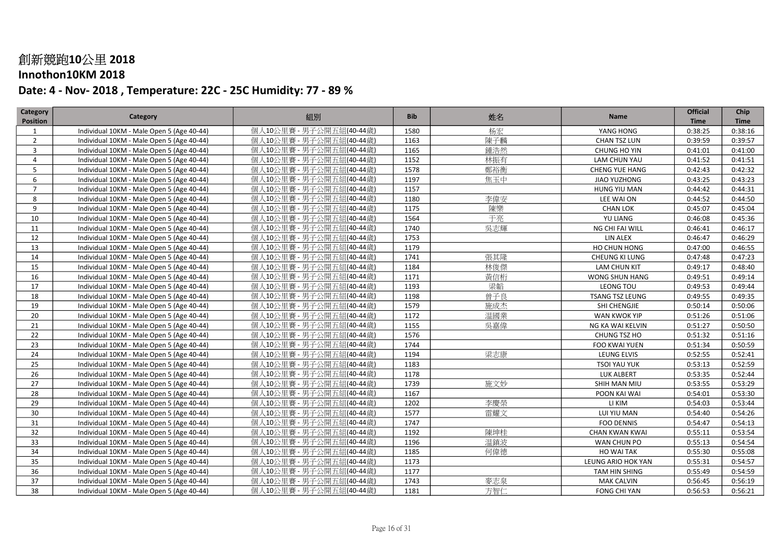### Innothon10KM 2018

| Category        | Category                                  | 組別                       | <b>Bib</b> | 姓名  | Name                   | <b>Official</b> | Chip        |
|-----------------|-------------------------------------------|--------------------------|------------|-----|------------------------|-----------------|-------------|
| <b>Position</b> |                                           |                          |            |     |                        | <b>Time</b>     | <b>Time</b> |
| $\mathbf{1}$    | Individual 10KM - Male Open 5 (Age 40-44) | 個人10公里賽 - 男子公開五組(40-44歲) | 1580       | 杨宏  | YANG HONG              | 0:38:25         | 0:38:16     |
| $\overline{2}$  | Individual 10KM - Male Open 5 (Age 40-44) | 個人10公里賽 - 男子公開五組(40-44歲) | 1163       | 陳子麟 | CHAN TSZ LUN           | 0:39:59         | 0:39:57     |
| 3               | Individual 10KM - Male Open 5 (Age 40-44) | 個人10公里賽 - 男子公開五組(40-44歲) | 1165       | 鍾浩然 | CHUNG HO YIN           | 0:41:01         | 0:41:00     |
| $\overline{4}$  | Individual 10KM - Male Open 5 (Age 40-44) | 個人10公里賽 - 男子公開五組(40-44歲) | 1152       | 林振有 | LAM CHUN YAU           | 0:41:52         | 0:41:51     |
| 5               | Individual 10KM - Male Open 5 (Age 40-44) | 個人10公里賽 - 男子公開五組(40-44歲) | 1578       | 鄭裕衡 | <b>CHENG YUE HANG</b>  | 0:42:43         | 0:42:32     |
| 6               | Individual 10KM - Male Open 5 (Age 40-44) | 個人10公里賽 - 男子公開五組(40-44歲) | 1197       | 焦玉中 | JIAO YUZHONG           | 0:43:25         | 0:43:23     |
| $\overline{7}$  | Individual 10KM - Male Open 5 (Age 40-44) | 個人10公里賽 - 男子公開五組(40-44歲) | 1157       |     | HUNG YIU MAN           | 0:44:42         | 0:44:31     |
| 8               | Individual 10KM - Male Open 5 (Age 40-44) | 個人10公里賽 - 男子公開五組(40-44歲) | 1180       | 李偉安 | LEE WAI ON             | 0:44:52         | 0:44:50     |
| 9               | Individual 10KM - Male Open 5 (Age 40-44) | 個人10公里賽 - 男子公開五組(40-44歲) | 1175       | 陳樂  | <b>CHAN LOK</b>        | 0:45:07         | 0:45:04     |
| 10              | Individual 10KM - Male Open 5 (Age 40-44) | 個人10公里賽 - 男子公開五組(40-44歲) | 1564       | 于亮  | YU LIANG               | 0:46:08         | 0:45:36     |
| 11              | Individual 10KM - Male Open 5 (Age 40-44) | 個人10公里賽 - 男子公開五組(40-44歳) | 1740       | 吳志輝 | NG CHI FAI WILL        | 0:46:41         | 0:46:17     |
| 12              | Individual 10KM - Male Open 5 (Age 40-44) | 個人10公里賽 - 男子公開五組(40-44歲) | 1753       |     | <b>LIN ALEX</b>        | 0:46:47         | 0:46:29     |
| 13              | Individual 10KM - Male Open 5 (Age 40-44) | 個人10公里賽 - 男子公開五組(40-44歲) | 1179       |     | HO CHUN HONG           | 0:47:00         | 0:46:55     |
| 14              | Individual 10KM - Male Open 5 (Age 40-44) | 個人10公里賽 - 男子公開五組(40-44歲) | 1741       | 張其隆 | CHEUNG KI LUNG         | 0:47:48         | 0:47:23     |
| 15              | Individual 10KM - Male Open 5 (Age 40-44) | 個人10公里賽 - 男子公開五組(40-44歲) | 1184       | 林俊傑 | <b>LAM CHUN KIT</b>    | 0:49:17         | 0:48:40     |
| 16              | Individual 10KM - Male Open 5 (Age 40-44) | 個人10公里賽 - 男子公開五組(40-44歲) | 1171       | 黃信桁 | WONG SHUN HANG         | 0:49:51         | 0:49:14     |
| 17              | Individual 10KM - Male Open 5 (Age 40-44) | 個人10公里賽 - 男子公開五組(40-44歳) | 1193       | 梁韜  | LEONG TOU              | 0:49:53         | 0:49:44     |
| 18              | Individual 10KM - Male Open 5 (Age 40-44) | 個人10公里賽 - 男子公開五組(40-44歲) | 1198       | 曾子良 | <b>TSANG TSZ LEUNG</b> | 0:49:55         | 0:49:35     |
| 19              | Individual 10KM - Male Open 5 (Age 40-44) | 個人10公里賽 - 男子公開五組(40-44歳) | 1579       | 施成杰 | SHI CHENGJIE           | 0:50:14         | 0:50:06     |
| 20              | Individual 10KM - Male Open 5 (Age 40-44) | 個人10公里賽 - 男子公開五組(40-44歲) | 1172       | 温國業 | WAN KWOK YIP           | 0:51:26         | 0:51:06     |
| 21              | Individual 10KM - Male Open 5 (Age 40-44) | 個人10公里賽 - 男子公開五組(40-44歲) | 1155       | 吳嘉偉 | NG KA WAI KELVIN       | 0:51:27         | 0:50:50     |
| 22              | Individual 10KM - Male Open 5 (Age 40-44) | 個人10公里賽 - 男子公開五組(40-44歲) | 1576       |     | CHUNG TSZ HO           | 0:51:32         | 0:51:16     |
| 23              | Individual 10KM - Male Open 5 (Age 40-44) | 個人10公里賽 - 男子公開五組(40-44歲) | 1744       |     | <b>FOO KWAI YUEN</b>   | 0:51:34         | 0:50:59     |
| 24              | Individual 10KM - Male Open 5 (Age 40-44) | 個人10公里賽 - 男子公開五組(40-44歳) | 1194       | 梁志康 | LEUNG ELVIS            | 0:52:55         | 0:52:41     |
| 25              | Individual 10KM - Male Open 5 (Age 40-44) | 個人10公里賽 - 男子公開五組(40-44歳) | 1183       |     | <b>TSOI YAU YUK</b>    | 0:53:13         | 0:52:59     |
| 26              | Individual 10KM - Male Open 5 (Age 40-44) | 個人10公里賽 - 男子公開五組(40-44歲) | 1178       |     | LUK ALBERT             | 0:53:35         | 0:52:44     |
| 27              | Individual 10KM - Male Open 5 (Age 40-44) | 個人10公里賽 - 男子公開五組(40-44歲) | 1739       | 施文妙 | SHIH MAN MIU           | 0:53:55         | 0:53:29     |
| 28              | Individual 10KM - Male Open 5 (Age 40-44) | 個人10公里賽 - 男子公開五組(40-44歲) | 1167       |     | POON KAI WAI           | 0:54:01         | 0:53:30     |
| 29              | Individual 10KM - Male Open 5 (Age 40-44) | 個人10公里賽 - 男子公開五組(40-44歲) | 1202       | 李慶榮 | LI KIM                 | 0:54:03         | 0:53:44     |
| 30              | Individual 10KM - Male Open 5 (Age 40-44) | 個人10公里賽 - 男子公開五組(40-44歳) | 1577       | 雷耀文 | LUI YIU MAN            | 0:54:40         | 0:54:26     |
| 31              | Individual 10KM - Male Open 5 (Age 40-44) | 個人10公里賽 - 男子公開五組(40-44歳) | 1747       |     | <b>FOO DENNIS</b>      | 0:54:47         | 0:54:13     |
| 32              | Individual 10KM - Male Open 5 (Age 40-44) | 個人10公里賽 - 男子公開五組(40-44歳) | 1192       | 陳坤桂 | <b>CHAN KWAN KWAI</b>  | 0:55:11         | 0:53:54     |
| 33              | Individual 10KM - Male Open 5 (Age 40-44) | 個人10公里賽 - 男子公開五組(40-44歲) | 1196       | 温鎮波 | WAN CHUN PO            | 0:55:13         | 0:54:54     |
| 34              | Individual 10KM - Male Open 5 (Age 40-44) | 個人10公里賽 - 男子公開五組(40-44歲) | 1185       | 何偉德 | HO WAI TAK             | 0:55:30         | 0:55:08     |
| 35              | Individual 10KM - Male Open 5 (Age 40-44) | 個人10公里賽 - 男子公開五組(40-44歲) | 1173       |     | LEUNG ARIO HOK YAN     | 0:55:31         | 0:54:57     |
| 36              | Individual 10KM - Male Open 5 (Age 40-44) | 個人10公里賽 - 男子公開五組(40-44歲) | 1177       |     | TAM HIN SHING          | 0:55:49         | 0:54:59     |
| 37              | Individual 10KM - Male Open 5 (Age 40-44) | 個人10公里賽 - 男子公開五組(40-44歳) | 1743       | 麥志泉 | <b>MAK CALVIN</b>      | 0:56:45         | 0:56:19     |
| 38              | Individual 10KM - Male Open 5 (Age 40-44) | 個人10公里賽 - 男子公開五組(40-44歲) | 1181       | 方智仁 | <b>FONG CHI YAN</b>    | 0:56:53         | 0:56:21     |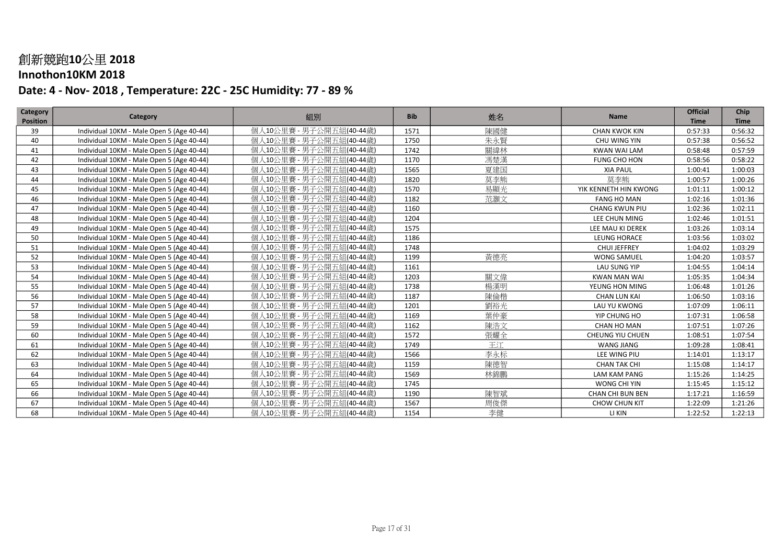### Innothon10KM 2018

| Category        | Category                                  | 組別                       | <b>Bib</b> | 姓名  | Name                    | <b>Official</b> | Chip        |
|-----------------|-------------------------------------------|--------------------------|------------|-----|-------------------------|-----------------|-------------|
| <b>Position</b> |                                           |                          |            |     |                         | <b>Time</b>     | <b>Time</b> |
| 39              | Individual 10KM - Male Open 5 (Age 40-44) | 個人10公里賽 - 男子公開五組(40-44歲) | 1571       | 陳國健 | <b>CHAN KWOK KIN</b>    | 0:57:33         | 0:56:32     |
| 40              | Individual 10KM - Male Open 5 (Age 40-44) | 個人10公里賽 - 男子公開五組(40-44歳) | 1750       | 朱永賢 | CHU WING YIN            | 0:57:38         | 0:56:52     |
| 41              | Individual 10KM - Male Open 5 (Age 40-44) | 個人10公里賽 - 男子公開五組(40-44歲) | 1742       | 關緯林 | <b>KWAN WAI LAM</b>     | 0:58:48         | 0:57:59     |
| 42              | Individual 10KM - Male Open 5 (Age 40-44) | 個人10公里賽 - 男子公開五組(40-44歳) | 1170       | 馮楚漢 | FUNG CHO HON            | 0:58:56         | 0:58:22     |
| 43              | Individual 10KM - Male Open 5 (Age 40-44) | 個人10公里賽 - 男子公開五組(40-44歳) | 1565       | 夏建国 | <b>XIA PAUL</b>         | 1:00:41         | 1:00:03     |
| 44              | Individual 10KM - Male Open 5 (Age 40-44) | 個人10公里賽 - 男子公開五組(40-44歲) | 1820       | 莫李能 | 莫李能                     | 1:00:57         | 1:00:26     |
| 45              | Individual 10KM - Male Open 5 (Age 40-44) | 個人10公里賽 - 男子公開五組(40-44歲) | 1570       | 易顯光 | YIK KENNETH HIN KWONG   | 1:01:11         | 1:00:12     |
| 46              | Individual 10KM - Male Open 5 (Age 40-44) | 個人10公里賽 - 男子公開五組(40-44歲) | 1182       | 范灝文 | <b>FANG HO MAN</b>      | 1:02:16         | 1:01:36     |
| 47              | Individual 10KM - Male Open 5 (Age 40-44) | 個人10公里賽 - 男子公開五組(40-44歳) | 1160       |     | <b>CHANG KWUN PIU</b>   | 1:02:36         | 1:02:11     |
| 48              | Individual 10KM - Male Open 5 (Age 40-44) | 個人10公里賽 - 男子公開五組(40-44歲) | 1204       |     | LEE CHUN MING           | 1:02:46         | 1:01:51     |
| 49              | Individual 10KM - Male Open 5 (Age 40-44) | 個人10公里賽 - 男子公開五組(40-44歲) | 1575       |     | LEE MAU KI DEREK        | 1:03:26         | 1:03:14     |
| 50              | Individual 10KM - Male Open 5 (Age 40-44) | 個人10公里賽 - 男子公開五組(40-44歳) | 1186       |     | LEUNG HORACE            | 1:03:56         | 1:03:02     |
| 51              | Individual 10KM - Male Open 5 (Age 40-44) | 個人10公里賽 - 男子公開五組(40-44歲) | 1748       |     | CHUI JEFFREY            | 1:04:02         | 1:03:29     |
| 52              | Individual 10KM - Male Open 5 (Age 40-44) | 個人10公里賽 - 男子公開五組(40-44歲) | 1199       | 黃德亮 | <b>WONG SAMUEL</b>      | 1:04:20         | 1:03:57     |
| 53              | Individual 10KM - Male Open 5 (Age 40-44) | 個人10公里賽 - 男子公開五組(40-44歳) | 1161       |     | LAU SUNG YIP            | 1:04:55         | 1:04:14     |
| 54              | Individual 10KM - Male Open 5 (Age 40-44) | 個人10公里賽 - 男子公開五組(40-44歲) | 1203       | 關文偉 | <b>KWAN MAN WAI</b>     | 1:05:35         | 1:04:34     |
| 55              | Individual 10KM - Male Open 5 (Age 40-44) | 個人10公里賽 - 男子公開五組(40-44歲) | 1738       | 楊漢明 | YEUNG HON MING          | 1:06:48         | 1:01:26     |
| 56              | Individual 10KM - Male Open 5 (Age 40-44) | 個人10公里賽 - 男子公開五組(40-44歳) | 1187       | 陳倫楷 | <b>CHAN LUN KAI</b>     | 1:06:50         | 1:03:16     |
| 57              | Individual 10KM - Male Open 5 (Age 40-44) | 個人10公里賽 - 男子公開五組(40-44歲) | 1201       | 劉裕光 | LAU YU KWONG            | 1:07:09         | 1:06:11     |
| 58              | Individual 10KM - Male Open 5 (Age 40-44) | 個人10公里賽 - 男子公開五組(40-44歲) | 1169       | 葉仲豪 | YIP CHUNG HO            | 1:07:31         | 1:06:58     |
| 59              | Individual 10KM - Male Open 5 (Age 40-44) | 個人10公里賽 - 男子公開五組(40-44歲) | 1162       | 陳浩文 | CHAN HO MAN             | 1:07:51         | 1:07:26     |
| 60              | Individual 10KM - Male Open 5 (Age 40-44) | 個人10公里賽 - 男子公開五組(40-44歳) | 1572       | 張耀全 | <b>CHEUNG YIU CHUEN</b> | 1:08:51         | 1:07:54     |
| 61              | Individual 10KM - Male Open 5 (Age 40-44) | 個人10公里賽 - 男子公開五組(40-44歲) | 1749       | 王江  | <b>WANG JIANG</b>       | 1:09:28         | 1:08:41     |
| 62              | Individual 10KM - Male Open 5 (Age 40-44) | 個人10公里賽 - 男子公開五組(40-44歲) | 1566       | 李永标 | LEE WING PIU            | 1:14:01         | 1:13:17     |
| 63              | Individual 10KM - Male Open 5 (Age 40-44) | 個人10公里賽 - 男子公開五組(40-44歲) | 1159       | 陳德智 | <b>CHAN TAK CHI</b>     | 1:15:08         | 1:14:17     |
| 64              | Individual 10KM - Male Open 5 (Age 40-44) | 個人10公里賽 - 男子公開五組(40-44歲) | 1569       | 林錦鵬 | <b>LAM KAM PANG</b>     | 1:15:26         | 1:14:25     |
| 65              | Individual 10KM - Male Open 5 (Age 40-44) | 個人10公里賽 - 男子公開五組(40-44歲) | 1745       |     | WONG CHI YIN            | 1:15:45         | 1:15:12     |
| 66              | Individual 10KM - Male Open 5 (Age 40-44) | 個人10公里賽 - 男子公開五組(40-44歲) | 1190       | 陳智斌 | CHAN CHI BUN BEN        | 1:17:21         | 1:16:59     |
| 67              | Individual 10KM - Male Open 5 (Age 40-44) | 個人10公里賽 - 男子公開五組(40-44歲) | 1567       | 周俊傑 | CHOW CHUN KIT           | 1:22:09         | 1:21:26     |
| 68              | Individual 10KM - Male Open 5 (Age 40-44) | 個人10公里賽 - 男子公開五組(40-44歲) | 1154       | 李健  | LI KIN                  | 1:22:52         | 1:22:13     |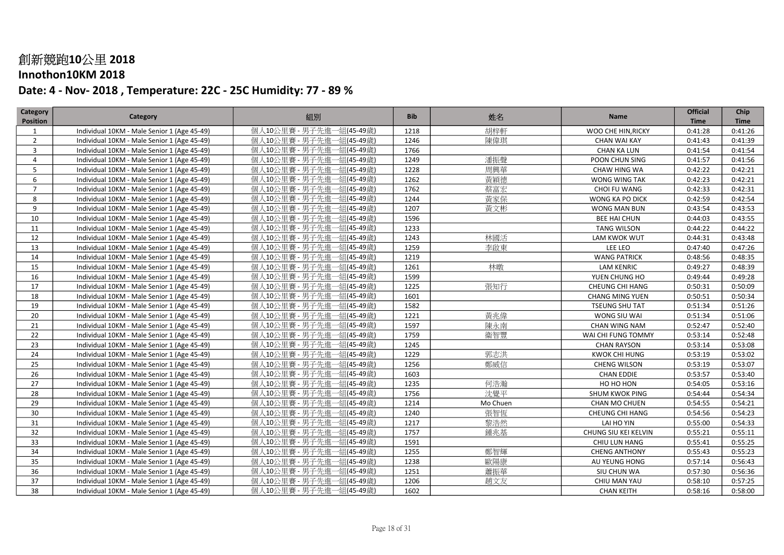### Innothon10KM 2018

| Category        | Category                                    | 組別                           | <b>Bib</b> | 姓名       | Name                   | <b>Official</b> | Chip        |
|-----------------|---------------------------------------------|------------------------------|------------|----------|------------------------|-----------------|-------------|
| <b>Position</b> |                                             |                              |            |          |                        | <b>Time</b>     | <b>Time</b> |
| 1               | Individual 10KM - Male Senior 1 (Age 45-49) | 個人10公里賽 - 男子先進<br>-組(45-49歲) | 1218       | 胡梓軒      | WOO CHE HIN, RICKY     | 0:41:28         | 0:41:26     |
| $\overline{2}$  | Individual 10KM - Male Senior 1 (Age 45-49) | 個人10公里賽 - 男子先進一組(45-49歲)     | 1246       | 陳偉琪      | CHAN WAI KAY           | 0:41:43         | 0:41:39     |
| $\overline{3}$  | Individual 10KM - Male Senior 1 (Age 45-49) | 個人10公里賽 - 男子先進一組(45-49歲)     | 1766       |          | <b>CHAN KA LUN</b>     | 0:41:54         | 0:41:54     |
| 4               | Individual 10KM - Male Senior 1 (Age 45-49) | 個人10公里賽 - 男子先進一組(45-49歳)     | 1249       | 潘振聲      | POON CHUN SING         | 0:41:57         | 0:41:56     |
| 5               | Individual 10KM - Male Senior 1 (Age 45-49) | 個人10公里賽 - 男子先進一組(45-49歲)     | 1228       | 周興華      | CHAW HING WA           | 0:42:22         | 0:42:21     |
| 6               | Individual 10KM - Male Senior 1 (Age 45-49) | 個人10公里賽 - 男子先進一組(45-49歲)     | 1262       | 黃穎德      | WONG WING TAK          | 0:42:23         | 0:42:21     |
| $\overline{7}$  | Individual 10KM - Male Senior 1 (Age 45-49) | 個人10公里賽 - 男子先進一組(45-49歳)     | 1762       | 蔡富宏      | CHOI FU WANG           | 0:42:33         | 0:42:31     |
| 8               | Individual 10KM - Male Senior 1 (Age 45-49) | 個人10公里賽 - 男子先進一組(45-49歳)     | 1244       | 黃家保      | WONG KA PO DICK        | 0:42:59         | 0:42:54     |
| 9               | Individual 10KM - Male Senior 1 (Age 45-49) | 個人10公里賽 - 男子先進一組(45-49歲)     | 1207       | 黃文彬      | WONG MAN BUN           | 0:43:54         | 0:43:53     |
| 10              | Individual 10KM - Male Senior 1 (Age 45-49) | 個人10公里賽 - 男子先進一組(45-49歲)     | 1596       |          | <b>BEE HAI CHUN</b>    | 0:44:03         | 0:43:55     |
| 11              | Individual 10KM - Male Senior 1 (Age 45-49) | 個人10公里賽 - 男子先進一組(45-49歲)     | 1233       |          | <b>TANG WILSON</b>     | 0:44:22         | 0:44:22     |
| 12              | Individual 10KM - Male Senior 1 (Age 45-49) | 個人10公里賽 - 男子先進一組(45-49歲)     | 1243       | 林國活      | LAM KWOK WUT           | 0:44:31         | 0:43:48     |
| 13              | Individual 10KM - Male Senior 1 (Age 45-49) | 個人10公里賽 - 男子先進一組(45-49歲)     | 1259       | 李啟東      | LEE LEO                | 0:47:40         | 0:47:26     |
| 14              | Individual 10KM - Male Senior 1 (Age 45-49) | 個人10公里賽 - 男子先進一組(45-49歲)     | 1219       |          | <b>WANG PATRICK</b>    | 0:48:56         | 0:48:35     |
| 15              | Individual 10KM - Male Senior 1 (Age 45-49) | 個人10公里賽 - 男子先進一組(45-49歳)     | 1261       | 林暾       | <b>LAM KENRIC</b>      | 0:49:27         | 0:48:39     |
| 16              | Individual 10KM - Male Senior 1 (Age 45-49) | 個人10公里賽 - 男子先進一組(45-49歲)     | 1599       |          | YUEN CHUNG HO          | 0:49:44         | 0:49:28     |
| 17              | Individual 10KM - Male Senior 1 (Age 45-49) | 個人10公里賽 - 男子先進一組(45-49歲)     | 1225       | 張知行      | <b>CHEUNG CHI HANG</b> | 0:50:31         | 0:50:09     |
| 18              | Individual 10KM - Male Senior 1 (Age 45-49) | 個人10公里賽 - 男子先進一組(45-49歲)     | 1601       |          | <b>CHANG MING YUEN</b> | 0:50:51         | 0:50:34     |
| 19              | Individual 10KM - Male Senior 1 (Age 45-49) | 個人10公里賽 - 男子先進一組(45-49歲)     | 1582       |          | <b>TSEUNG SHU TAT</b>  | 0:51:34         | 0:51:26     |
| 20              | Individual 10KM - Male Senior 1 (Age 45-49) | 個人10公里賽 - 男子先進一組(45-49歳)     | 1221       | 黃兆偉      | WONG SIU WAI           | 0:51:34         | 0:51:06     |
| 21              | Individual 10KM - Male Senior 1 (Age 45-49) | 個人10公里賽 - 男子先進一組(45-49歲)     | 1597       | 陳永南      | <b>CHAN WING NAM</b>   | 0:52:47         | 0:52:40     |
| 22              | Individual 10KM - Male Senior 1 (Age 45-49) | 個人10公里賽 - 男子先進一組(45-49歳)     | 1759       | 衞智豐      | WAI CHI FUNG TOMMY     | 0:53:14         | 0:52:48     |
| 23              | Individual 10KM - Male Senior 1 (Age 45-49) | 個人10公里賽 - 男子先進一組(45-49歳)     | 1245       |          | <b>CHAN RAYSON</b>     | 0:53:14         | 0:53:08     |
| 24              | Individual 10KM - Male Senior 1 (Age 45-49) | 個人10公里賽 - 男子先進一組(45-49歲)     | 1229       | 郭志洪      | KWOK CHI HUNG          | 0:53:19         | 0:53:02     |
| 25              | Individual 10KM - Male Senior 1 (Age 45-49) | 個人10公里賽 - 男子先進一組(45-49歲)     | 1256       | 鄭威信      | <b>CHENG WILSON</b>    | 0:53:19         | 0:53:07     |
| 26              | Individual 10KM - Male Senior 1 (Age 45-49) | 個人10公里賽 - 男子先進一組(45-49歲)     | 1603       |          | CHAN EDDIE             | 0:53:57         | 0:53:40     |
| 27              | Individual 10KM - Male Senior 1 (Age 45-49) | 個人10公里賽 - 男子先進一組(45-49歲)     | 1235       | 何浩瀚      | HO HO HON              | 0:54:05         | 0:53:16     |
| 28              | Individual 10KM - Male Senior 1 (Age 45-49) | 個人10公里賽 - 男子先進一組(45-49歲)     | 1756       | 沈覺平      | <b>SHUM KWOK PING</b>  | 0:54:44         | 0:54:34     |
| 29              | Individual 10KM - Male Senior 1 (Age 45-49) | 個人10公里賽 - 男子先進一組(45-49歲)     | 1214       | Mo Chuen | <b>CHAN MO CHUEN</b>   | 0:54:55         | 0:54:21     |
| 30              | Individual 10KM - Male Senior 1 (Age 45-49) | 個人10公里賽 - 男子先進一組(45-49歲)     | 1240       | 張智恆      | CHEUNG CHI HANG        | 0:54:56         | 0:54:23     |
| 31              | Individual 10KM - Male Senior 1 (Age 45-49) | 個人10公里賽 - 男子先進一組(45-49歳)     | 1217       | 黎浩然      | LAI HO YIN             | 0:55:00         | 0:54:33     |
| 32              | Individual 10KM - Male Senior 1 (Age 45-49) | 個人10公里賽 - 男子先進一組(45-49歲)     | 1757       | 鍾兆基      | CHUNG SIU KEI KELVIN   | 0:55:21         | 0:55:11     |
| 33              | Individual 10KM - Male Senior 1 (Age 45-49) | 個人10公里賽 - 男子先進一組(45-49歲)     | 1591       |          | CHIU LUN HANG          | 0:55:41         | 0:55:25     |
| 34              | Individual 10KM - Male Senior 1 (Age 45-49) | 個人10公里賽 - 男子先進一組(45-49歲)     | 1255       | 鄭智輝      | <b>CHENG ANTHONY</b>   | 0:55:43         | 0:55:23     |
| 35              | Individual 10KM - Male Senior 1 (Age 45-49) | 個人10公里賽 - 男子先進一組(45-49歲)     | 1238       | 歐陽康      | AU YEUNG HONG          | 0:57:14         | 0:56:43     |
| 36              | Individual 10KM - Male Senior 1 (Age 45-49) | 個人10公里賽 - 男子先進一組(45-49歲)     | 1251       | 蕭振華      | SIU CHUN WA            | 0:57:30         | 0:56:36     |
| 37              | Individual 10KM - Male Senior 1 (Age 45-49) | 個人10公里賽 - 男子先進一組(45-49歲)     | 1206       | 趙文友      | CHIU MAN YAU           | 0:58:10         | 0:57:25     |
| 38              | Individual 10KM - Male Senior 1 (Age 45-49) | 個人10公里賽 - 男子先進一組(45-49歳)     | 1602       |          | <b>CHAN KEITH</b>      | 0:58:16         | 0:58:00     |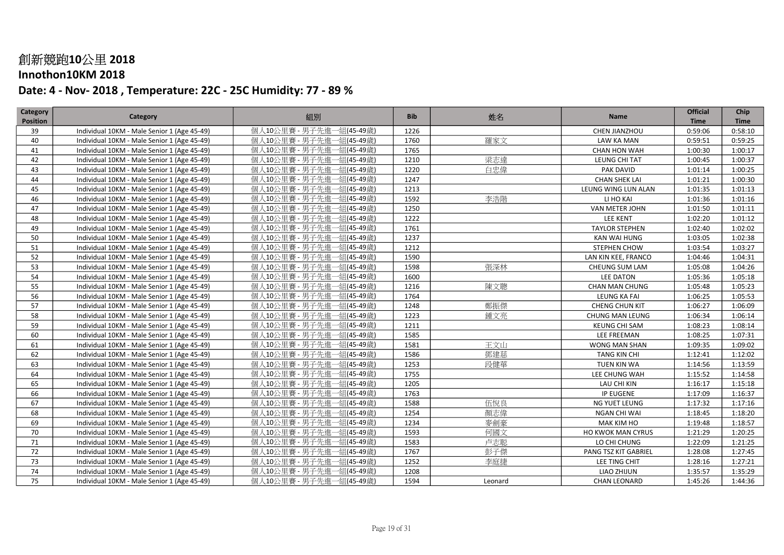### Innothon10KM 2018

| Category        | Category                                    | 組別                           | <b>Bib</b> | 姓名      | Name                   | <b>Official</b> | Chip        |
|-----------------|---------------------------------------------|------------------------------|------------|---------|------------------------|-----------------|-------------|
| <b>Position</b> |                                             |                              |            |         |                        | <b>Time</b>     | <b>Time</b> |
| 39              | Individual 10KM - Male Senior 1 (Age 45-49) | 個人10公里賽 - 男子先進<br>·組(45-49歲) | 1226       |         | CHEN JIANZHOU          | 0:59:06         | 0:58:10     |
| 40              | Individual 10KM - Male Senior 1 (Age 45-49) | 個人10公里賽 - 男子先進一組(45-49歳)     | 1760       | 羅家文     | LAW KA MAN             | 0:59:51         | 0:59:25     |
| 41              | Individual 10KM - Male Senior 1 (Age 45-49) | 個人10公里賽 - 男子先進一組(45-49歳)     | 1765       |         | CHAN HON WAH           | 1:00:30         | 1:00:17     |
| 42              | Individual 10KM - Male Senior 1 (Age 45-49) | 個人10公里賽 - 男子先進一組(45-49歳)     | 1210       | 梁志達     | LEUNG CHI TAT          | 1:00:45         | 1:00:37     |
| 43              | Individual 10KM - Male Senior 1 (Age 45-49) | 個人10公里賽 - 男子先進一組(45-49歳)     | 1220       | 白忠偉     | PAK DAVID              | 1:01:14         | 1:00:25     |
| 44              | Individual 10KM - Male Senior 1 (Age 45-49) | 個人10公里賽 - 男子先進一組(45-49歳)     | 1247       |         | <b>CHAN SHEK LAI</b>   | 1:01:21         | 1:00:30     |
| 45              | Individual 10KM - Male Senior 1 (Age 45-49) | 個人10公里賽 - 男子先進一組(45-49歲)     | 1213       |         | LEUNG WING LUN ALAN    | 1:01:35         | 1:01:13     |
| 46              | Individual 10KM - Male Senior 1 (Age 45-49) | 個人10公里賽 - 男子先進一組(45-49歲)     | 1592       | 李浩階     | LI HO KAI              | 1:01:36         | 1:01:16     |
| 47              | Individual 10KM - Male Senior 1 (Age 45-49) | 個人10公里賽 - 男子先進一組(45-49歳)     | 1250       |         | VAN METER JOHN         | 1:01:50         | 1:01:11     |
| 48              | Individual 10KM - Male Senior 1 (Age 45-49) | 個人10公里賽 - 男子先進一組(45-49歲)     | 1222       |         | LEE KENT               | 1:02:20         | 1:01:12     |
| 49              | Individual 10KM - Male Senior 1 (Age 45-49) | 個人10公里賽 - 男子先進一組(45-49歳)     | 1761       |         | <b>TAYLOR STEPHEN</b>  | 1:02:40         | 1:02:02     |
| 50              | Individual 10KM - Male Senior 1 (Age 45-49) | 個人10公里賽 - 男子先進一組(45-49歳)     | 1237       |         | KAN WAI HUNG           | 1:03:05         | 1:02:38     |
| 51              | Individual 10KM - Male Senior 1 (Age 45-49) | 個人10公里賽 - 男子先進一組(45-49歲)     | 1212       |         | STEPHEN CHOW           | 1:03:54         | 1:03:27     |
| 52              | Individual 10KM - Male Senior 1 (Age 45-49) | 個人10公里賽 - 男子先進一組(45-49歳)     | 1590       |         | LAN KIN KEE, FRANCO    | 1:04:46         | 1:04:31     |
| 53              | Individual 10KM - Male Senior 1 (Age 45-49) | 個人10公里賽 - 男子先進一組(45-49歳)     | 1598       | 張深林     | CHEUNG SUM LAM         | 1:05:08         | 1:04:26     |
| 54              | Individual 10KM - Male Senior 1 (Age 45-49) | 個人10公里賽 - 男子先進一組(45-49歲)     | 1600       |         | <b>LEE DATON</b>       | 1:05:36         | 1:05:18     |
| 55              | Individual 10KM - Male Senior 1 (Age 45-49) | 個人10公里賽 - 男子先進一組(45-49歳)     | 1216       | 陳文聰     | <b>CHAN MAN CHUNG</b>  | 1:05:48         | 1:05:23     |
| 56              | Individual 10KM - Male Senior 1 (Age 45-49) | 個人10公里賽 - 男子先進一組(45-49歳)     | 1764       |         | LEUNG KA FAI           | 1:06:25         | 1:05:53     |
| 57              | Individual 10KM - Male Senior 1 (Age 45-49) | 個人10公里賽 - 男子先進一組(45-49歲)     | 1248       | 鄭振傑     | <b>CHENG CHUN KIT</b>  | 1:06:27         | 1:06:09     |
| 58              | Individual 10KM - Male Senior 1 (Age 45-49) | 個人10公里賽 - 男子先進一組(45-49歲)     | 1223       | 鍾文亮     | <b>CHUNG MAN LEUNG</b> | 1:06:34         | 1:06:14     |
| 59              | Individual 10KM - Male Senior 1 (Age 45-49) | 個人10公里賽 - 男子先進一組(45-49歲)     | 1211       |         | <b>KEUNG CHI SAM</b>   | 1:08:23         | 1:08:14     |
| 60              | Individual 10KM - Male Senior 1 (Age 45-49) | 個人10公里賽 - 男子先進一組(45-49歳)     | 1585       |         | LEE FREEMAN            | 1:08:25         | 1:07:31     |
| 61              | Individual 10KM - Male Senior 1 (Age 45-49) | 個人10公里賽 - 男子先進一組(45-49歳)     | 1581       | 王文山     | WONG MAN SHAN          | 1:09:35         | 1:09:02     |
| 62              | Individual 10KM - Male Senior 1 (Age 45-49) | 個人10公里賽 - 男子先進一組(45-49歳)     | 1586       | 鄧建慈     | <b>TANG KIN CHI</b>    | 1:12:41         | 1:12:02     |
| 63              | Individual 10KM - Male Senior 1 (Age 45-49) | 個人10公里賽 - 男子先進一組(45-49歳)     | 1253       | 段健華     | TUEN KIN WA            | 1:14:56         | 1:13:59     |
| 64              | Individual 10KM - Male Senior 1 (Age 45-49) | 個人10公里賽 - 男子先進一組(45-49歲)     | 1755       |         | LEE CHUNG WAH          | 1:15:52         | 1:14:58     |
| 65              | Individual 10KM - Male Senior 1 (Age 45-49) | 個人10公里賽 - 男子先進一組(45-49歳)     | 1205       |         | LAU CHI KIN            | 1:16:17         | 1:15:18     |
| 66              | Individual 10KM - Male Senior 1 (Age 45-49) | 個人10公里賽 - 男子先進一組(45-49歳)     | 1763       |         | <b>IP EUGENE</b>       | 1:17:09         | 1:16:37     |
| 67              | Individual 10KM - Male Senior 1 (Age 45-49) | 個人10公里賽 - 男子先進一組(45-49歲)     | 1588       | 伍悅良     | NG YUET LEUNG          | 1:17:32         | 1:17:16     |
| 68              | Individual 10KM - Male Senior 1 (Age 45-49) | 個人10公里賽 - 男子先進一組(45-49歳)     | 1254       | 顏志偉     | NGAN CHI WAI           | 1:18:45         | 1:18:20     |
| 69              | Individual 10KM - Male Senior 1 (Age 45-49) | 個人10公里賽 - 男子先進一組(45-49歳)     | 1234       | 麥劍豪     | <b>MAK KIM HO</b>      | 1:19:48         | 1:18:57     |
| 70              | Individual 10KM - Male Senior 1 (Age 45-49) | 個人10公里賽 - 男子先進一組(45-49歳)     | 1593       | 何國文     | HO KWOK MAN CYRUS      | 1:21:29         | 1:20:25     |
| 71              | Individual 10KM - Male Senior 1 (Age 45-49) | 個人10公里賽 - 男子先進一組(45-49歲)     | 1583       | 卢志聪     | LO CHI CHUNG           | 1:22:09         | 1:21:25     |
| 72              | Individual 10KM - Male Senior 1 (Age 45-49) | 個人10公里賽 - 男子先進一組(45-49歲)     | 1767       | 彭子傑     | PANG TSZ KIT GABRIEL   | 1:28:08         | 1:27:45     |
| 73              | Individual 10KM - Male Senior 1 (Age 45-49) | 個人10公里賽 - 男子先進一組(45-49歳)     | 1252       | 李庭捷     | LEE TING CHIT          | 1:28:16         | 1:27:21     |
| 74              | Individual 10KM - Male Senior 1 (Age 45-49) | 個人10公里賽 - 男子先進一組(45-49歳)     | 1208       |         | LIAO ZHIJUN            | 1:35:57         | 1:35:29     |
| 75              | Individual 10KM - Male Senior 1 (Age 45-49) | 個人10公里賽 - 男子先進一組(45-49歲)     | 1594       | Leonard | <b>CHAN LEONARD</b>    | 1:45:26         | 1:44:36     |
|                 |                                             |                              |            |         |                        |                 |             |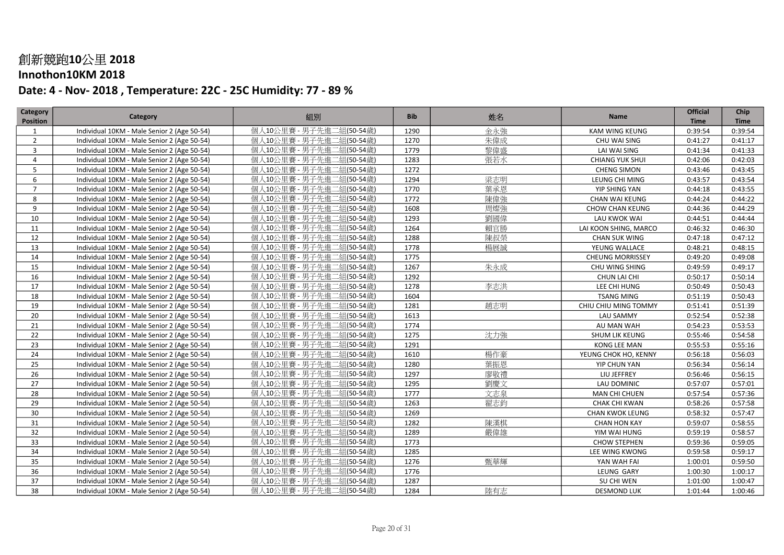### Innothon10KM 2018

| Category        | Category                                    | 組別                       | <b>Bib</b> | 姓名  | Name                    | <b>Official</b> | Chip        |
|-----------------|---------------------------------------------|--------------------------|------------|-----|-------------------------|-----------------|-------------|
| <b>Position</b> |                                             |                          |            |     |                         | <b>Time</b>     | <b>Time</b> |
| 1               | Individual 10KM - Male Senior 2 (Age 50-54) | 個人10公里賽 - 男子先進二組(50-54歲) | 1290       | 金永強 | KAM WING KEUNG          | 0:39:54         | 0:39:54     |
| $\overline{2}$  | Individual 10KM - Male Senior 2 (Age 50-54) | 個人10公里賽 - 男子先進二組(50-54歲) | 1270       | 朱偉成 | CHU WAI SING            | 0:41:27         | 0:41:17     |
| $\overline{3}$  | Individual 10KM - Male Senior 2 (Age 50-54) | 個人10公里賽 - 男子先進二組(50-54歲) | 1779       | 黎偉盛 | LAI WAI SING            | 0:41:34         | 0:41:33     |
| $\overline{4}$  | Individual 10KM - Male Senior 2 (Age 50-54) | 個人10公里賽 - 男子先進二組(50-54歲) | 1283       | 張若水 | <b>CHIANG YUK SHUI</b>  | 0:42:06         | 0:42:03     |
| 5               | Individual 10KM - Male Senior 2 (Age 50-54) | 個人10公里賽 - 男子先進二組(50-54歲) | 1272       |     | <b>CHENG SIMON</b>      | 0:43:46         | 0:43:45     |
| 6               | Individual 10KM - Male Senior 2 (Age 50-54) | 個人10公里賽 - 男子先進二組(50-54歲) | 1294       | 梁志明 | LEUNG CHI MING          | 0:43:57         | 0:43:54     |
| $\overline{7}$  | Individual 10KM - Male Senior 2 (Age 50-54) | 個人10公里賽 - 男子先進二組(50-54歳) | 1770       | 葉承恩 | YIP SHING YAN           | 0:44:18         | 0:43:55     |
| 8               | Individual 10KM - Male Senior 2 (Age 50-54) | 個人10公里賽 - 男子先進二組(50-54歲) | 1772       | 陳偉強 | CHAN WAI KEUNG          | 0:44:24         | 0:44:22     |
| 9               | Individual 10KM - Male Senior 2 (Age 50-54) | 個人10公里賽 - 男子先進二組(50-54歲) | 1608       | 周燦強 | CHOW CHAN KEUNG         | 0:44:36         | 0:44:29     |
| 10              | Individual 10KM - Male Senior 2 (Age 50-54) | 個人10公里賽 - 男子先進二組(50-54歳) | 1293       | 劉國偉 | LAU KWOK WAI            | 0:44:51         | 0:44:44     |
| 11              | Individual 10KM - Male Senior 2 (Age 50-54) | 個人10公里賽 - 男子先進二組(50-54歲) | 1264       | 賴官勝 | LAI KOON SHING, MARCO   | 0:46:32         | 0:46:30     |
| 12              | Individual 10KM - Male Senior 2 (Age 50-54) | 個人10公里賽 - 男子先進二組(50-54歲) | 1288       | 陳叔榮 | <b>CHAN SUK WING</b>    | 0:47:18         | 0:47:12     |
| 13              | Individual 10KM - Male Senior 2 (Age 50-54) | 個人10公里賽 - 男子先進二組(50-54歲) | 1778       | 楊展誠 | YEUNG WALLACE           | 0:48:21         | 0:48:15     |
| 14              | Individual 10KM - Male Senior 2 (Age 50-54) | 個人10公里賽 - 男子先進二組(50-54歲) | 1775       |     | <b>CHEUNG MORRISSEY</b> | 0:49:20         | 0:49:08     |
| 15              | Individual 10KM - Male Senior 2 (Age 50-54) | 個人10公里賽 - 男子先進二組(50-54歳) | 1267       | 朱永成 | CHU WING SHING          | 0:49:59         | 0:49:17     |
| 16              | Individual 10KM - Male Senior 2 (Age 50-54) | 個人10公里賽 - 男子先進二組(50-54歲) | 1292       |     | CHUN LAI CHI            | 0:50:17         | 0:50:14     |
| 17              | Individual 10KM - Male Senior 2 (Age 50-54) | 個人10公里賽 - 男子先進二組(50-54歳) | 1278       | 李志洪 | LEE CHI HUNG            | 0:50:49         | 0:50:43     |
| 18              | Individual 10KM - Male Senior 2 (Age 50-54) | 個人10公里賽 - 男子先進二組(50-54歳) | 1604       |     | <b>TSANG MING</b>       | 0:51:19         | 0:50:43     |
| 19              | Individual 10KM - Male Senior 2 (Age 50-54) | 個人10公里賽 - 男子先進二組(50-54歳) | 1281       | 趙志明 | CHIU CHIU MING TOMMY    | 0:51:41         | 0:51:39     |
| 20              | Individual 10KM - Male Senior 2 (Age 50-54) | 個人10公里賽 - 男子先進二組(50-54歲) | 1613       |     | <b>LAU SAMMY</b>        | 0:52:54         | 0:52:38     |
| 21              | Individual 10KM - Male Senior 2 (Age 50-54) | 個人10公里賽 - 男子先進二組(50-54歲) | 1774       |     | AU MAN WAH              | 0:54:23         | 0:53:53     |
| 22              | Individual 10KM - Male Senior 2 (Age 50-54) | 個人10公里賽 - 男子先進二組(50-54歳) | 1275       | 沈力強 | SHUM LIK KEUNG          | 0:55:46         | 0:54:58     |
| 23              | Individual 10KM - Male Senior 2 (Age 50-54) | 個人10公里賽 - 男子先進二組(50-54歳) | 1291       |     | KONG LEE MAN            | 0:55:53         | 0:55:16     |
| 24              | Individual 10KM - Male Senior 2 (Age 50-54) | 個人10公里賽 - 男子先進二組(50-54歳) | 1610       | 楊作豪 | YEUNG CHOK HO, KENNY    | 0:56:18         | 0:56:03     |
| 25              | Individual 10KM - Male Senior 2 (Age 50-54) | 個人10公里賽 - 男子先進二組(50-54歲) | 1280       | 葉振恩 | YIP CHUN YAN            | 0:56:34         | 0:56:14     |
| 26              | Individual 10KM - Male Senior 2 (Age 50-54) | 個人10公里賽 - 男子先進二組(50-54歲) | 1297       | 廖敬禮 | LIU JEFFREY             | 0:56:46         | 0:56:15     |
| 27              | Individual 10KM - Male Senior 2 (Age 50-54) | 個人10公里賽 - 男子先進二組(50-54歲) | 1295       | 劉慶文 | LAU DOMINIC             | 0:57:07         | 0:57:01     |
| 28              | Individual 10KM - Male Senior 2 (Age 50-54) | 個人10公里賽 - 男子先進二組(50-54歲) | 1777       | 文志泉 | MAN CHI CHUEN           | 0:57:54         | 0:57:36     |
| 29              | Individual 10KM - Male Senior 2 (Age 50-54) | 個人10公里賽 - 男子先進二組(50-54歲) | 1263       | 翟志鈞 | CHAK CHI KWAN           | 0:58:26         | 0:57:58     |
| 30              | Individual 10KM - Male Senior 2 (Age 50-54) | 個人10公里賽 - 男子先進二組(50-54歳) | 1269       |     | <b>CHAN KWOK LEUNG</b>  | 0:58:32         | 0:57:47     |
| 31              | Individual 10KM - Male Senior 2 (Age 50-54) | 個人10公里賽 - 男子先進二組(50-54歳) | 1282       | 陳漢棋 | <b>CHAN HON KAY</b>     | 0:59:07         | 0:58:55     |
| 32              | Individual 10KM - Male Senior 2 (Age 50-54) | 個人10公里賽 - 男子先進二組(50-54歲) | 1289       | 嚴偉雄 | YIM WAI HUNG            | 0:59:19         | 0:58:57     |
| 33              | Individual 10KM - Male Senior 2 (Age 50-54) | 個人10公里賽 - 男子先進二組(50-54歲) | 1773       |     | <b>CHOW STEPHEN</b>     | 0:59:36         | 0:59:05     |
| 34              | Individual 10KM - Male Senior 2 (Age 50-54) | 個人10公里賽 - 男子先進二組(50-54歲) | 1285       |     | LEE WING KWONG          | 0:59:58         | 0:59:17     |
| 35              | Individual 10KM - Male Senior 2 (Age 50-54) | 個人10公里賽 - 男子先進二組(50-54歲) | 1276       | 甄華輝 | YAN WAH FAI             | 1:00:01         | 0:59:50     |
| 36              | Individual 10KM - Male Senior 2 (Age 50-54) | 個人10公里賽 - 男子先進二組(50-54歲) | 1776       |     | LEUNG GARY              | 1:00:30         | 1:00:17     |
| 37              | Individual 10KM - Male Senior 2 (Age 50-54) | 個人10公里賽 - 男子先進二組(50-54歲) | 1287       |     | SU CHI WEN              | 1:01:00         | 1:00:47     |
| 38              | Individual 10KM - Male Senior 2 (Age 50-54) | 個人10公里賽 - 男子先進二組(50-54歳) | 1284       | 陸有志 | <b>DESMOND LUK</b>      | 1:01:44         | 1:00:46     |
|                 |                                             |                          |            |     |                         |                 |             |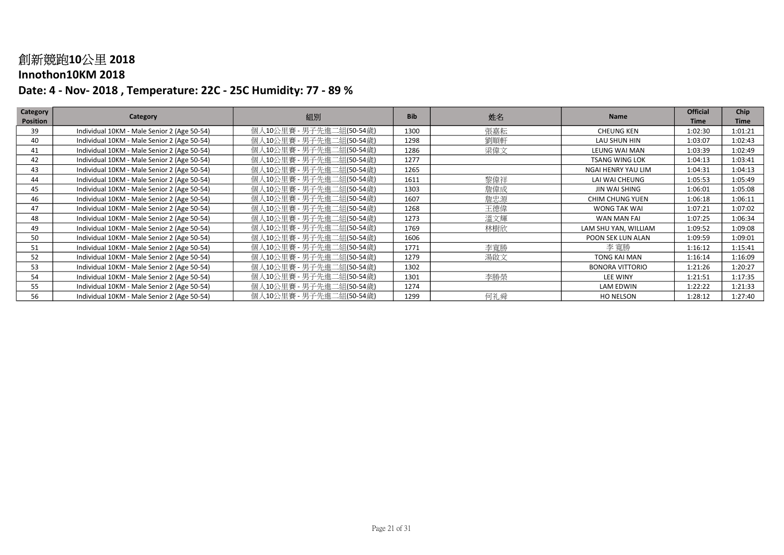#### Innothon10KM 2018

| Category        | Category                                    | 組別                       | <b>Bib</b> |     | <b>Name</b>            | <b>Official</b> | <b>Chip</b> |
|-----------------|---------------------------------------------|--------------------------|------------|-----|------------------------|-----------------|-------------|
| <b>Position</b> |                                             |                          |            | 姓名  |                        | <b>Time</b>     | <b>Time</b> |
| 39              | Individual 10KM - Male Senior 2 (Age 50-54) | 個人10公里賽 - 男子先進二組(50-54歳) | 1300       | 張嘉耘 | <b>CHEUNG KEN</b>      | 1:02:30         | 1:01:21     |
| 40              | Individual 10KM - Male Senior 2 (Age 50-54) | 個人10公里賽 - 男子先進二組(50-54歲) | 1298       | 劉順軒 | LAU SHUN HIN           | 1:03:07         | 1:02:43     |
| 41              | Individual 10KM - Male Senior 2 (Age 50-54) | 個人10公里賽 - 男子先進二組(50-54歲) | 1286       | 梁偉文 | LEUNG WAI MAN          | 1:03:39         | 1:02:49     |
| 42              | Individual 10KM - Male Senior 2 (Age 50-54) | 個人10公里賽 - 男子先進二組(50-54歲) | 1277       |     | <b>TSANG WING LOK</b>  | 1:04:13         | 1:03:41     |
| 43              | Individual 10KM - Male Senior 2 (Age 50-54) | 個人10公里賽 - 男子先進二組(50-54歲) | 1265       |     | NGAI HENRY YAU LIM     | 1:04:31         | 1:04:13     |
| 44              | Individual 10KM - Male Senior 2 (Age 50-54) | 個人10公里賽 - 男子先進二組(50-54歲) | 1611       | 黎偉祥 | LAI WAI CHEUNG         | 1:05:53         | 1:05:49     |
| 45              | Individual 10KM - Male Senior 2 (Age 50-54) | 個人10公里賽 - 男子先進二組(50-54歲) | 1303       | 詹偉成 | JIN WAI SHING          | 1:06:01         | 1:05:08     |
| 46              | Individual 10KM - Male Senior 2 (Age 50-54) | 個人10公里賽 - 男子先進二組(50-54歲) | 1607       | 詹忠源 | <b>CHIM CHUNG YUEN</b> | 1:06:18         | 1:06:11     |
| 47              | Individual 10KM - Male Senior 2 (Age 50-54) | 個人10公里賽 - 男子先進二組(50-54歲) | 1268       | 王德偉 | WONG TAK WAI           | 1:07:21         | 1:07:02     |
| 48              | Individual 10KM - Male Senior 2 (Age 50-54) | 個人10公里賽 - 男子先進二組(50-54歳) | 1273       | 溫文輝 | WAN MAN FAI            | 1:07:25         | 1:06:34     |
| 49              | Individual 10KM - Male Senior 2 (Age 50-54) | 個人10公里賽 - 男子先進二組(50-54歳) | 1769       | 林樹欣 | LAM SHU YAN, WILLIAM   | 1:09:52         | 1:09:08     |
| 50              | Individual 10KM - Male Senior 2 (Age 50-54) | 個人10公里賽 - 男子先進二組(50-54歲) | 1606       |     | POON SEK LUN ALAN      | 1:09:59         | 1:09:01     |
| 51              | Individual 10KM - Male Senior 2 (Age 50-54) | 個人10公里賽 - 男子先進二組(50-54歲) | 1771       | 李寬勝 | 李 寬勝                   | 1:16:12         | 1:15:41     |
| 52              | Individual 10KM - Male Senior 2 (Age 50-54) | 個人10公里賽 - 男子先進二組(50-54歲) | 1279       | 湯啟文 | TONG KAI MAN           | 1:16:14         | 1:16:09     |
| 53              | Individual 10KM - Male Senior 2 (Age 50-54) | 個人10公里賽 - 男子先進二組(50-54歲) | 1302       |     | <b>BONORA VITTORIO</b> | 1:21:26         | 1:20:27     |
| 54              | Individual 10KM - Male Senior 2 (Age 50-54) | 個人10公里賽 - 男子先進二組(50-54歲) | 1301       | 李勝榮 | <b>LEE WINY</b>        | 1:21:51         | 1:17:35     |
| 55              | Individual 10KM - Male Senior 2 (Age 50-54) | 個人10公里賽 - 男子先進二組(50-54歲) | 1274       |     | <b>LAM EDWIN</b>       | 1:22:22         | 1:21:33     |
| 56              | Individual 10KM - Male Senior 2 (Age 50-54) | 個人10公里賽 - 男子先進二組(50-54歲) | 1299       | 何礼舜 | HO NELSON              | 1:28:12         | 1:27:40     |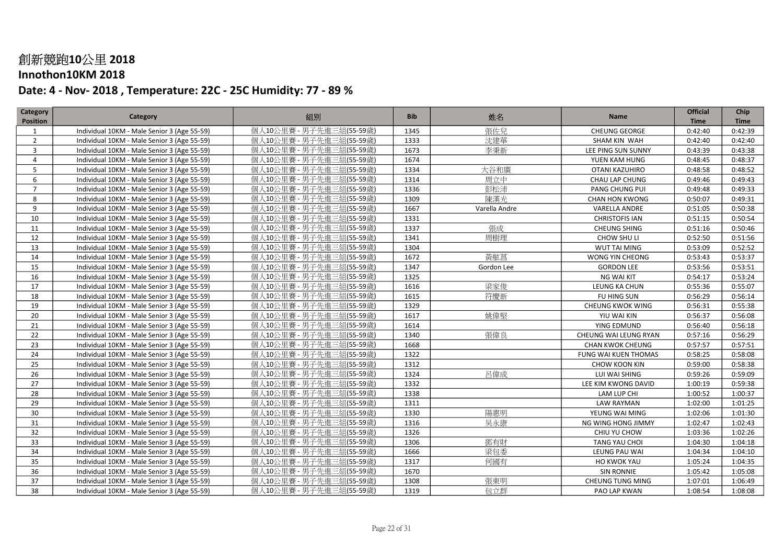### Innothon10KM 2018

| 個人10公里賽 - 男子先進三組(55-59歲)<br>張佐兒<br>Individual 10KM - Male Senior 3 (Age 55-59)<br>1345<br><b>CHEUNG GEORGE</b><br>0:42:40<br>0:42:39<br>1<br>個人10公里賽 - 男子先進三組(55-59歲)<br>沈建華<br>$\overline{2}$<br>1333<br>Individual 10KM - Male Senior 3 (Age 55-59)<br>0:42:40<br>0:42:40<br>SHAM KIN WAH<br>個人10公里賽 - 男子先進三組(55-59歲)<br>李秉新<br>3<br>1673<br>Individual 10KM - Male Senior 3 (Age 55-59)<br>LEE PING SUN SUNNY<br>0:43:39<br>0:43:38<br>個人10公里賽 - 男子先進三組(55-59歲)<br>1674<br>Individual 10KM - Male Senior 3 (Age 55-59)<br>YUEN KAM HUNG<br>0:48:45<br>0:48:37<br>$\overline{4}$<br>大谷和廣<br>個人10公里賽 - 男子先進三組(55-59歲)<br>5<br>Individual 10KM - Male Senior 3 (Age 55-59)<br>1334<br>OTANI KAZUHIRO<br>0:48:58<br>0:48:52<br>個人10公里賽 - 男子先進三組(55-59歳)<br>周立中<br>1314<br>CHAU LAP CHUNG<br>6<br>Individual 10KM - Male Senior 3 (Age 55-59)<br>0:49:46<br>0:49:43<br>1336<br>彭松沛<br>$\overline{7}$<br>個人10公里賽 - 男子先進三組(55-59歳)<br>0:49:33<br>Individual 10KM - Male Senior 3 (Age 55-59)<br>PANG CHUNG PUI<br>0:49:48<br>個人10公里賽 - 男子先進三組(55-59歲)<br>陳漢光<br>1309<br>8<br>Individual 10KM - Male Senior 3 (Age 55-59)<br><b>CHAN HON KWONG</b><br>0:50:07<br>0:49:31<br>個人10公里賽 - 男子先進三組(55-59歲)<br>9<br>1667<br>Individual 10KM - Male Senior 3 (Age 55-59)<br>Varella Andre<br><b>VARELLA ANDRE</b><br>0:51:05<br>0:50:38<br>個人10公里賽 - 男子先進三組(55-59歳)<br>1331<br>10<br>Individual 10KM - Male Senior 3 (Age 55-59)<br><b>CHRISTOFIS IAN</b><br>0:51:15<br>0:50:54<br>張成<br>1337<br>個人10公里賽 - 男子先進三組(55-59歲)<br><b>CHEUNG SHING</b><br>0:51:16<br>0:50:46<br>11<br>Individual 10KM - Male Senior 3 (Age 55-59)<br>12<br>個人10公里賽 - 男子先進三組(55-59歲)<br>1341<br>周樹理<br>CHOW SHU LI<br>0:52:50<br>0:51:56<br>Individual 10KM - Male Senior 3 (Age 55-59)<br>個人10公里賽 - 男子先進三組(55-59歲)<br>13<br>1304<br>0:52:52<br>Individual 10KM - Male Senior 3 (Age 55-59)<br>WUT TAI MING<br>0:53:09<br>個人10公里賽 - 男子先進三組(55-59歲)<br>黃舷菖<br>1672<br>0:53:37<br>14<br>Individual 10KM - Male Senior 3 (Age 55-59)<br>WONG YIN CHEONG<br>0:53:43<br>1347<br>15<br>個人10公里賽 - 男子先進三組(55-59歳)<br>0:53:51<br>Individual 10KM - Male Senior 3 (Age 55-59)<br><b>GORDON LEE</b><br>0:53:56<br>Gordon Lee<br>個人10公里賽 - 男子先進三組(55-59歲)<br>16<br>1325<br>Individual 10KM - Male Senior 3 (Age 55-59)<br>NG WAI KIT<br>0:54:17<br>0:53:24<br>17<br>個人10公里賽 - 男子先進三組(55-59歲)<br>梁家俊<br>1616<br>Individual 10KM - Male Senior 3 (Age 55-59)<br>LEUNG KA CHUN<br>0:55:36<br>0:55:07<br>符慶新<br>18<br>個人10公里賽 - 男子先進三組(55-59歲)<br>1615<br>0:56:29<br>0:56:14<br>Individual 10KM - Male Senior 3 (Age 55-59)<br>FU HING SUN<br>1329<br>19<br>個人10公里賽 - 男子先進三組(55-59歳)<br>0:56:31<br>0:55:38<br>Individual 10KM - Male Senior 3 (Age 55-59)<br>CHEUNG KWOK WING<br>個人10公里賽 - 男子先進三組(55-59歲)<br>姚偉堅<br>1617<br>20<br>0:56:37<br>0:56:08<br>Individual 10KM - Male Senior 3 (Age 55-59)<br>YIU WAI KIN<br>個人10公里賽 - 男子先進三組(55-59歲)<br>21<br>Individual 10KM - Male Senior 3 (Age 55-59)<br>1614<br>YING EDMUND<br>0:56:40<br>0:56:18<br>張偉良<br>22<br>個人10公里賽 - 男子先進三組(55-59歳)<br>1340<br>Individual 10KM - Male Senior 3 (Age 55-59)<br>CHEUNG WAI LEUNG RYAN<br>0:57:16<br>0:56:29<br>23<br>個人10公里賽 - 男子先進三組(55-59歳)<br>1668<br>Individual 10KM - Male Senior 3 (Age 55-59)<br><b>CHAN KWOK CHEUNG</b><br>0:57:57<br>0:57:51<br>24<br>1322<br>個人10公里賽 - 男子先進三組(55-59歳)<br>0:58:25<br>0:58:08<br>Individual 10KM - Male Senior 3 (Age 55-59)<br>FUNG WAI KUEN THOMAS<br>個人10公里賽 - 男子先進三組(55-59歲)<br>25<br>1312<br>Individual 10KM - Male Senior 3 (Age 55-59)<br>CHOW KOON KIN<br>0:59:00<br>0:58:38<br>26<br>個人10公里賽 - 男子先進三組(55-59歲)<br>1324<br>呂偉成<br>0:59:26<br>Individual 10KM - Male Senior 3 (Age 55-59)<br>LUI WAI SHING<br>0:59:09<br>27<br>個人10公里賽 - 男子先進三組(55-59歲)<br>1332<br>1:00:19<br>0:59:38<br>Individual 10KM - Male Senior 3 (Age 55-59)<br>LEE KIM KWONG DAVID<br>個人10公里賽 - 男子先進三組(55-59歲)<br>1338<br>28<br>1:00:52<br>1:00:37<br>Individual 10KM - Male Senior 3 (Age 55-59)<br>LAM LUP CHI<br>個人10公里賽 - 男子先進三組(55-59歲)<br>29<br>1311<br>Individual 10KM - Male Senior 3 (Age 55-59)<br><b>LAW RAYMAN</b><br>1:02:00<br>1:01:25<br>陽惠明<br>個人10公里賽 - 男子先進三組(55-59歲)<br>30<br>1330<br>YEUNG WAI MING<br>1:02:06<br>1:01:30<br>Individual 10KM - Male Senior 3 (Age 55-59)<br>31<br>1316<br>吴永康<br>個人10公里賽 - 男子先進三組(55-59歳)<br>NG WING HONG JIMMY<br>1:02:47<br>1:02:43<br>Individual 10KM - Male Senior 3 (Age 55-59)<br>32<br>1326<br>個人10公里賽 - 男子先進三組(55-59歳)<br>1:03:36<br>1:02:26<br>Individual 10KM - Male Senior 3 (Age 55-59)<br>CHIU YU CHOW<br>33<br>個人10公里賽 - 男子先進三組(55-59歲)<br>鄧有財<br>1306<br>Individual 10KM - Male Senior 3 (Age 55-59)<br>TANG YAU CHOI<br>1:04:30<br>1:04:18<br>34<br>個人10公里賽 - 男子先進三組(55-59歲)<br>1666<br>梁包委<br>1:04:34<br>1:04:10<br>Individual 10KM - Male Senior 3 (Age 55-59)<br>LEUNG PAU WAI<br>個人10公里賽 - 男子先進三組(55-59歲)<br>何國有<br>35<br>1317<br>Individual 10KM - Male Senior 3 (Age 55-59)<br>HO KWOK YAU<br>1:05:24<br>1:04:35<br>個人10公里賽 - 男子先進三組(55-59歲)<br>36<br>1670<br>Individual 10KM - Male Senior 3 (Age 55-59)<br><b>SIN RONNIE</b><br>1:05:42<br>1:05:08 | Category        | Category | 組別 | <b>Bib</b> | 姓名 | Name | <b>Official</b> | Chip        |
|---------------------------------------------------------------------------------------------------------------------------------------------------------------------------------------------------------------------------------------------------------------------------------------------------------------------------------------------------------------------------------------------------------------------------------------------------------------------------------------------------------------------------------------------------------------------------------------------------------------------------------------------------------------------------------------------------------------------------------------------------------------------------------------------------------------------------------------------------------------------------------------------------------------------------------------------------------------------------------------------------------------------------------------------------------------------------------------------------------------------------------------------------------------------------------------------------------------------------------------------------------------------------------------------------------------------------------------------------------------------------------------------------------------------------------------------------------------------------------------------------------------------------------------------------------------------------------------------------------------------------------------------------------------------------------------------------------------------------------------------------------------------------------------------------------------------------------------------------------------------------------------------------------------------------------------------------------------------------------------------------------------------------------------------------------------------------------------------------------------------------------------------------------------------------------------------------------------------------------------------------------------------------------------------------------------------------------------------------------------------------------------------------------------------------------------------------------------------------------------------------------------------------------------------------------------------------------------------------------------------------------------------------------------------------------------------------------------------------------------------------------------------------------------------------------------------------------------------------------------------------------------------------------------------------------------------------------------------------------------------------------------------------------------------------------------------------------------------------------------------------------------------------------------------------------------------------------------------------------------------------------------------------------------------------------------------------------------------------------------------------------------------------------------------------------------------------------------------------------------------------------------------------------------------------------------------------------------------------------------------------------------------------------------------------------------------------------------------------------------------------------------------------------------------------------------------------------------------------------------------------------------------------------------------------------------------------------------------------------------------------------------------------------------------------------------------------------------------------------------------------------------------------------------------------------------------------------------------------------------------------------------------------------------------------------------------------------------------------------------------------------------------------------------------------------------------------------------------------------------------------------------------------------------------------------------------------------------------------------------------------------------------------------------------------------------------------------------------------------------------------------------------------------------------------------------------------------------------------------------------------------------------------------------------------------------------------------------------------------------------------------------------------------------------------------------------------------------|-----------------|----------|----|------------|----|------|-----------------|-------------|
|                                                                                                                                                                                                                                                                                                                                                                                                                                                                                                                                                                                                                                                                                                                                                                                                                                                                                                                                                                                                                                                                                                                                                                                                                                                                                                                                                                                                                                                                                                                                                                                                                                                                                                                                                                                                                                                                                                                                                                                                                                                                                                                                                                                                                                                                                                                                                                                                                                                                                                                                                                                                                                                                                                                                                                                                                                                                                                                                                                                                                                                                                                                                                                                                                                                                                                                                                                                                                                                                                                                                                                                                                                                                                                                                                                                                                                                                                                                                                                                                                                                                                                                                                                                                                                                                                                                                                                                                                                                                                                                                                                                                                                                                                                                                                                                                                                                                                                                                                                                                                                                                                       | <b>Position</b> |          |    |            |    |      | <b>Time</b>     | <b>Time</b> |
|                                                                                                                                                                                                                                                                                                                                                                                                                                                                                                                                                                                                                                                                                                                                                                                                                                                                                                                                                                                                                                                                                                                                                                                                                                                                                                                                                                                                                                                                                                                                                                                                                                                                                                                                                                                                                                                                                                                                                                                                                                                                                                                                                                                                                                                                                                                                                                                                                                                                                                                                                                                                                                                                                                                                                                                                                                                                                                                                                                                                                                                                                                                                                                                                                                                                                                                                                                                                                                                                                                                                                                                                                                                                                                                                                                                                                                                                                                                                                                                                                                                                                                                                                                                                                                                                                                                                                                                                                                                                                                                                                                                                                                                                                                                                                                                                                                                                                                                                                                                                                                                                                       |                 |          |    |            |    |      |                 |             |
|                                                                                                                                                                                                                                                                                                                                                                                                                                                                                                                                                                                                                                                                                                                                                                                                                                                                                                                                                                                                                                                                                                                                                                                                                                                                                                                                                                                                                                                                                                                                                                                                                                                                                                                                                                                                                                                                                                                                                                                                                                                                                                                                                                                                                                                                                                                                                                                                                                                                                                                                                                                                                                                                                                                                                                                                                                                                                                                                                                                                                                                                                                                                                                                                                                                                                                                                                                                                                                                                                                                                                                                                                                                                                                                                                                                                                                                                                                                                                                                                                                                                                                                                                                                                                                                                                                                                                                                                                                                                                                                                                                                                                                                                                                                                                                                                                                                                                                                                                                                                                                                                                       |                 |          |    |            |    |      |                 |             |
|                                                                                                                                                                                                                                                                                                                                                                                                                                                                                                                                                                                                                                                                                                                                                                                                                                                                                                                                                                                                                                                                                                                                                                                                                                                                                                                                                                                                                                                                                                                                                                                                                                                                                                                                                                                                                                                                                                                                                                                                                                                                                                                                                                                                                                                                                                                                                                                                                                                                                                                                                                                                                                                                                                                                                                                                                                                                                                                                                                                                                                                                                                                                                                                                                                                                                                                                                                                                                                                                                                                                                                                                                                                                                                                                                                                                                                                                                                                                                                                                                                                                                                                                                                                                                                                                                                                                                                                                                                                                                                                                                                                                                                                                                                                                                                                                                                                                                                                                                                                                                                                                                       |                 |          |    |            |    |      |                 |             |
|                                                                                                                                                                                                                                                                                                                                                                                                                                                                                                                                                                                                                                                                                                                                                                                                                                                                                                                                                                                                                                                                                                                                                                                                                                                                                                                                                                                                                                                                                                                                                                                                                                                                                                                                                                                                                                                                                                                                                                                                                                                                                                                                                                                                                                                                                                                                                                                                                                                                                                                                                                                                                                                                                                                                                                                                                                                                                                                                                                                                                                                                                                                                                                                                                                                                                                                                                                                                                                                                                                                                                                                                                                                                                                                                                                                                                                                                                                                                                                                                                                                                                                                                                                                                                                                                                                                                                                                                                                                                                                                                                                                                                                                                                                                                                                                                                                                                                                                                                                                                                                                                                       |                 |          |    |            |    |      |                 |             |
|                                                                                                                                                                                                                                                                                                                                                                                                                                                                                                                                                                                                                                                                                                                                                                                                                                                                                                                                                                                                                                                                                                                                                                                                                                                                                                                                                                                                                                                                                                                                                                                                                                                                                                                                                                                                                                                                                                                                                                                                                                                                                                                                                                                                                                                                                                                                                                                                                                                                                                                                                                                                                                                                                                                                                                                                                                                                                                                                                                                                                                                                                                                                                                                                                                                                                                                                                                                                                                                                                                                                                                                                                                                                                                                                                                                                                                                                                                                                                                                                                                                                                                                                                                                                                                                                                                                                                                                                                                                                                                                                                                                                                                                                                                                                                                                                                                                                                                                                                                                                                                                                                       |                 |          |    |            |    |      |                 |             |
|                                                                                                                                                                                                                                                                                                                                                                                                                                                                                                                                                                                                                                                                                                                                                                                                                                                                                                                                                                                                                                                                                                                                                                                                                                                                                                                                                                                                                                                                                                                                                                                                                                                                                                                                                                                                                                                                                                                                                                                                                                                                                                                                                                                                                                                                                                                                                                                                                                                                                                                                                                                                                                                                                                                                                                                                                                                                                                                                                                                                                                                                                                                                                                                                                                                                                                                                                                                                                                                                                                                                                                                                                                                                                                                                                                                                                                                                                                                                                                                                                                                                                                                                                                                                                                                                                                                                                                                                                                                                                                                                                                                                                                                                                                                                                                                                                                                                                                                                                                                                                                                                                       |                 |          |    |            |    |      |                 |             |
|                                                                                                                                                                                                                                                                                                                                                                                                                                                                                                                                                                                                                                                                                                                                                                                                                                                                                                                                                                                                                                                                                                                                                                                                                                                                                                                                                                                                                                                                                                                                                                                                                                                                                                                                                                                                                                                                                                                                                                                                                                                                                                                                                                                                                                                                                                                                                                                                                                                                                                                                                                                                                                                                                                                                                                                                                                                                                                                                                                                                                                                                                                                                                                                                                                                                                                                                                                                                                                                                                                                                                                                                                                                                                                                                                                                                                                                                                                                                                                                                                                                                                                                                                                                                                                                                                                                                                                                                                                                                                                                                                                                                                                                                                                                                                                                                                                                                                                                                                                                                                                                                                       |                 |          |    |            |    |      |                 |             |
|                                                                                                                                                                                                                                                                                                                                                                                                                                                                                                                                                                                                                                                                                                                                                                                                                                                                                                                                                                                                                                                                                                                                                                                                                                                                                                                                                                                                                                                                                                                                                                                                                                                                                                                                                                                                                                                                                                                                                                                                                                                                                                                                                                                                                                                                                                                                                                                                                                                                                                                                                                                                                                                                                                                                                                                                                                                                                                                                                                                                                                                                                                                                                                                                                                                                                                                                                                                                                                                                                                                                                                                                                                                                                                                                                                                                                                                                                                                                                                                                                                                                                                                                                                                                                                                                                                                                                                                                                                                                                                                                                                                                                                                                                                                                                                                                                                                                                                                                                                                                                                                                                       |                 |          |    |            |    |      |                 |             |
|                                                                                                                                                                                                                                                                                                                                                                                                                                                                                                                                                                                                                                                                                                                                                                                                                                                                                                                                                                                                                                                                                                                                                                                                                                                                                                                                                                                                                                                                                                                                                                                                                                                                                                                                                                                                                                                                                                                                                                                                                                                                                                                                                                                                                                                                                                                                                                                                                                                                                                                                                                                                                                                                                                                                                                                                                                                                                                                                                                                                                                                                                                                                                                                                                                                                                                                                                                                                                                                                                                                                                                                                                                                                                                                                                                                                                                                                                                                                                                                                                                                                                                                                                                                                                                                                                                                                                                                                                                                                                                                                                                                                                                                                                                                                                                                                                                                                                                                                                                                                                                                                                       |                 |          |    |            |    |      |                 |             |
|                                                                                                                                                                                                                                                                                                                                                                                                                                                                                                                                                                                                                                                                                                                                                                                                                                                                                                                                                                                                                                                                                                                                                                                                                                                                                                                                                                                                                                                                                                                                                                                                                                                                                                                                                                                                                                                                                                                                                                                                                                                                                                                                                                                                                                                                                                                                                                                                                                                                                                                                                                                                                                                                                                                                                                                                                                                                                                                                                                                                                                                                                                                                                                                                                                                                                                                                                                                                                                                                                                                                                                                                                                                                                                                                                                                                                                                                                                                                                                                                                                                                                                                                                                                                                                                                                                                                                                                                                                                                                                                                                                                                                                                                                                                                                                                                                                                                                                                                                                                                                                                                                       |                 |          |    |            |    |      |                 |             |
|                                                                                                                                                                                                                                                                                                                                                                                                                                                                                                                                                                                                                                                                                                                                                                                                                                                                                                                                                                                                                                                                                                                                                                                                                                                                                                                                                                                                                                                                                                                                                                                                                                                                                                                                                                                                                                                                                                                                                                                                                                                                                                                                                                                                                                                                                                                                                                                                                                                                                                                                                                                                                                                                                                                                                                                                                                                                                                                                                                                                                                                                                                                                                                                                                                                                                                                                                                                                                                                                                                                                                                                                                                                                                                                                                                                                                                                                                                                                                                                                                                                                                                                                                                                                                                                                                                                                                                                                                                                                                                                                                                                                                                                                                                                                                                                                                                                                                                                                                                                                                                                                                       |                 |          |    |            |    |      |                 |             |
|                                                                                                                                                                                                                                                                                                                                                                                                                                                                                                                                                                                                                                                                                                                                                                                                                                                                                                                                                                                                                                                                                                                                                                                                                                                                                                                                                                                                                                                                                                                                                                                                                                                                                                                                                                                                                                                                                                                                                                                                                                                                                                                                                                                                                                                                                                                                                                                                                                                                                                                                                                                                                                                                                                                                                                                                                                                                                                                                                                                                                                                                                                                                                                                                                                                                                                                                                                                                                                                                                                                                                                                                                                                                                                                                                                                                                                                                                                                                                                                                                                                                                                                                                                                                                                                                                                                                                                                                                                                                                                                                                                                                                                                                                                                                                                                                                                                                                                                                                                                                                                                                                       |                 |          |    |            |    |      |                 |             |
|                                                                                                                                                                                                                                                                                                                                                                                                                                                                                                                                                                                                                                                                                                                                                                                                                                                                                                                                                                                                                                                                                                                                                                                                                                                                                                                                                                                                                                                                                                                                                                                                                                                                                                                                                                                                                                                                                                                                                                                                                                                                                                                                                                                                                                                                                                                                                                                                                                                                                                                                                                                                                                                                                                                                                                                                                                                                                                                                                                                                                                                                                                                                                                                                                                                                                                                                                                                                                                                                                                                                                                                                                                                                                                                                                                                                                                                                                                                                                                                                                                                                                                                                                                                                                                                                                                                                                                                                                                                                                                                                                                                                                                                                                                                                                                                                                                                                                                                                                                                                                                                                                       |                 |          |    |            |    |      |                 |             |
|                                                                                                                                                                                                                                                                                                                                                                                                                                                                                                                                                                                                                                                                                                                                                                                                                                                                                                                                                                                                                                                                                                                                                                                                                                                                                                                                                                                                                                                                                                                                                                                                                                                                                                                                                                                                                                                                                                                                                                                                                                                                                                                                                                                                                                                                                                                                                                                                                                                                                                                                                                                                                                                                                                                                                                                                                                                                                                                                                                                                                                                                                                                                                                                                                                                                                                                                                                                                                                                                                                                                                                                                                                                                                                                                                                                                                                                                                                                                                                                                                                                                                                                                                                                                                                                                                                                                                                                                                                                                                                                                                                                                                                                                                                                                                                                                                                                                                                                                                                                                                                                                                       |                 |          |    |            |    |      |                 |             |
|                                                                                                                                                                                                                                                                                                                                                                                                                                                                                                                                                                                                                                                                                                                                                                                                                                                                                                                                                                                                                                                                                                                                                                                                                                                                                                                                                                                                                                                                                                                                                                                                                                                                                                                                                                                                                                                                                                                                                                                                                                                                                                                                                                                                                                                                                                                                                                                                                                                                                                                                                                                                                                                                                                                                                                                                                                                                                                                                                                                                                                                                                                                                                                                                                                                                                                                                                                                                                                                                                                                                                                                                                                                                                                                                                                                                                                                                                                                                                                                                                                                                                                                                                                                                                                                                                                                                                                                                                                                                                                                                                                                                                                                                                                                                                                                                                                                                                                                                                                                                                                                                                       |                 |          |    |            |    |      |                 |             |
|                                                                                                                                                                                                                                                                                                                                                                                                                                                                                                                                                                                                                                                                                                                                                                                                                                                                                                                                                                                                                                                                                                                                                                                                                                                                                                                                                                                                                                                                                                                                                                                                                                                                                                                                                                                                                                                                                                                                                                                                                                                                                                                                                                                                                                                                                                                                                                                                                                                                                                                                                                                                                                                                                                                                                                                                                                                                                                                                                                                                                                                                                                                                                                                                                                                                                                                                                                                                                                                                                                                                                                                                                                                                                                                                                                                                                                                                                                                                                                                                                                                                                                                                                                                                                                                                                                                                                                                                                                                                                                                                                                                                                                                                                                                                                                                                                                                                                                                                                                                                                                                                                       |                 |          |    |            |    |      |                 |             |
|                                                                                                                                                                                                                                                                                                                                                                                                                                                                                                                                                                                                                                                                                                                                                                                                                                                                                                                                                                                                                                                                                                                                                                                                                                                                                                                                                                                                                                                                                                                                                                                                                                                                                                                                                                                                                                                                                                                                                                                                                                                                                                                                                                                                                                                                                                                                                                                                                                                                                                                                                                                                                                                                                                                                                                                                                                                                                                                                                                                                                                                                                                                                                                                                                                                                                                                                                                                                                                                                                                                                                                                                                                                                                                                                                                                                                                                                                                                                                                                                                                                                                                                                                                                                                                                                                                                                                                                                                                                                                                                                                                                                                                                                                                                                                                                                                                                                                                                                                                                                                                                                                       |                 |          |    |            |    |      |                 |             |
|                                                                                                                                                                                                                                                                                                                                                                                                                                                                                                                                                                                                                                                                                                                                                                                                                                                                                                                                                                                                                                                                                                                                                                                                                                                                                                                                                                                                                                                                                                                                                                                                                                                                                                                                                                                                                                                                                                                                                                                                                                                                                                                                                                                                                                                                                                                                                                                                                                                                                                                                                                                                                                                                                                                                                                                                                                                                                                                                                                                                                                                                                                                                                                                                                                                                                                                                                                                                                                                                                                                                                                                                                                                                                                                                                                                                                                                                                                                                                                                                                                                                                                                                                                                                                                                                                                                                                                                                                                                                                                                                                                                                                                                                                                                                                                                                                                                                                                                                                                                                                                                                                       |                 |          |    |            |    |      |                 |             |
|                                                                                                                                                                                                                                                                                                                                                                                                                                                                                                                                                                                                                                                                                                                                                                                                                                                                                                                                                                                                                                                                                                                                                                                                                                                                                                                                                                                                                                                                                                                                                                                                                                                                                                                                                                                                                                                                                                                                                                                                                                                                                                                                                                                                                                                                                                                                                                                                                                                                                                                                                                                                                                                                                                                                                                                                                                                                                                                                                                                                                                                                                                                                                                                                                                                                                                                                                                                                                                                                                                                                                                                                                                                                                                                                                                                                                                                                                                                                                                                                                                                                                                                                                                                                                                                                                                                                                                                                                                                                                                                                                                                                                                                                                                                                                                                                                                                                                                                                                                                                                                                                                       |                 |          |    |            |    |      |                 |             |
|                                                                                                                                                                                                                                                                                                                                                                                                                                                                                                                                                                                                                                                                                                                                                                                                                                                                                                                                                                                                                                                                                                                                                                                                                                                                                                                                                                                                                                                                                                                                                                                                                                                                                                                                                                                                                                                                                                                                                                                                                                                                                                                                                                                                                                                                                                                                                                                                                                                                                                                                                                                                                                                                                                                                                                                                                                                                                                                                                                                                                                                                                                                                                                                                                                                                                                                                                                                                                                                                                                                                                                                                                                                                                                                                                                                                                                                                                                                                                                                                                                                                                                                                                                                                                                                                                                                                                                                                                                                                                                                                                                                                                                                                                                                                                                                                                                                                                                                                                                                                                                                                                       |                 |          |    |            |    |      |                 |             |
|                                                                                                                                                                                                                                                                                                                                                                                                                                                                                                                                                                                                                                                                                                                                                                                                                                                                                                                                                                                                                                                                                                                                                                                                                                                                                                                                                                                                                                                                                                                                                                                                                                                                                                                                                                                                                                                                                                                                                                                                                                                                                                                                                                                                                                                                                                                                                                                                                                                                                                                                                                                                                                                                                                                                                                                                                                                                                                                                                                                                                                                                                                                                                                                                                                                                                                                                                                                                                                                                                                                                                                                                                                                                                                                                                                                                                                                                                                                                                                                                                                                                                                                                                                                                                                                                                                                                                                                                                                                                                                                                                                                                                                                                                                                                                                                                                                                                                                                                                                                                                                                                                       |                 |          |    |            |    |      |                 |             |
|                                                                                                                                                                                                                                                                                                                                                                                                                                                                                                                                                                                                                                                                                                                                                                                                                                                                                                                                                                                                                                                                                                                                                                                                                                                                                                                                                                                                                                                                                                                                                                                                                                                                                                                                                                                                                                                                                                                                                                                                                                                                                                                                                                                                                                                                                                                                                                                                                                                                                                                                                                                                                                                                                                                                                                                                                                                                                                                                                                                                                                                                                                                                                                                                                                                                                                                                                                                                                                                                                                                                                                                                                                                                                                                                                                                                                                                                                                                                                                                                                                                                                                                                                                                                                                                                                                                                                                                                                                                                                                                                                                                                                                                                                                                                                                                                                                                                                                                                                                                                                                                                                       |                 |          |    |            |    |      |                 |             |
|                                                                                                                                                                                                                                                                                                                                                                                                                                                                                                                                                                                                                                                                                                                                                                                                                                                                                                                                                                                                                                                                                                                                                                                                                                                                                                                                                                                                                                                                                                                                                                                                                                                                                                                                                                                                                                                                                                                                                                                                                                                                                                                                                                                                                                                                                                                                                                                                                                                                                                                                                                                                                                                                                                                                                                                                                                                                                                                                                                                                                                                                                                                                                                                                                                                                                                                                                                                                                                                                                                                                                                                                                                                                                                                                                                                                                                                                                                                                                                                                                                                                                                                                                                                                                                                                                                                                                                                                                                                                                                                                                                                                                                                                                                                                                                                                                                                                                                                                                                                                                                                                                       |                 |          |    |            |    |      |                 |             |
|                                                                                                                                                                                                                                                                                                                                                                                                                                                                                                                                                                                                                                                                                                                                                                                                                                                                                                                                                                                                                                                                                                                                                                                                                                                                                                                                                                                                                                                                                                                                                                                                                                                                                                                                                                                                                                                                                                                                                                                                                                                                                                                                                                                                                                                                                                                                                                                                                                                                                                                                                                                                                                                                                                                                                                                                                                                                                                                                                                                                                                                                                                                                                                                                                                                                                                                                                                                                                                                                                                                                                                                                                                                                                                                                                                                                                                                                                                                                                                                                                                                                                                                                                                                                                                                                                                                                                                                                                                                                                                                                                                                                                                                                                                                                                                                                                                                                                                                                                                                                                                                                                       |                 |          |    |            |    |      |                 |             |
|                                                                                                                                                                                                                                                                                                                                                                                                                                                                                                                                                                                                                                                                                                                                                                                                                                                                                                                                                                                                                                                                                                                                                                                                                                                                                                                                                                                                                                                                                                                                                                                                                                                                                                                                                                                                                                                                                                                                                                                                                                                                                                                                                                                                                                                                                                                                                                                                                                                                                                                                                                                                                                                                                                                                                                                                                                                                                                                                                                                                                                                                                                                                                                                                                                                                                                                                                                                                                                                                                                                                                                                                                                                                                                                                                                                                                                                                                                                                                                                                                                                                                                                                                                                                                                                                                                                                                                                                                                                                                                                                                                                                                                                                                                                                                                                                                                                                                                                                                                                                                                                                                       |                 |          |    |            |    |      |                 |             |
|                                                                                                                                                                                                                                                                                                                                                                                                                                                                                                                                                                                                                                                                                                                                                                                                                                                                                                                                                                                                                                                                                                                                                                                                                                                                                                                                                                                                                                                                                                                                                                                                                                                                                                                                                                                                                                                                                                                                                                                                                                                                                                                                                                                                                                                                                                                                                                                                                                                                                                                                                                                                                                                                                                                                                                                                                                                                                                                                                                                                                                                                                                                                                                                                                                                                                                                                                                                                                                                                                                                                                                                                                                                                                                                                                                                                                                                                                                                                                                                                                                                                                                                                                                                                                                                                                                                                                                                                                                                                                                                                                                                                                                                                                                                                                                                                                                                                                                                                                                                                                                                                                       |                 |          |    |            |    |      |                 |             |
|                                                                                                                                                                                                                                                                                                                                                                                                                                                                                                                                                                                                                                                                                                                                                                                                                                                                                                                                                                                                                                                                                                                                                                                                                                                                                                                                                                                                                                                                                                                                                                                                                                                                                                                                                                                                                                                                                                                                                                                                                                                                                                                                                                                                                                                                                                                                                                                                                                                                                                                                                                                                                                                                                                                                                                                                                                                                                                                                                                                                                                                                                                                                                                                                                                                                                                                                                                                                                                                                                                                                                                                                                                                                                                                                                                                                                                                                                                                                                                                                                                                                                                                                                                                                                                                                                                                                                                                                                                                                                                                                                                                                                                                                                                                                                                                                                                                                                                                                                                                                                                                                                       |                 |          |    |            |    |      |                 |             |
|                                                                                                                                                                                                                                                                                                                                                                                                                                                                                                                                                                                                                                                                                                                                                                                                                                                                                                                                                                                                                                                                                                                                                                                                                                                                                                                                                                                                                                                                                                                                                                                                                                                                                                                                                                                                                                                                                                                                                                                                                                                                                                                                                                                                                                                                                                                                                                                                                                                                                                                                                                                                                                                                                                                                                                                                                                                                                                                                                                                                                                                                                                                                                                                                                                                                                                                                                                                                                                                                                                                                                                                                                                                                                                                                                                                                                                                                                                                                                                                                                                                                                                                                                                                                                                                                                                                                                                                                                                                                                                                                                                                                                                                                                                                                                                                                                                                                                                                                                                                                                                                                                       |                 |          |    |            |    |      |                 |             |
|                                                                                                                                                                                                                                                                                                                                                                                                                                                                                                                                                                                                                                                                                                                                                                                                                                                                                                                                                                                                                                                                                                                                                                                                                                                                                                                                                                                                                                                                                                                                                                                                                                                                                                                                                                                                                                                                                                                                                                                                                                                                                                                                                                                                                                                                                                                                                                                                                                                                                                                                                                                                                                                                                                                                                                                                                                                                                                                                                                                                                                                                                                                                                                                                                                                                                                                                                                                                                                                                                                                                                                                                                                                                                                                                                                                                                                                                                                                                                                                                                                                                                                                                                                                                                                                                                                                                                                                                                                                                                                                                                                                                                                                                                                                                                                                                                                                                                                                                                                                                                                                                                       |                 |          |    |            |    |      |                 |             |
|                                                                                                                                                                                                                                                                                                                                                                                                                                                                                                                                                                                                                                                                                                                                                                                                                                                                                                                                                                                                                                                                                                                                                                                                                                                                                                                                                                                                                                                                                                                                                                                                                                                                                                                                                                                                                                                                                                                                                                                                                                                                                                                                                                                                                                                                                                                                                                                                                                                                                                                                                                                                                                                                                                                                                                                                                                                                                                                                                                                                                                                                                                                                                                                                                                                                                                                                                                                                                                                                                                                                                                                                                                                                                                                                                                                                                                                                                                                                                                                                                                                                                                                                                                                                                                                                                                                                                                                                                                                                                                                                                                                                                                                                                                                                                                                                                                                                                                                                                                                                                                                                                       |                 |          |    |            |    |      |                 |             |
|                                                                                                                                                                                                                                                                                                                                                                                                                                                                                                                                                                                                                                                                                                                                                                                                                                                                                                                                                                                                                                                                                                                                                                                                                                                                                                                                                                                                                                                                                                                                                                                                                                                                                                                                                                                                                                                                                                                                                                                                                                                                                                                                                                                                                                                                                                                                                                                                                                                                                                                                                                                                                                                                                                                                                                                                                                                                                                                                                                                                                                                                                                                                                                                                                                                                                                                                                                                                                                                                                                                                                                                                                                                                                                                                                                                                                                                                                                                                                                                                                                                                                                                                                                                                                                                                                                                                                                                                                                                                                                                                                                                                                                                                                                                                                                                                                                                                                                                                                                                                                                                                                       |                 |          |    |            |    |      |                 |             |
|                                                                                                                                                                                                                                                                                                                                                                                                                                                                                                                                                                                                                                                                                                                                                                                                                                                                                                                                                                                                                                                                                                                                                                                                                                                                                                                                                                                                                                                                                                                                                                                                                                                                                                                                                                                                                                                                                                                                                                                                                                                                                                                                                                                                                                                                                                                                                                                                                                                                                                                                                                                                                                                                                                                                                                                                                                                                                                                                                                                                                                                                                                                                                                                                                                                                                                                                                                                                                                                                                                                                                                                                                                                                                                                                                                                                                                                                                                                                                                                                                                                                                                                                                                                                                                                                                                                                                                                                                                                                                                                                                                                                                                                                                                                                                                                                                                                                                                                                                                                                                                                                                       |                 |          |    |            |    |      |                 |             |
|                                                                                                                                                                                                                                                                                                                                                                                                                                                                                                                                                                                                                                                                                                                                                                                                                                                                                                                                                                                                                                                                                                                                                                                                                                                                                                                                                                                                                                                                                                                                                                                                                                                                                                                                                                                                                                                                                                                                                                                                                                                                                                                                                                                                                                                                                                                                                                                                                                                                                                                                                                                                                                                                                                                                                                                                                                                                                                                                                                                                                                                                                                                                                                                                                                                                                                                                                                                                                                                                                                                                                                                                                                                                                                                                                                                                                                                                                                                                                                                                                                                                                                                                                                                                                                                                                                                                                                                                                                                                                                                                                                                                                                                                                                                                                                                                                                                                                                                                                                                                                                                                                       |                 |          |    |            |    |      |                 |             |
|                                                                                                                                                                                                                                                                                                                                                                                                                                                                                                                                                                                                                                                                                                                                                                                                                                                                                                                                                                                                                                                                                                                                                                                                                                                                                                                                                                                                                                                                                                                                                                                                                                                                                                                                                                                                                                                                                                                                                                                                                                                                                                                                                                                                                                                                                                                                                                                                                                                                                                                                                                                                                                                                                                                                                                                                                                                                                                                                                                                                                                                                                                                                                                                                                                                                                                                                                                                                                                                                                                                                                                                                                                                                                                                                                                                                                                                                                                                                                                                                                                                                                                                                                                                                                                                                                                                                                                                                                                                                                                                                                                                                                                                                                                                                                                                                                                                                                                                                                                                                                                                                                       |                 |          |    |            |    |      |                 |             |
|                                                                                                                                                                                                                                                                                                                                                                                                                                                                                                                                                                                                                                                                                                                                                                                                                                                                                                                                                                                                                                                                                                                                                                                                                                                                                                                                                                                                                                                                                                                                                                                                                                                                                                                                                                                                                                                                                                                                                                                                                                                                                                                                                                                                                                                                                                                                                                                                                                                                                                                                                                                                                                                                                                                                                                                                                                                                                                                                                                                                                                                                                                                                                                                                                                                                                                                                                                                                                                                                                                                                                                                                                                                                                                                                                                                                                                                                                                                                                                                                                                                                                                                                                                                                                                                                                                                                                                                                                                                                                                                                                                                                                                                                                                                                                                                                                                                                                                                                                                                                                                                                                       |                 |          |    |            |    |      |                 |             |
|                                                                                                                                                                                                                                                                                                                                                                                                                                                                                                                                                                                                                                                                                                                                                                                                                                                                                                                                                                                                                                                                                                                                                                                                                                                                                                                                                                                                                                                                                                                                                                                                                                                                                                                                                                                                                                                                                                                                                                                                                                                                                                                                                                                                                                                                                                                                                                                                                                                                                                                                                                                                                                                                                                                                                                                                                                                                                                                                                                                                                                                                                                                                                                                                                                                                                                                                                                                                                                                                                                                                                                                                                                                                                                                                                                                                                                                                                                                                                                                                                                                                                                                                                                                                                                                                                                                                                                                                                                                                                                                                                                                                                                                                                                                                                                                                                                                                                                                                                                                                                                                                                       |                 |          |    |            |    |      |                 |             |
| 37<br>個人10公里賽 - 男子先進三組(55-59歲)<br>張東明<br>1308<br>Individual 10KM - Male Senior 3 (Age 55-59)<br>CHEUNG TUNG MING<br>1:07:01<br>1:06:49                                                                                                                                                                                                                                                                                                                                                                                                                                                                                                                                                                                                                                                                                                                                                                                                                                                                                                                                                                                                                                                                                                                                                                                                                                                                                                                                                                                                                                                                                                                                                                                                                                                                                                                                                                                                                                                                                                                                                                                                                                                                                                                                                                                                                                                                                                                                                                                                                                                                                                                                                                                                                                                                                                                                                                                                                                                                                                                                                                                                                                                                                                                                                                                                                                                                                                                                                                                                                                                                                                                                                                                                                                                                                                                                                                                                                                                                                                                                                                                                                                                                                                                                                                                                                                                                                                                                                                                                                                                                                                                                                                                                                                                                                                                                                                                                                                                                                                                                                |                 |          |    |            |    |      |                 |             |
| 38<br>個人10公里賽 - 男子先進三組(55-59歳)<br>1319<br>包立群<br>1:08:54<br>Individual 10KM - Male Senior 3 (Age 55-59)<br>PAO LAP KWAN<br>1:08:08                                                                                                                                                                                                                                                                                                                                                                                                                                                                                                                                                                                                                                                                                                                                                                                                                                                                                                                                                                                                                                                                                                                                                                                                                                                                                                                                                                                                                                                                                                                                                                                                                                                                                                                                                                                                                                                                                                                                                                                                                                                                                                                                                                                                                                                                                                                                                                                                                                                                                                                                                                                                                                                                                                                                                                                                                                                                                                                                                                                                                                                                                                                                                                                                                                                                                                                                                                                                                                                                                                                                                                                                                                                                                                                                                                                                                                                                                                                                                                                                                                                                                                                                                                                                                                                                                                                                                                                                                                                                                                                                                                                                                                                                                                                                                                                                                                                                                                                                                    |                 |          |    |            |    |      |                 |             |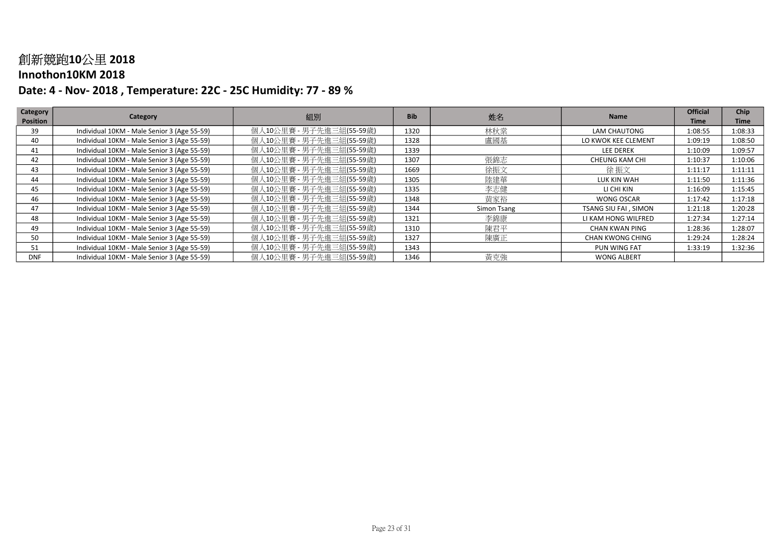#### Innothon10KM 2018

| Category        | Category                                    | 組別                       | <b>Bib</b> |             | <b>Name</b>          | <b>Official</b> | <b>Chip</b> |
|-----------------|---------------------------------------------|--------------------------|------------|-------------|----------------------|-----------------|-------------|
| <b>Position</b> |                                             |                          |            | 姓名          |                      | Time            | <b>Time</b> |
| 39              | Individual 10KM - Male Senior 3 (Age 55-59) | 個人10公里賽 - 男子先進三組(55-59歲) | 1320       | 林秋棠         | LAM CHAUTONG         | 1:08:55         | 1:08:33     |
| 40              | Individual 10KM - Male Senior 3 (Age 55-59) | 個人10公里賽 - 男子先進三組(55-59歲) | 1328       | 盧國基         | LO KWOK KEE CLEMENT  | 1:09:19         | 1:08:50     |
| 41              | Individual 10KM - Male Senior 3 (Age 55-59) | 個人10公里賽 - 男子先進三組(55-59歲) | 1339       |             | <b>LEE DEREK</b>     | 1:10:09         | 1:09:57     |
| 42              | Individual 10KM - Male Senior 3 (Age 55-59) | 個人10公里賽 - 男子先進三組(55-59歳) | 1307       | 張錦志         | CHEUNG KAM CHI       | 1:10:37         | 1:10:06     |
| 43              | Individual 10KM - Male Senior 3 (Age 55-59) | 個人10公里賽 - 男子先進三組(55-59歳) | 1669       | 徐振文         | 徐 振文                 | 1:11:17         | 1:11:11     |
| 44              | Individual 10KM - Male Senior 3 (Age 55-59) | 個人10公里賽 - 男子先進三組(55-59歳) | 1305       | 陸建華         | LUK KIN WAH          | 1:11:50         | 1:11:36     |
| 45              | Individual 10KM - Male Senior 3 (Age 55-59) | 個人10公里賽 - 男子先進三組(55-59歲) | 1335       | 李志健         | LI CHI KIN           | 1:16:09         | 1:15:45     |
| 46              | Individual 10KM - Male Senior 3 (Age 55-59) | 個人10公里賽 - 男子先進三組(55-59歳) | 1348       | 黄家裕         | WONG OSCAR           | 1:17:42         | 1:17:18     |
| 47              | Individual 10KM - Male Senior 3 (Age 55-59) | 個人10公里賽 - 男子先進三組(55-59歳) | 1344       | Simon Tsang | TSANG SIU FAI, SIMON | 1:21:18         | 1:20:28     |
| 48              | Individual 10KM - Male Senior 3 (Age 55-59) | 個人10公里賽 - 男子先進三組(55-59歳) | 1321       | 李錦康         | LI KAM HONG WILFRED  | 1:27:34         | 1:27:14     |
| 49              | Individual 10KM - Male Senior 3 (Age 55-59) | 個人10公里賽 - 男子先進三組(55-59歲) | 1310       | 陳君平         | CHAN KWAN PING       | 1:28:36         | 1:28:07     |
| 50              | Individual 10KM - Male Senior 3 (Age 55-59) | 個人10公里賽 - 男子先進三組(55-59歳) | 1327       | 陳廣正         | CHAN KWONG CHING     | 1:29:24         | 1:28:24     |
| 51              | Individual 10KM - Male Senior 3 (Age 55-59) | 個人10公里賽 - 男子先進三組(55-59歳) | 1343       |             | PUN WING FAT         | 1:33:19         | 1:32:36     |
| <b>DNF</b>      | Individual 10KM - Male Senior 3 (Age 55-59) | 個人10公里賽 - 男子先進三組(55-59歲) | 1346       | 黃克強         | <b>WONG ALBERT</b>   |                 |             |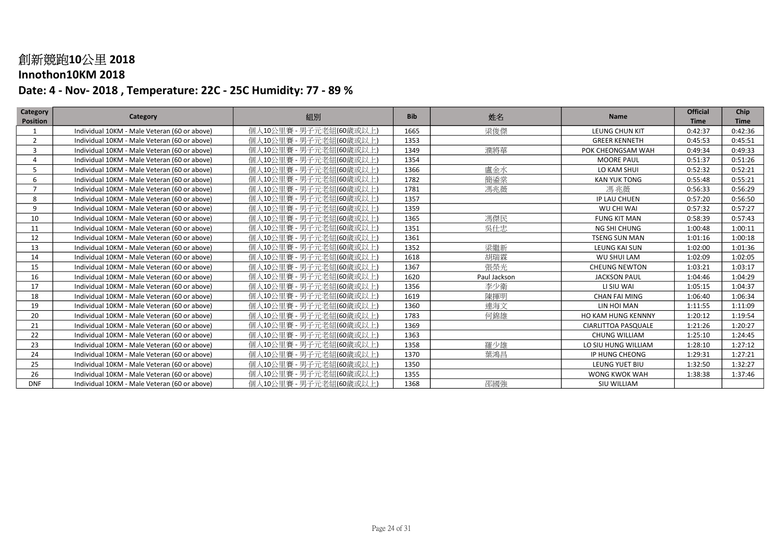### Innothon10KM 2018

| Category<br><b>Position</b> | Category                                     | 組別                      | <b>Bib</b> | 姓名           | <b>Name</b>                | <b>Official</b><br><b>Time</b> | Chip<br><b>Time</b> |
|-----------------------------|----------------------------------------------|-------------------------|------------|--------------|----------------------------|--------------------------------|---------------------|
|                             | Individual 10KM - Male Veteran (60 or above) | 個人10公里賽 - 男子元老組(60歲或以上) | 1665       | 梁俊傑          | <b>LEUNG CHUN KIT</b>      | 0:42:37                        | 0:42:36             |
| $\overline{2}$              | Individual 10KM - Male Veteran (60 or above) | 個人10公里賽 - 男子元老組(60歳或以上) | 1353       |              | <b>GREER KENNETH</b>       | 0:45:53                        | 0:45:51             |
| 3                           | Individual 10KM - Male Veteran (60 or above) | 個人10公里賽 - 男子元老組(60歲或以上) | 1349       | 濮將華          | POK CHEONGSAM WAH          | 0:49:34                        | 0:49:33             |
| 4                           | Individual 10KM - Male Veteran (60 or above) | 個人10公里賽 - 男子元老組(60歲或以上) | 1354       |              | <b>MOORE PAUL</b>          | 0:51:37                        | 0:51:26             |
| 5                           | Individual 10KM - Male Veteran (60 or above) | 個人10公里賽 - 男子元老組(60歲或以上) | 1366       | 盧金水          | LO KAM SHUI                | 0:52:32                        | 0:52:21             |
| 6                           | Individual 10KM - Male Veteran (60 or above) | 個人10公里賽 - 男子元老組(60歲或以上) | 1782       | 簡鋈棠          | <b>KAN YUK TONG</b>        | 0:55:48                        | 0:55:21             |
| $\overline{7}$              | Individual 10KM - Male Veteran (60 or above) | 個人10公里賽 - 男子元老組(60歲或以上) | 1781       | 馮兆薇          | 馮兆薇                        | 0:56:33                        | 0:56:29             |
| 8                           | Individual 10KM - Male Veteran (60 or above) | 個人10公里賽 - 男子元老組(60歲或以上) | 1357       |              | IP LAU CHUEN               | 0:57:20                        | 0:56:50             |
| 9                           | Individual 10KM - Male Veteran (60 or above) | 個人10公里賽 - 男子元老組(60歲或以上) | 1359       |              | WU CHI WAI                 | 0:57:32                        | 0:57:27             |
| 10                          | Individual 10KM - Male Veteran (60 or above) | 個人10公里賽 - 男子元老組(60歲或以上) | 1365       | 馮傑民          | <b>FUNG KIT MAN</b>        | 0:58:39                        | 0:57:43             |
| 11                          | Individual 10KM - Male Veteran (60 or above) | 個人10公里賽 - 男子元老組(60歳或以上) | 1351       | 吳仕忠          | NG SHI CHUNG               | 1:00:48                        | 1:00:11             |
| 12                          | Individual 10KM - Male Veteran (60 or above) | 個人10公里賽 - 男子元老組(60歲或以上) | 1361       |              | <b>TSENG SUN MAN</b>       | 1:01:16                        | 1:00:18             |
| 13                          | Individual 10KM - Male Veteran (60 or above) | 個人10公里賽 - 男子元老組(60歲或以上) | 1352       | 梁繼新          | LEUNG KAI SUN              | 1:02:00                        | 1:01:36             |
| 14                          | Individual 10KM - Male Veteran (60 or above) | 個人10公里賽 - 男子元老組(60歲或以上) | 1618       | 胡瑞霖          | WU SHUI LAM                | 1:02:09                        | 1:02:05             |
| 15                          | Individual 10KM - Male Veteran (60 or above) | 個人10公里賽 - 男子元老組(60歲或以上) | 1367       | 張榮光          | <b>CHEUNG NEWTON</b>       | 1:03:21                        | 1:03:17             |
| 16                          | Individual 10KM - Male Veteran (60 or above) | 個人10公里賽 - 男子元老組(60歲或以上) | 1620       | Paul Jackson | <b>JACKSON PAUL</b>        | 1:04:46                        | 1:04:29             |
| 17                          | Individual 10KM - Male Veteran (60 or above) | 個人10公里賽 - 男子元老組(60歲或以上) | 1356       | 李少衛          | LI SIU WAI                 | 1:05:15                        | 1:04:37             |
| 18                          | Individual 10KM - Male Veteran (60 or above) | 個人10公里賽 - 男子元老組(60歲或以上) | 1619       | 陳揮明          | <b>CHAN FAI MING</b>       | 1:06:40                        | 1:06:34             |
| 19                          | Individual 10KM - Male Veteran (60 or above) | 個人10公里賽 - 男子元老組(60歳或以上) | 1360       | 連海文          | LIN HOI MAN                | 1:11:55                        | 1:11:09             |
| 20                          | Individual 10KM - Male Veteran (60 or above) | 個人10公里賽 - 男子元老組(60歲或以上) | 1783       | 何錦雄          | <b>HO KAM HUNG KENNNY</b>  | 1:20:12                        | 1:19:54             |
| 21                          | Individual 10KM - Male Veteran (60 or above) | 個人10公里賽 - 男子元老組(60歳或以上) | 1369       |              | <b>CIARLITTOA PASQUALE</b> | 1:21:26                        | 1:20:27             |
| 22                          | Individual 10KM - Male Veteran (60 or above) | 個人10公里賽 - 男子元老組(60歲或以上) | 1363       |              | <b>CHUNG WILLIAM</b>       | 1:25:10                        | 1:24:45             |
| 23                          | Individual 10KM - Male Veteran (60 or above) | 個人10公里賽 - 男子元老組(60歳或以上) | 1358       | 羅少雄          | LO SIU HUNG WILLIAM        | 1:28:10                        | 1:27:12             |
| 24                          | Individual 10KM - Male Veteran (60 or above) | 個人10公里賽 - 男子元老組(60歲或以上) | 1370       | 葉鴻昌          | IP HUNG CHEONG             | 1:29:31                        | 1:27:21             |
| 25                          | Individual 10KM - Male Veteran (60 or above) | 個人10公里賽 - 男子元老組(60歲或以上) | 1350       |              | LEUNG YUET BIU             | 1:32:50                        | 1:32:27             |
| 26                          | Individual 10KM - Male Veteran (60 or above) | 個人10公里賽 - 男子元老組(60歳或以上) | 1355       |              | WONG KWOK WAH              | 1:38:38                        | 1:37:46             |
| <b>DNF</b>                  | Individual 10KM - Male Veteran (60 or above) | 個人10公里賽 - 男子元老組(60歲或以上) | 1368       | 邵國強          | SIU WILLIAM                |                                |                     |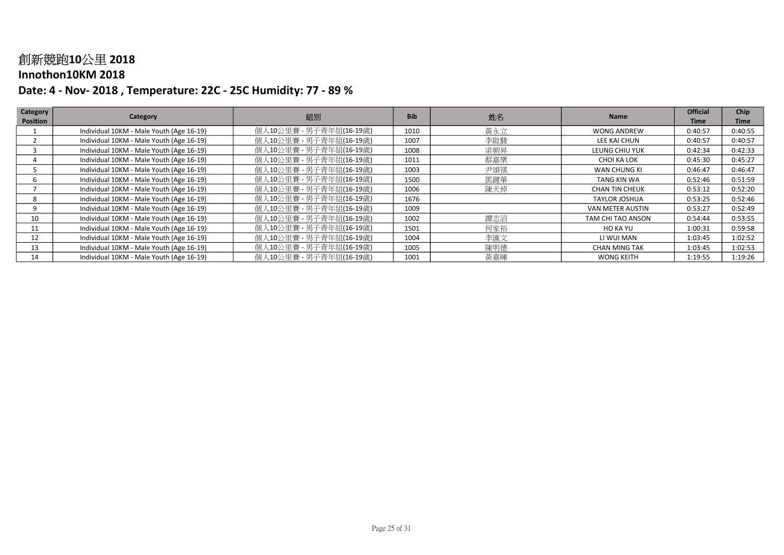#### Innothon10KM 2018

| Category        | Category                                 | 組別                      | <b>Bib</b> |     | <b>Name</b>           | <b>Official</b> | <b>Chip</b> |
|-----------------|------------------------------------------|-------------------------|------------|-----|-----------------------|-----------------|-------------|
| <b>Position</b> |                                          |                         |            | 姓名  |                       | Time            | <b>Time</b> |
|                 | Individual 10KM - Male Youth (Age 16-19) | 個人10公里賽 - 男子青年組(16-19歳) | 1010       | 黃永立 | <b>WONG ANDREW</b>    | 0:40:57         | 0:40:55     |
|                 | Individual 10KM - Male Youth (Age 16-19) | 個人10公里賽 - 男子青年組(16-19歳) | 1007       | 李啟駿 | LEE KAI CHUN          | 0:40:57         | 0:40:57     |
|                 | Individual 10KM - Male Youth (Age 16-19) | 個人10公里賽 - 男子青年組(16-19歳) | 1008       | 梁朝昇 | LEUNG CHIU YUK        | 0:42:34         | 0:42:33     |
|                 | Individual 10KM - Male Youth (Age 16-19) | 個人10公里賽 - 男子青年組(16-19歳) | 1011       | 蔡嘉樂 | CHOI KA LOK           | 0:45:30         | 0:45:27     |
|                 | Individual 10KM - Male Youth (Age 16-19) | 個人10公里賽 - 男子青年組(16-19歳) | 1003       | 尹頌祺 | WAN CHUNG KI          | 0:46:47         | 0:46:47     |
|                 | Individual 10KM - Male Youth (Age 16-19) | 個人10公里賽 - 男子青年組(16-19歳) | 1500       | 鄧鍵華 | TANG KIN WA           | 0:52:46         | 0:51:59     |
|                 | Individual 10KM - Male Youth (Age 16-19) | 個人10公里賽 - 男子青年組(16-19歳) | 1006       | 陳天倬 | <b>CHAN TIN CHEUK</b> | 0:53:12         | 0:52:20     |
|                 | Individual 10KM - Male Youth (Age 16-19) | 個人10公里賽 - 男子青年組(16-19歳) | 1676       |     | <b>TAYLOR JOSHUA</b>  | 0:53:25         | 0:52:46     |
|                 | Individual 10KM - Male Youth (Age 16-19) | 個人10公里賽 - 男子青年組(16-19歳) | 1009       |     | VAN METER AUSTIN      | 0:53:27         | 0:52:49     |
| 10              | Individual 10KM - Male Youth (Age 16-19) | 個人10公里賽 - 男子青年組(16-19歳) | 1002       | 譚志滔 | TAM CHI TAO ANSON     | 0:54:44         | 0:53:55     |
| 11              | Individual 10KM - Male Youth (Age 16-19) | 個人10公里賽 - 男子青年組(16-19歳) | 1501       | 何家裕 | HO KA YU              | 1:00:31         | 0:59:58     |
| 12              | Individual 10KM - Male Youth (Age 16-19) | 個人10公里賽 - 男子青年組(16-19歳) | 1004       | 李匯文 | LI WUI MAN            | 1:03:45         | 1:02:52     |
| 13              | Individual 10KM - Male Youth (Age 16-19) | 個人10公里賽 - 男子青年組(16-19歳) | 1005       | 陳明德 | <b>CHAN MING TAK</b>  | 1:03:45         | 1:02:53     |
| 14              | Individual 10KM - Male Youth (Age 16-19) | 個人10公里賽 - 男子青年組(16-19歳) | 1001       | 黃嘉暉 | <b>WONG KEITH</b>     | 1:19:55         | 1:19:26     |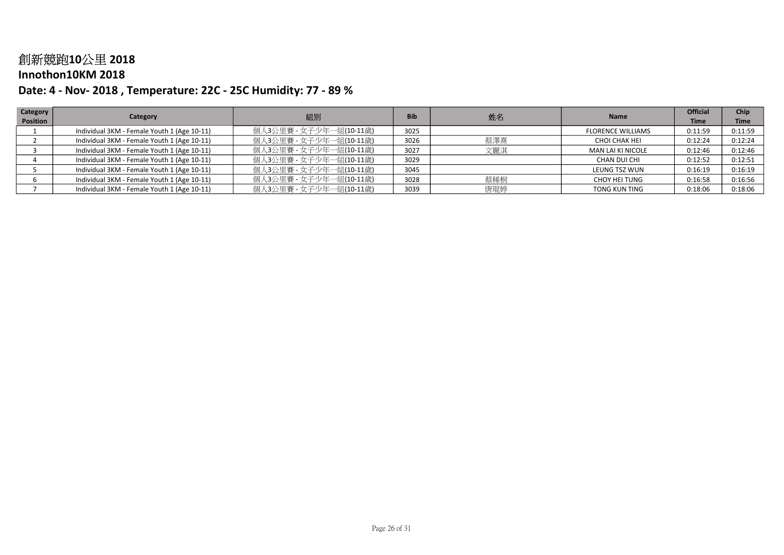#### Innothon10KM 2018

| Category | Category                                    |                         | <b>Bib</b> |     | <b>Name</b>              | <b>Official</b> | Chip        |
|----------|---------------------------------------------|-------------------------|------------|-----|--------------------------|-----------------|-------------|
| Position |                                             | 組別                      |            | 姓名  |                          | <b>Time</b>     | <b>Time</b> |
|          | Individual 3KM - Female Youth 1 (Age 10-11) | 個人3公里賽 - 女子少年一組(10-11歳) | 3025       |     | <b>FLORENCE WILLIAMS</b> | 0:11:59         | 0:11:59     |
|          | Individual 3KM - Female Youth 1 (Age 10-11) | 個人3公里賽 - 女子少年一組(10-11歲) | 3026       | 蔡澤熹 | CHOI CHAK HEI            | 0:12:24         | 0:12:24     |
|          | Individual 3KM - Female Youth 1 (Age 10-11) | 個人3公里賽 - 女子少年一組(10-11歲) | 3027       | 文麗淇 | MAN LAI KI NICOLE        | 0:12:46         | 0:12:46     |
|          | Individual 3KM - Female Youth 1 (Age 10-11) | 個人3公里賽 - 女子少年一組(10-11歲) | 3029       |     | CHAN DUI CHI             | 0:12:52         | 0:12:51     |
|          | Individual 3KM - Female Youth 1 (Age 10-11) | 個人3公里賽 - 女子少年一組(10-11歲) | 3045       |     | LEUNG TSZ WUN            | 0:16:19         | 0:16:19     |
|          | Individual 3KM - Female Youth 1 (Age 10-11) | 個人3公里賽 - 女子少年一組(10-11歳) | 3028       | 蔡稀桐 | CHOY HEI TUNG            | 0:16:58         | 0:16:56     |
|          | Individual 3KM - Female Youth 1 (Age 10-11) | 個人3公里賽 - 女子少年一組(10-11歳) | 3039       | 唐琨婷 | <b>TONG KUN TING</b>     | 0:18:06         | 0:18:06     |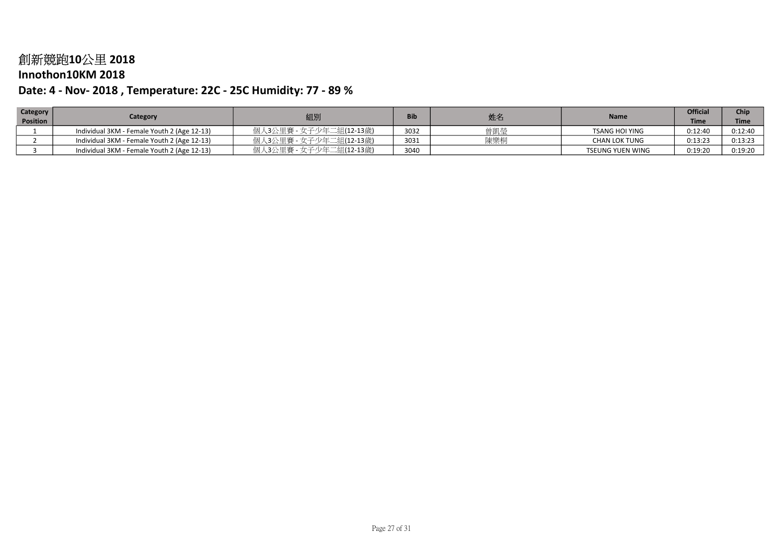### Innothon10KM 2018

| Category        | Category                                    | 組別                      | <b>Bib</b> | 姓名  | <b>Name</b>             | <b>Official</b> | Chir    |
|-----------------|---------------------------------------------|-------------------------|------------|-----|-------------------------|-----------------|---------|
| <b>Position</b> |                                             |                         |            |     |                         | <b>Time</b>     | Time    |
|                 | Individual 3KM - Female Youth 2 (Age 12-13) | 個人3公里賽 - 女子少年二組(12-13歳) | 3032       | 曾凱瑩 | <b>TSANG HOI YING</b>   | 0:12:40         | 0:12:40 |
|                 | Individual 3KM - Female Youth 2 (Age 12-13) | 個人3公里賽 - 女子少年二組(12-13歳) | 3031       | 陳樂桐 | <b>CHAN LOK TUNG</b>    | 0:13:23         | 0:13:23 |
|                 | Individual 3KM - Female Youth 2 (Age 12-13) | 個人3公里賽 - 女子少年二組(12-13歳) | 3040       |     | <b>TSEUNG YUEN WING</b> | 0:19:20         | 0:19:20 |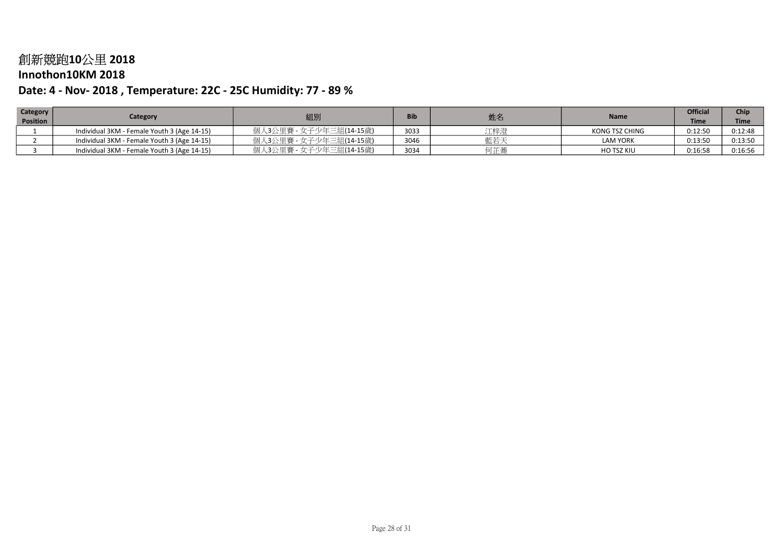### Innothon10KM 2018

| Category        | Category                                    | 組別                      | <b>Bib</b> | 姓名  | Name            | <b>Official</b> | Chip        |
|-----------------|---------------------------------------------|-------------------------|------------|-----|-----------------|-----------------|-------------|
| <b>Position</b> |                                             |                         |            |     |                 | <b>Time</b>     | <b>Time</b> |
|                 | Individual 3KM - Female Youth 3 (Age 14-15) | 個人3公里賽 - 女子少年三組(14-15歳) | 3033       | 江梓澄 | KONG TSZ CHING  | 0:12:50         | 0:12:48     |
|                 | Individual 3KM - Female Youth 3 (Age 14-15) | 個人3公里賽 - 女子少年三組(14-15歳) | 3046       | 藍若天 | <b>LAM YORK</b> | 0:13:50         | 0:13:50     |
|                 | Individual 3KM - Female Youth 3 (Age 14-15) | 個人3公里賽 - 女子少年三組(14-15歳) | 3034       | 何芷蕎 | HO TSZ KIU      | 0:16:58         | 0:16:56     |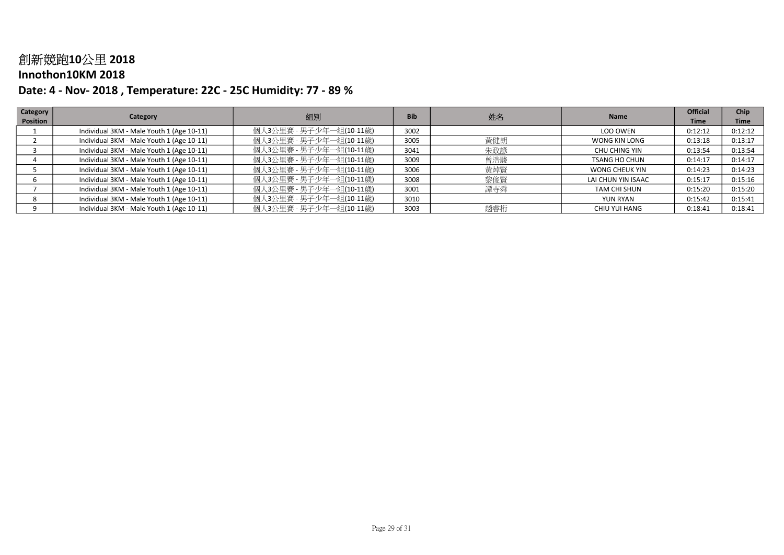### Innothon10KM 2018

| <b>Category</b> | Category                                  | 組別                      | <b>Bib</b> | 姓名  | <b>Name</b>           | <b>Official</b> | Chip        |
|-----------------|-------------------------------------------|-------------------------|------------|-----|-----------------------|-----------------|-------------|
| Position        |                                           |                         |            |     |                       | <b>Time</b>     | <b>Time</b> |
|                 | Individual 3KM - Male Youth 1 (Age 10-11) | 個人3公里賽 - 男子少年一組(10-11歳) | 3002       |     | LOO OWEN              | 0:12:12         | 0:12:12     |
|                 | Individual 3KM - Male Youth 1 (Age 10-11) | 個人3公里賽 - 男子少年一組(10-11歲) | 3005       | 黃健朗 | WONG KIN LONG         | 0:13:18         | 0:13:17     |
|                 | Individual 3KM - Male Youth 1 (Age 10-11) | 個人3公里賽 - 男子少年一組(10-11歲) | 3041       | 朱政諺 | CHU CHING YIN         | 0:13:54         | 0:13:54     |
|                 | Individual 3KM - Male Youth 1 (Age 10-11) | 個人3公里賽 - 男子少年一組(10-11歲) | 3009       | 曾浩駿 | <b>TSANG HO CHUN</b>  | 0:14:17         | 0:14:17     |
|                 | Individual 3KM - Male Youth 1 (Age 10-11) | 個人3公里賽 - 男子少年一組(10-11歲) | 3006       | 黃焯腎 | <b>WONG CHEUK YIN</b> | 0:14:23         | 0:14:23     |
|                 | Individual 3KM - Male Youth 1 (Age 10-11) | 個人3公里賽 - 男子少年一組(10-11歳) | 3008       | 黎俊賢 | LAI CHUN YIN ISAAC    | 0:15:17         | 0:15:16     |
|                 | Individual 3KM - Male Youth 1 (Age 10-11) | 個人3公里賽 - 男子少年一組(10-11歲) | 3001       | 譚寺舜 | TAM CHI SHUN          | 0:15:20         | 0:15:20     |
|                 | Individual 3KM - Male Youth 1 (Age 10-11) | 個人3公里賽 - 男子少年一組(10-11歲) | 3010       |     | <b>YUN RYAN</b>       | 0:15:42         | 0:15:41     |
|                 | Individual 3KM - Male Youth 1 (Age 10-11) | 個人3公里賽 - 男子少年一組(10-11歳) | 3003       | 趙睿桁 | CHIU YUI HANG         | 0:18:41         | 0:18:41     |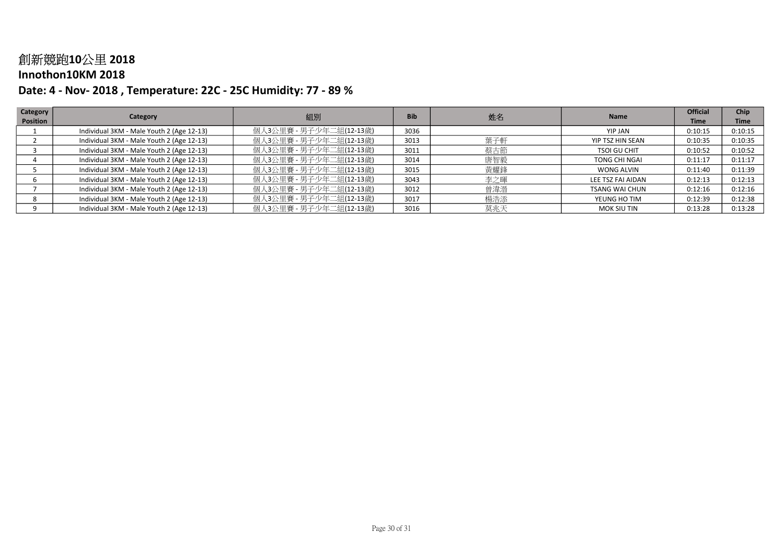### Innothon10KM 2018

| Category | Category                                  | 組別                      | <b>Bib</b> |     | <b>Name</b>           | <b>Official</b> | Chip        |
|----------|-------------------------------------------|-------------------------|------------|-----|-----------------------|-----------------|-------------|
| Position |                                           |                         |            | 姓名  |                       | <b>Time</b>     | <b>Time</b> |
|          | Individual 3KM - Male Youth 2 (Age 12-13) | 個人3公里賽 - 男子少年二組(12-13歳) | 3036       |     | YIP JAN               | 0:10:15         | 0:10:15     |
|          | Individual 3KM - Male Youth 2 (Age 12-13) | 個人3公里賽 - 男子少年二組(12-13歲) | 3013       | 葉子軒 | YIP TSZ HIN SEAN      | 0:10:35         | 0:10:35     |
|          | Individual 3KM - Male Youth 2 (Age 12-13) | 個人3公里賽 - 男子少年二組(12-13歲) | 3011       | 蔡古節 | <b>TSOI GU CHIT</b>   | 0:10:52         | 0:10:52     |
|          | Individual 3KM - Male Youth 2 (Age 12-13) | 個人3公里賽 - 男子少年二組(12-13歲) | 3014       | 唐智毅 | TONG CHI NGAI         | 0:11:17         | 0:11:17     |
|          | Individual 3KM - Male Youth 2 (Age 12-13) | 個人3公里賽 - 男子少年二組(12-13歲) | 3015       | 黃耀鋒 | <b>WONG ALVIN</b>     | 0:11:40         | 0:11:39     |
|          | Individual 3KM - Male Youth 2 (Age 12-13) | 個人3公里賽 - 男子少年二組(12-13歳) | 3043       | 李之暉 | LEE TSZ FAI AIDAN     | 0:12:13         | 0:12:13     |
|          | Individual 3KM - Male Youth 2 (Age 12-13) | 個人3公里賽 - 男子少年二組(12-13歲) | 3012       | 曾湋溍 | <b>TSANG WAI CHUN</b> | 0:12:16         | 0:12:16     |
|          | Individual 3KM - Male Youth 2 (Age 12-13) | 個人3公里賽 - 男子少年二組(12-13歲) | 3017       | 楊浩添 | YEUNG HO TIM          | 0:12:39         | 0:12:38     |
|          | Individual 3KM - Male Youth 2 (Age 12-13) | 個人3公里賽 - 男子少年二組(12-13歳) | 3016       | 莫兆天 | MOK SIU TIN           | 0:13:28         | 0:13:28     |